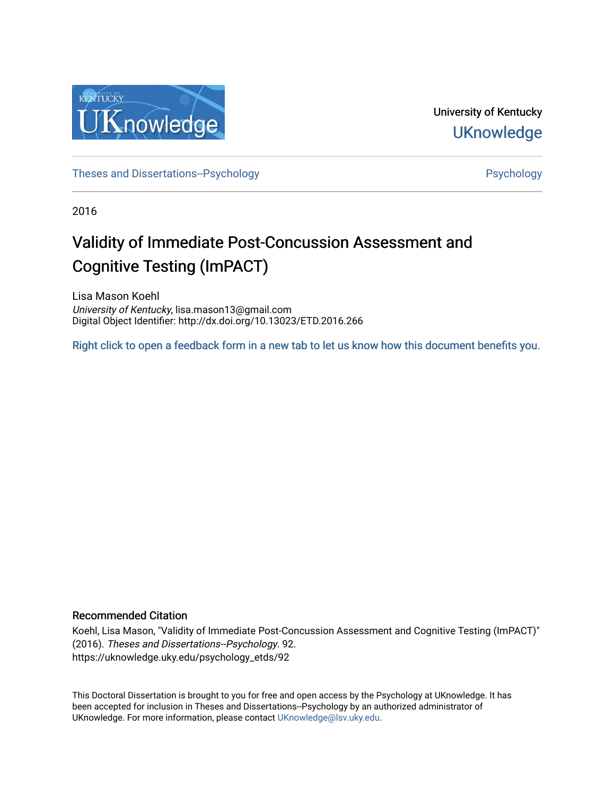

University of Kentucky **UKnowledge** 

[Theses and Dissertations--Psychology](https://uknowledge.uky.edu/psychology_etds) **Properties and Dissertations-Psychology Psychology** 

2016

# Validity of Immediate Post-Concussion Assessment and Cognitive Testing (ImPACT)

Lisa Mason Koehl University of Kentucky, lisa.mason13@gmail.com Digital Object Identifier: http://dx.doi.org/10.13023/ETD.2016.266

[Right click to open a feedback form in a new tab to let us know how this document benefits you.](https://uky.az1.qualtrics.com/jfe/form/SV_9mq8fx2GnONRfz7)

# Recommended Citation

Koehl, Lisa Mason, "Validity of Immediate Post-Concussion Assessment and Cognitive Testing (ImPACT)" (2016). Theses and Dissertations--Psychology. 92. https://uknowledge.uky.edu/psychology\_etds/92

This Doctoral Dissertation is brought to you for free and open access by the Psychology at UKnowledge. It has been accepted for inclusion in Theses and Dissertations--Psychology by an authorized administrator of UKnowledge. For more information, please contact [UKnowledge@lsv.uky.edu](mailto:UKnowledge@lsv.uky.edu).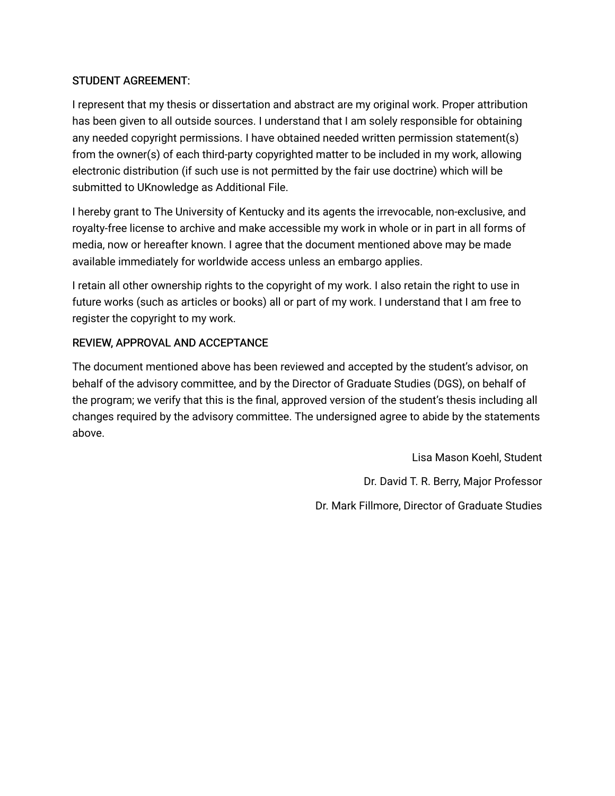# STUDENT AGREEMENT:

I represent that my thesis or dissertation and abstract are my original work. Proper attribution has been given to all outside sources. I understand that I am solely responsible for obtaining any needed copyright permissions. I have obtained needed written permission statement(s) from the owner(s) of each third-party copyrighted matter to be included in my work, allowing electronic distribution (if such use is not permitted by the fair use doctrine) which will be submitted to UKnowledge as Additional File.

I hereby grant to The University of Kentucky and its agents the irrevocable, non-exclusive, and royalty-free license to archive and make accessible my work in whole or in part in all forms of media, now or hereafter known. I agree that the document mentioned above may be made available immediately for worldwide access unless an embargo applies.

I retain all other ownership rights to the copyright of my work. I also retain the right to use in future works (such as articles or books) all or part of my work. I understand that I am free to register the copyright to my work.

# REVIEW, APPROVAL AND ACCEPTANCE

The document mentioned above has been reviewed and accepted by the student's advisor, on behalf of the advisory committee, and by the Director of Graduate Studies (DGS), on behalf of the program; we verify that this is the final, approved version of the student's thesis including all changes required by the advisory committee. The undersigned agree to abide by the statements above.

> Lisa Mason Koehl, Student Dr. David T. R. Berry, Major Professor Dr. Mark Fillmore, Director of Graduate Studies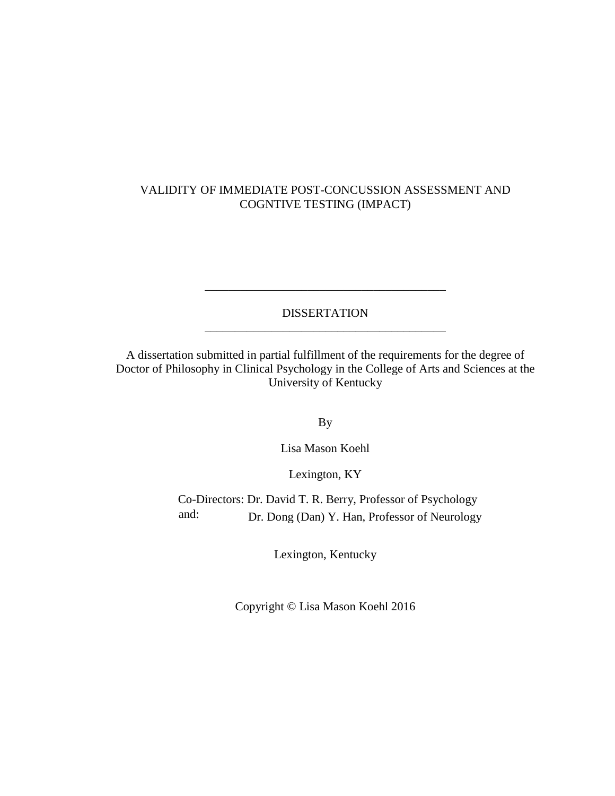# VALIDITY OF IMMEDIATE POST-CONCUSSION ASSESSMENT AND COGNTIVE TESTING (IMPACT)

DISSERTATION \_\_\_\_\_\_\_\_\_\_\_\_\_\_\_\_\_\_\_\_\_\_\_\_\_\_\_\_\_\_\_\_\_\_\_\_\_\_\_\_

\_\_\_\_\_\_\_\_\_\_\_\_\_\_\_\_\_\_\_\_\_\_\_\_\_\_\_\_\_\_\_\_\_\_\_\_\_\_\_\_

A dissertation submitted in partial fulfillment of the requirements for the degree of Doctor of Philosophy in Clinical Psychology in the College of Arts and Sciences at the University of Kentucky

By

Lisa Mason Koehl

Lexington, KY

Co-Directors: Dr. David T. R. Berry, Professor of Psychology and: Dr. Dong (Dan) Y. Han, Professor of Neurology

Lexington, Kentucky

Copyright © Lisa Mason Koehl 2016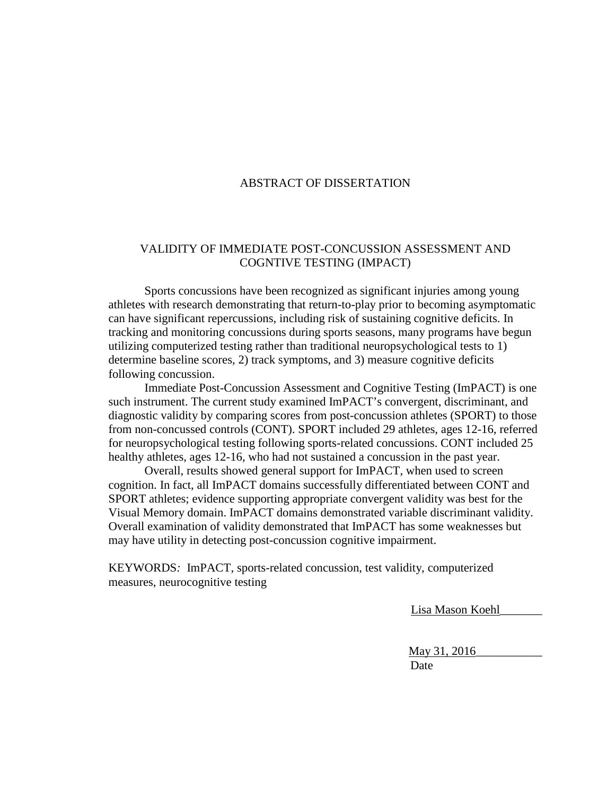# ABSTRACT OF DISSERTATION

# VALIDITY OF IMMEDIATE POST-CONCUSSION ASSESSMENT AND COGNTIVE TESTING (IMPACT)

Sports concussions have been recognized as significant injuries among young athletes with research demonstrating that return-to-play prior to becoming asymptomatic can have significant repercussions, including risk of sustaining cognitive deficits. In tracking and monitoring concussions during sports seasons, many programs have begun utilizing computerized testing rather than traditional neuropsychological tests to 1) determine baseline scores, 2) track symptoms, and 3) measure cognitive deficits following concussion.

Immediate Post-Concussion Assessment and Cognitive Testing (ImPACT) is one such instrument. The current study examined ImPACT's convergent, discriminant, and diagnostic validity by comparing scores from post-concussion athletes (SPORT) to those from non-concussed controls (CONT). SPORT included 29 athletes, ages 12-16, referred for neuropsychological testing following sports-related concussions. CONT included 25 healthy athletes, ages 12-16, who had not sustained a concussion in the past year.

Overall, results showed general support for ImPACT, when used to screen cognition. In fact, all ImPACT domains successfully differentiated between CONT and SPORT athletes; evidence supporting appropriate convergent validity was best for the Visual Memory domain. ImPACT domains demonstrated variable discriminant validity. Overall examination of validity demonstrated that ImPACT has some weaknesses but may have utility in detecting post-concussion cognitive impairment.

KEYWORDS*:* ImPACT, sports-related concussion, test validity, computerized measures, neurocognitive testing

Lisa Mason Koehl\_\_\_\_\_\_\_

May 31, 2016\_\_\_\_\_\_\_\_\_\_\_ Date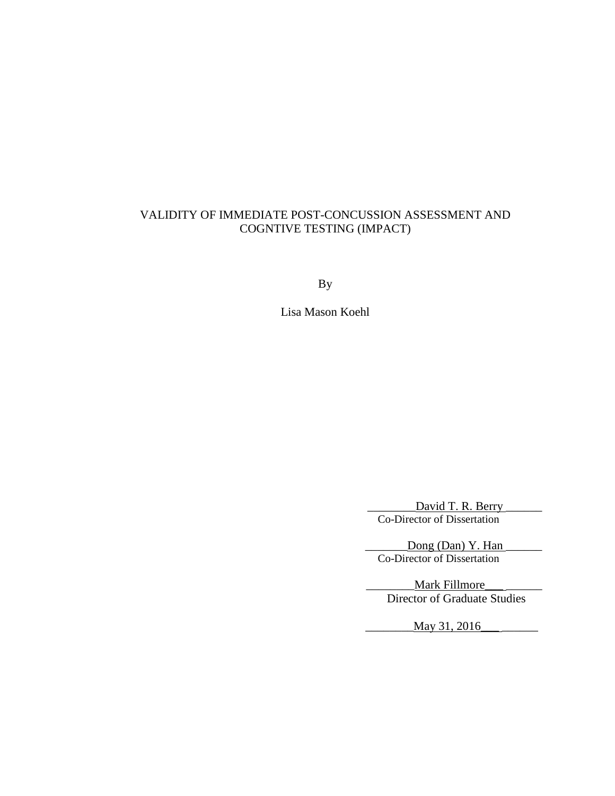# VALIDITY OF IMMEDIATE POST-CONCUSSION ASSESSMENT AND COGNTIVE TESTING (IMPACT)

By

Lisa Mason Koehl

David T. R. Berry Co-Director of Dissertation

 $\Delta$ Dong (Dan) Y. Han  $\Delta$ Co-Director of Dissertation

**Mark Fillmore** Director of Graduate Studies

\_\_\_\_\_\_\_\_May 31, 2016\_\_\_ \_\_\_\_\_\_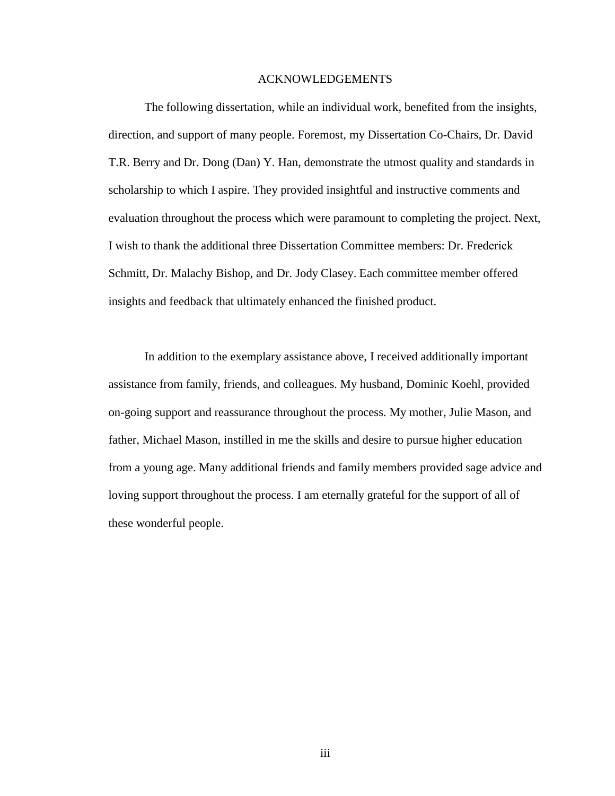#### ACKNOWLEDGEMENTS

The following dissertation, while an individual work, benefited from the insights, direction, and support of many people. Foremost, my Dissertation Co-Chairs, Dr. David T.R. Berry and Dr. Dong (Dan) Y. Han, demonstrate the utmost quality and standards in scholarship to which I aspire. They provided insightful and instructive comments and evaluation throughout the process which were paramount to completing the project. Next, I wish to thank the additional three Dissertation Committee members: Dr. Frederick Schmitt, Dr. Malachy Bishop, and Dr. Jody Clasey. Each committee member offered insights and feedback that ultimately enhanced the finished product.

In addition to the exemplary assistance above, I received additionally important assistance from family, friends, and colleagues. My husband, Dominic Koehl, provided on-going support and reassurance throughout the process. My mother, Julie Mason, and father, Michael Mason, instilled in me the skills and desire to pursue higher education from a young age. Many additional friends and family members provided sage advice and loving support throughout the process. I am eternally grateful for the support of all of these wonderful people.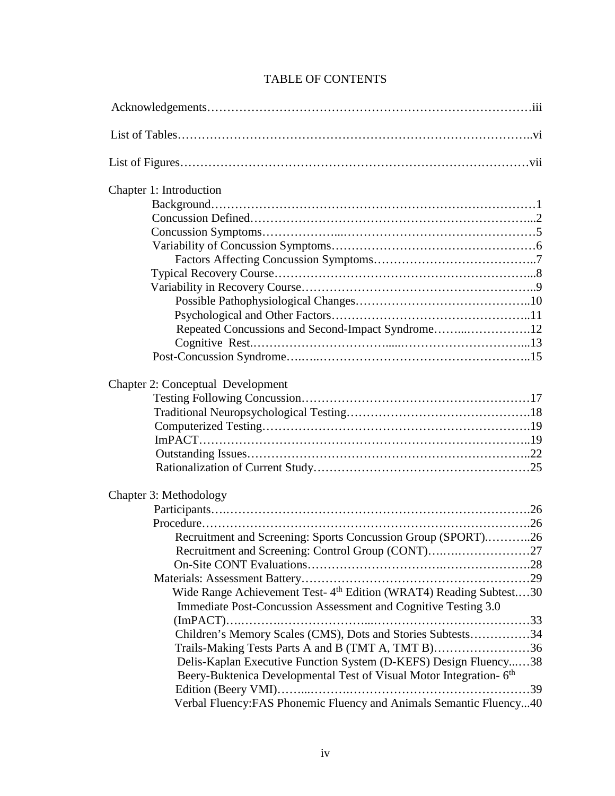| Chapter 1: Introduction                                                         |  |
|---------------------------------------------------------------------------------|--|
|                                                                                 |  |
|                                                                                 |  |
|                                                                                 |  |
|                                                                                 |  |
|                                                                                 |  |
|                                                                                 |  |
|                                                                                 |  |
|                                                                                 |  |
|                                                                                 |  |
| Repeated Concussions and Second-Impact Syndrome12                               |  |
|                                                                                 |  |
|                                                                                 |  |
| <b>Chapter 2: Conceptual Development</b>                                        |  |
|                                                                                 |  |
|                                                                                 |  |
|                                                                                 |  |
|                                                                                 |  |
|                                                                                 |  |
|                                                                                 |  |
| Chapter 3: Methodology                                                          |  |
|                                                                                 |  |
|                                                                                 |  |
| Recruitment and Screening: Sports Concussion Group (SPORT)26                    |  |
|                                                                                 |  |
|                                                                                 |  |
|                                                                                 |  |
| Wide Range Achievement Test-4 <sup>th</sup> Edition (WRAT4) Reading Subtest30   |  |
| Immediate Post-Concussion Assessment and Cognitive Testing 3.0                  |  |
|                                                                                 |  |
| Children's Memory Scales (CMS), Dots and Stories Subtests34                     |  |
| Trails-Making Tests Parts A and B (TMT A, TMT B)36                              |  |
| Delis-Kaplan Executive Function System (D-KEFS) Design Fluency38                |  |
| Beery-Buktenica Developmental Test of Visual Motor Integration- 6 <sup>th</sup> |  |
|                                                                                 |  |
| Verbal Fluency: FAS Phonemic Fluency and Animals Semantic Fluency40             |  |

# TABLE OF CONTENTS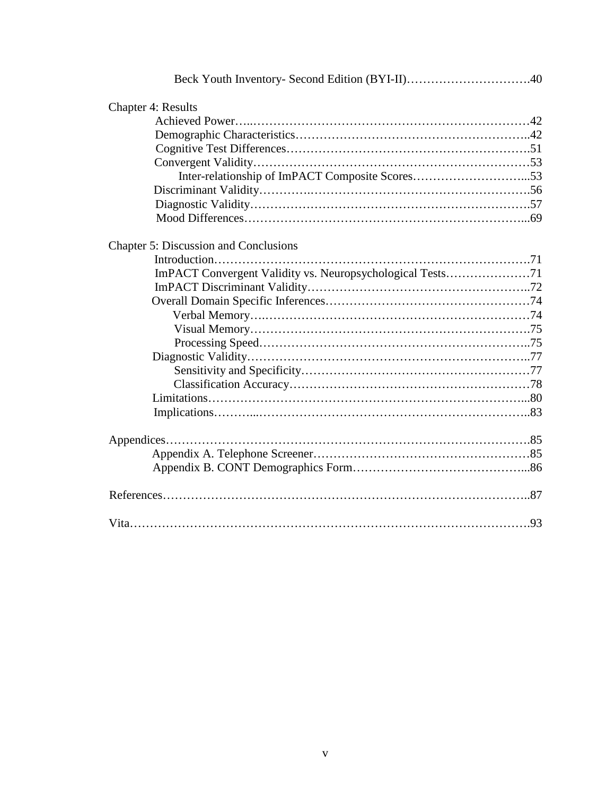| <b>Chapter 4: Results</b>                                 |  |
|-----------------------------------------------------------|--|
|                                                           |  |
|                                                           |  |
|                                                           |  |
|                                                           |  |
| Inter-relationship of ImPACT Composite Scores53           |  |
|                                                           |  |
|                                                           |  |
|                                                           |  |
|                                                           |  |
| Chapter 5: Discussion and Conclusions                     |  |
|                                                           |  |
| ImPACT Convergent Validity vs. Neuropsychological Tests71 |  |
|                                                           |  |
|                                                           |  |
|                                                           |  |
|                                                           |  |
|                                                           |  |
|                                                           |  |
|                                                           |  |
|                                                           |  |
|                                                           |  |
|                                                           |  |
|                                                           |  |
|                                                           |  |
|                                                           |  |
|                                                           |  |
|                                                           |  |
|                                                           |  |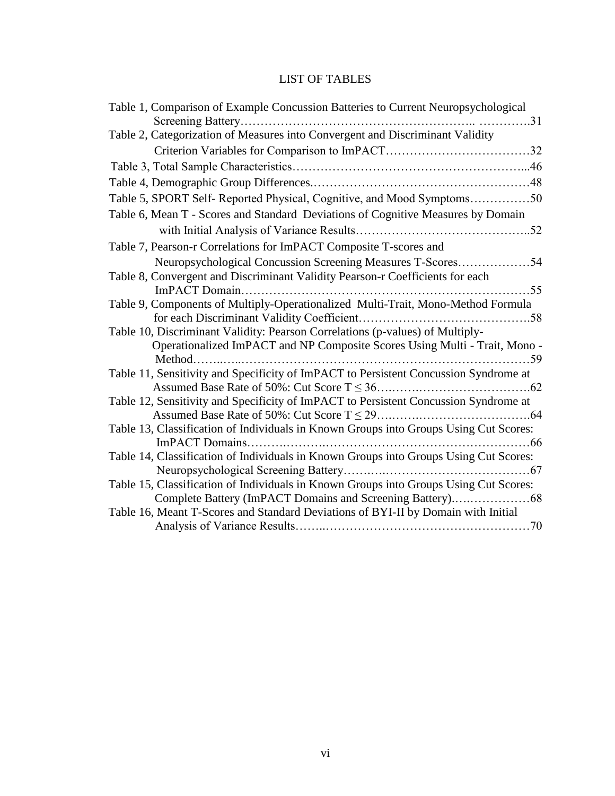# LIST OF TABLES

| Table 1, Comparison of Example Concussion Batteries to Current Neuropsychological     |      |
|---------------------------------------------------------------------------------------|------|
|                                                                                       |      |
| Table 2, Categorization of Measures into Convergent and Discriminant Validity         |      |
|                                                                                       |      |
|                                                                                       |      |
|                                                                                       |      |
| Table 5, SPORT Self- Reported Physical, Cognitive, and Mood Symptoms50                |      |
| Table 6, Mean T - Scores and Standard Deviations of Cognitive Measures by Domain      |      |
|                                                                                       |      |
| Table 7, Pearson-r Correlations for ImPACT Composite T-scores and                     |      |
| Neuropsychological Concussion Screening Measures T-Scores54                           |      |
| Table 8, Convergent and Discriminant Validity Pearson-r Coefficients for each         |      |
| ImPACT Domain                                                                         | .55  |
| Table 9, Components of Multiply-Operationalized Multi-Trait, Mono-Method Formula      |      |
|                                                                                       |      |
| Table 10, Discriminant Validity: Pearson Correlations (p-values) of Multiply-         |      |
| Operationalized ImPACT and NP Composite Scores Using Multi - Trait, Mono -            |      |
|                                                                                       | . 59 |
| Table 11, Sensitivity and Specificity of ImPACT to Persistent Concussion Syndrome at  |      |
|                                                                                       |      |
| Table 12, Sensitivity and Specificity of ImPACT to Persistent Concussion Syndrome at  |      |
|                                                                                       |      |
| Table 13, Classification of Individuals in Known Groups into Groups Using Cut Scores: |      |
|                                                                                       |      |
| Table 14, Classification of Individuals in Known Groups into Groups Using Cut Scores: |      |
|                                                                                       |      |
| Table 15, Classification of Individuals in Known Groups into Groups Using Cut Scores: |      |
|                                                                                       |      |
| Table 16, Meant T-Scores and Standard Deviations of BYI-II by Domain with Initial     |      |
|                                                                                       |      |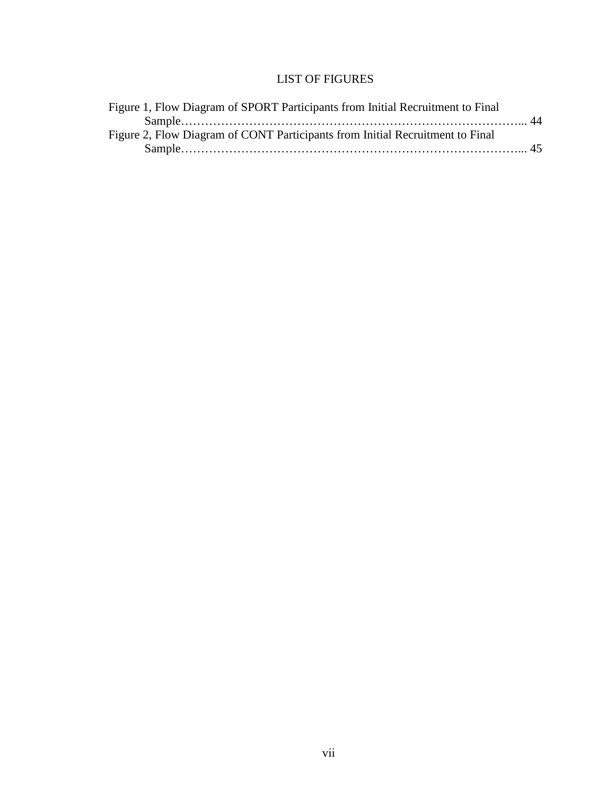# LIST OF FIGURES

| Figure 1, Flow Diagram of SPORT Participants from Initial Recruitment to Final |  |
|--------------------------------------------------------------------------------|--|
|                                                                                |  |
| Figure 2, Flow Diagram of CONT Participants from Initial Recruitment to Final  |  |
|                                                                                |  |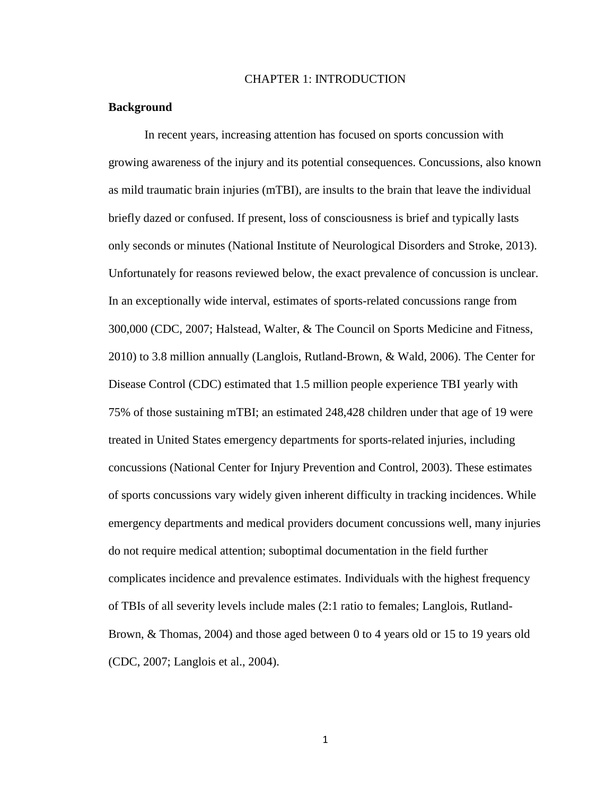# CHAPTER 1: INTRODUCTION

## **Background**

In recent years, increasing attention has focused on sports concussion with growing awareness of the injury and its potential consequences. Concussions, also known as mild traumatic brain injuries (mTBI), are insults to the brain that leave the individual briefly dazed or confused. If present, loss of consciousness is brief and typically lasts only seconds or minutes (National Institute of Neurological Disorders and Stroke, 2013). Unfortunately for reasons reviewed below, the exact prevalence of concussion is unclear. In an exceptionally wide interval, estimates of sports-related concussions range from 300,000 (CDC, 2007; Halstead, Walter, & The Council on Sports Medicine and Fitness, 2010) to 3.8 million annually (Langlois, Rutland-Brown, & Wald, 2006). The Center for Disease Control (CDC) estimated that 1.5 million people experience TBI yearly with 75% of those sustaining mTBI; an estimated 248,428 children under that age of 19 were treated in United States emergency departments for sports-related injuries, including concussions (National Center for Injury Prevention and Control, 2003). These estimates of sports concussions vary widely given inherent difficulty in tracking incidences. While emergency departments and medical providers document concussions well, many injuries do not require medical attention; suboptimal documentation in the field further complicates incidence and prevalence estimates. Individuals with the highest frequency of TBIs of all severity levels include males (2:1 ratio to females; Langlois, Rutland-Brown, & Thomas, 2004) and those aged between 0 to 4 years old or 15 to 19 years old (CDC, 2007; Langlois et al., 2004).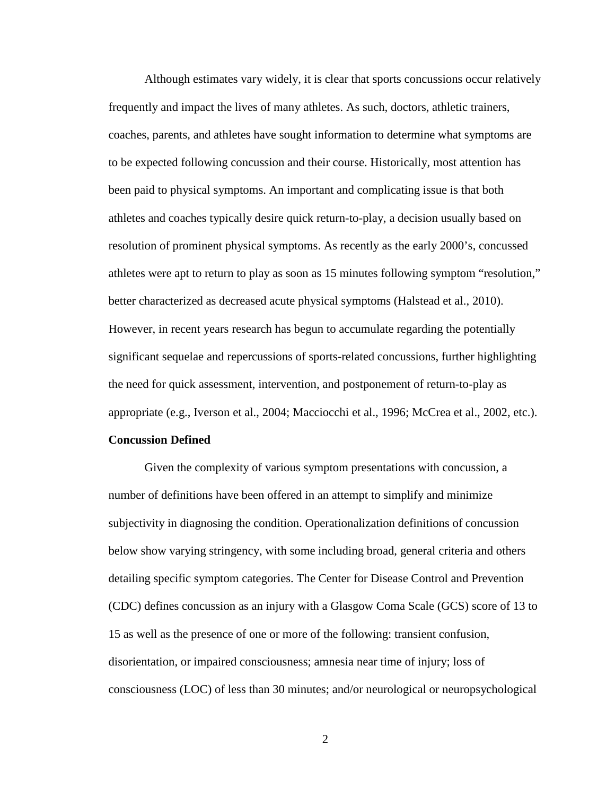Although estimates vary widely, it is clear that sports concussions occur relatively frequently and impact the lives of many athletes. As such, doctors, athletic trainers, coaches, parents, and athletes have sought information to determine what symptoms are to be expected following concussion and their course. Historically, most attention has been paid to physical symptoms. An important and complicating issue is that both athletes and coaches typically desire quick return-to-play, a decision usually based on resolution of prominent physical symptoms. As recently as the early 2000's, concussed athletes were apt to return to play as soon as 15 minutes following symptom "resolution," better characterized as decreased acute physical symptoms (Halstead et al., 2010). However, in recent years research has begun to accumulate regarding the potentially significant sequelae and repercussions of sports-related concussions, further highlighting the need for quick assessment, intervention, and postponement of return-to-play as appropriate (e.g., Iverson et al., 2004; Macciocchi et al., 1996; McCrea et al., 2002, etc.).

## **Concussion Defined**

Given the complexity of various symptom presentations with concussion, a number of definitions have been offered in an attempt to simplify and minimize subjectivity in diagnosing the condition. Operationalization definitions of concussion below show varying stringency, with some including broad, general criteria and others detailing specific symptom categories. The Center for Disease Control and Prevention (CDC) defines concussion as an injury with a Glasgow Coma Scale (GCS) score of 13 to 15 as well as the presence of one or more of the following: transient confusion, disorientation, or impaired consciousness; amnesia near time of injury; loss of consciousness (LOC) of less than 30 minutes; and/or neurological or neuropsychological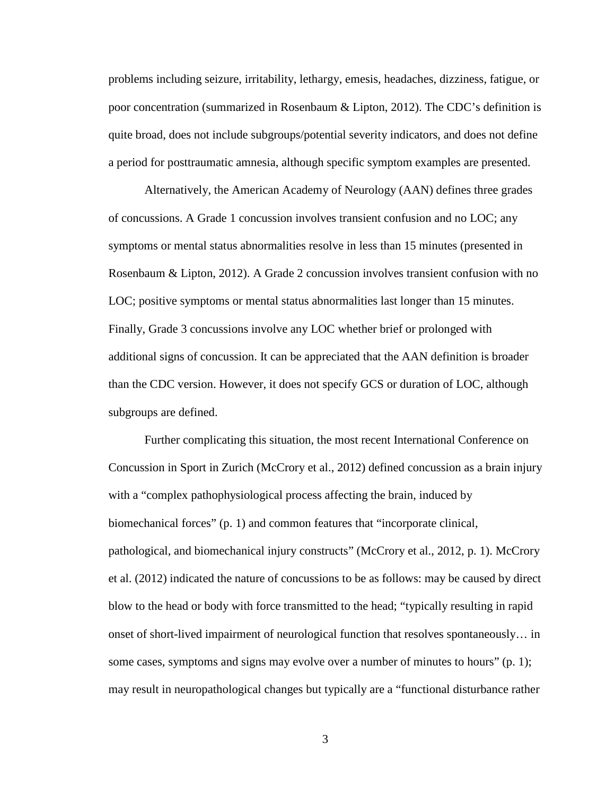problems including seizure, irritability, lethargy, emesis, headaches, dizziness, fatigue, or poor concentration (summarized in Rosenbaum & Lipton, 2012). The CDC's definition is quite broad, does not include subgroups/potential severity indicators, and does not define a period for posttraumatic amnesia, although specific symptom examples are presented.

Alternatively, the American Academy of Neurology (AAN) defines three grades of concussions. A Grade 1 concussion involves transient confusion and no LOC; any symptoms or mental status abnormalities resolve in less than 15 minutes (presented in Rosenbaum & Lipton, 2012). A Grade 2 concussion involves transient confusion with no LOC; positive symptoms or mental status abnormalities last longer than 15 minutes. Finally, Grade 3 concussions involve any LOC whether brief or prolonged with additional signs of concussion. It can be appreciated that the AAN definition is broader than the CDC version. However, it does not specify GCS or duration of LOC, although subgroups are defined.

Further complicating this situation, the most recent International Conference on Concussion in Sport in Zurich (McCrory et al., 2012) defined concussion as a brain injury with a "complex pathophysiological process affecting the brain, induced by biomechanical forces" (p. 1) and common features that "incorporate clinical, pathological, and biomechanical injury constructs" (McCrory et al., 2012, p. 1). McCrory et al. (2012) indicated the nature of concussions to be as follows: may be caused by direct blow to the head or body with force transmitted to the head; "typically resulting in rapid onset of short-lived impairment of neurological function that resolves spontaneously… in some cases, symptoms and signs may evolve over a number of minutes to hours" (p. 1); may result in neuropathological changes but typically are a "functional disturbance rather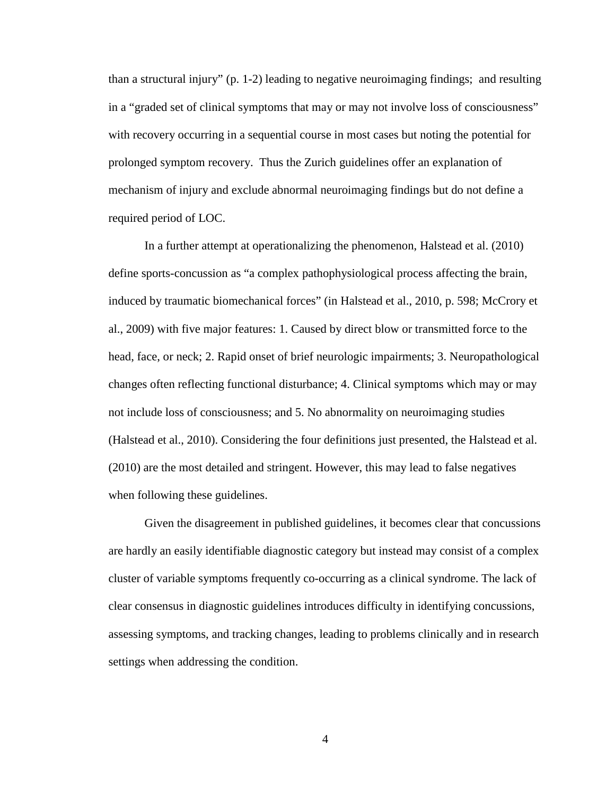than a structural injury" (p. 1-2) leading to negative neuroimaging findings; and resulting in a "graded set of clinical symptoms that may or may not involve loss of consciousness" with recovery occurring in a sequential course in most cases but noting the potential for prolonged symptom recovery. Thus the Zurich guidelines offer an explanation of mechanism of injury and exclude abnormal neuroimaging findings but do not define a required period of LOC.

In a further attempt at operationalizing the phenomenon, Halstead et al. (2010) define sports-concussion as "a complex pathophysiological process affecting the brain, induced by traumatic biomechanical forces" (in Halstead et al., 2010, p. 598; McCrory et al., 2009) with five major features: 1. Caused by direct blow or transmitted force to the head, face, or neck; 2. Rapid onset of brief neurologic impairments; 3. Neuropathological changes often reflecting functional disturbance; 4. Clinical symptoms which may or may not include loss of consciousness; and 5. No abnormality on neuroimaging studies (Halstead et al., 2010). Considering the four definitions just presented, the Halstead et al. (2010) are the most detailed and stringent. However, this may lead to false negatives when following these guidelines.

Given the disagreement in published guidelines, it becomes clear that concussions are hardly an easily identifiable diagnostic category but instead may consist of a complex cluster of variable symptoms frequently co-occurring as a clinical syndrome. The lack of clear consensus in diagnostic guidelines introduces difficulty in identifying concussions, assessing symptoms, and tracking changes, leading to problems clinically and in research settings when addressing the condition.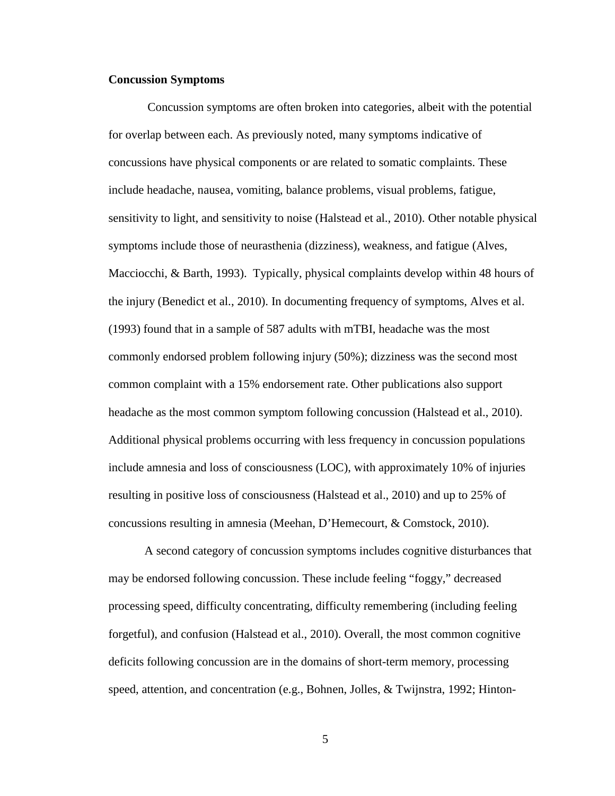#### **Concussion Symptoms**

Concussion symptoms are often broken into categories, albeit with the potential for overlap between each. As previously noted, many symptoms indicative of concussions have physical components or are related to somatic complaints. These include headache, nausea, vomiting, balance problems, visual problems, fatigue, sensitivity to light, and sensitivity to noise (Halstead et al., 2010). Other notable physical symptoms include those of neurasthenia (dizziness), weakness, and fatigue (Alves, Macciocchi, & Barth, 1993). Typically, physical complaints develop within 48 hours of the injury (Benedict et al., 2010). In documenting frequency of symptoms, Alves et al. (1993) found that in a sample of 587 adults with mTBI, headache was the most commonly endorsed problem following injury (50%); dizziness was the second most common complaint with a 15% endorsement rate. Other publications also support headache as the most common symptom following concussion (Halstead et al., 2010). Additional physical problems occurring with less frequency in concussion populations include amnesia and loss of consciousness (LOC), with approximately 10% of injuries resulting in positive loss of consciousness (Halstead et al., 2010) and up to 25% of concussions resulting in amnesia (Meehan, D'Hemecourt, & Comstock, 2010).

A second category of concussion symptoms includes cognitive disturbances that may be endorsed following concussion. These include feeling "foggy," decreased processing speed, difficulty concentrating, difficulty remembering (including feeling forgetful), and confusion (Halstead et al., 2010). Overall, the most common cognitive deficits following concussion are in the domains of short-term memory, processing speed, attention, and concentration (e.g., Bohnen, Jolles, & Twijnstra, 1992; Hinton-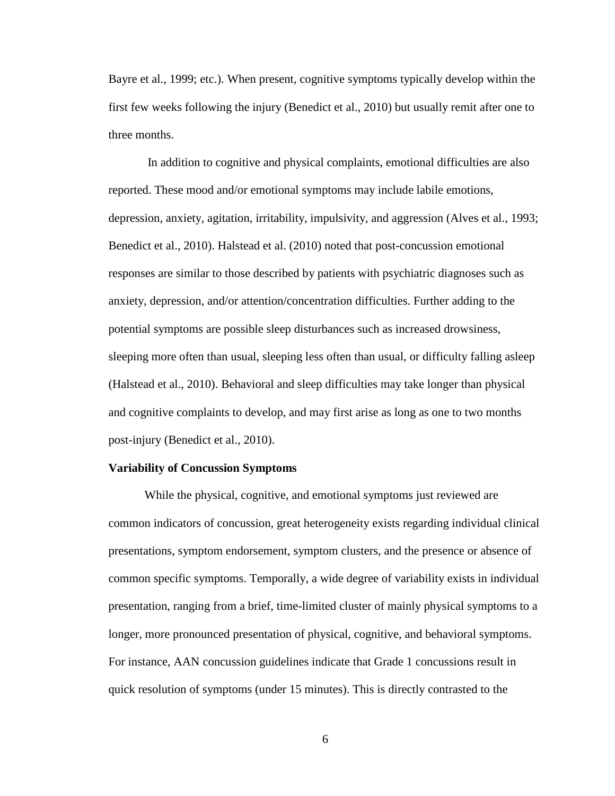Bayre et al., 1999; etc.). When present, cognitive symptoms typically develop within the first few weeks following the injury (Benedict et al., 2010) but usually remit after one to three months.

 In addition to cognitive and physical complaints, emotional difficulties are also reported. These mood and/or emotional symptoms may include labile emotions, depression, anxiety, agitation, irritability, impulsivity, and aggression (Alves et al., 1993; Benedict et al., 2010). Halstead et al. (2010) noted that post-concussion emotional responses are similar to those described by patients with psychiatric diagnoses such as anxiety, depression, and/or attention/concentration difficulties. Further adding to the potential symptoms are possible sleep disturbances such as increased drowsiness, sleeping more often than usual, sleeping less often than usual, or difficulty falling asleep (Halstead et al., 2010). Behavioral and sleep difficulties may take longer than physical and cognitive complaints to develop, and may first arise as long as one to two months post-injury (Benedict et al., 2010).

#### **Variability of Concussion Symptoms**

While the physical, cognitive, and emotional symptoms just reviewed are common indicators of concussion, great heterogeneity exists regarding individual clinical presentations, symptom endorsement, symptom clusters, and the presence or absence of common specific symptoms. Temporally, a wide degree of variability exists in individual presentation, ranging from a brief, time-limited cluster of mainly physical symptoms to a longer, more pronounced presentation of physical, cognitive, and behavioral symptoms. For instance, AAN concussion guidelines indicate that Grade 1 concussions result in quick resolution of symptoms (under 15 minutes). This is directly contrasted to the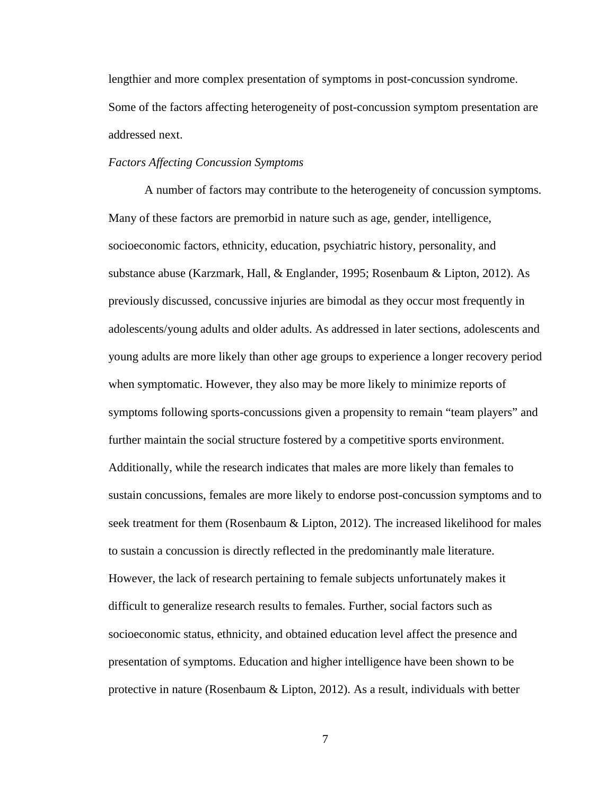lengthier and more complex presentation of symptoms in post-concussion syndrome. Some of the factors affecting heterogeneity of post-concussion symptom presentation are addressed next.

# *Factors Affecting Concussion Symptoms*

A number of factors may contribute to the heterogeneity of concussion symptoms. Many of these factors are premorbid in nature such as age, gender, intelligence, socioeconomic factors, ethnicity, education, psychiatric history, personality, and substance abuse (Karzmark, Hall, & Englander, 1995; Rosenbaum & Lipton, 2012). As previously discussed, concussive injuries are bimodal as they occur most frequently in adolescents/young adults and older adults. As addressed in later sections, adolescents and young adults are more likely than other age groups to experience a longer recovery period when symptomatic. However, they also may be more likely to minimize reports of symptoms following sports-concussions given a propensity to remain "team players" and further maintain the social structure fostered by a competitive sports environment. Additionally, while the research indicates that males are more likely than females to sustain concussions, females are more likely to endorse post-concussion symptoms and to seek treatment for them (Rosenbaum & Lipton, 2012). The increased likelihood for males to sustain a concussion is directly reflected in the predominantly male literature. However, the lack of research pertaining to female subjects unfortunately makes it difficult to generalize research results to females. Further, social factors such as socioeconomic status, ethnicity, and obtained education level affect the presence and presentation of symptoms. Education and higher intelligence have been shown to be protective in nature (Rosenbaum & Lipton, 2012). As a result, individuals with better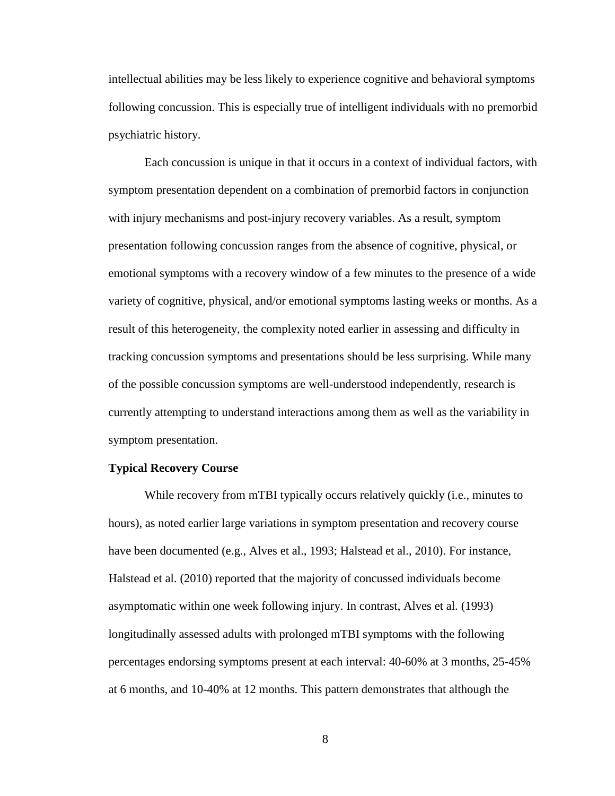intellectual abilities may be less likely to experience cognitive and behavioral symptoms following concussion. This is especially true of intelligent individuals with no premorbid psychiatric history.

Each concussion is unique in that it occurs in a context of individual factors, with symptom presentation dependent on a combination of premorbid factors in conjunction with injury mechanisms and post-injury recovery variables. As a result, symptom presentation following concussion ranges from the absence of cognitive, physical, or emotional symptoms with a recovery window of a few minutes to the presence of a wide variety of cognitive, physical, and/or emotional symptoms lasting weeks or months. As a result of this heterogeneity, the complexity noted earlier in assessing and difficulty in tracking concussion symptoms and presentations should be less surprising. While many of the possible concussion symptoms are well-understood independently, research is currently attempting to understand interactions among them as well as the variability in symptom presentation.

## **Typical Recovery Course**

While recovery from mTBI typically occurs relatively quickly (i.e., minutes to hours), as noted earlier large variations in symptom presentation and recovery course have been documented (e.g., Alves et al., 1993; Halstead et al., 2010). For instance, Halstead et al. (2010) reported that the majority of concussed individuals become asymptomatic within one week following injury. In contrast, Alves et al. (1993) longitudinally assessed adults with prolonged mTBI symptoms with the following percentages endorsing symptoms present at each interval: 40-60% at 3 months, 25-45% at 6 months, and 10-40% at 12 months. This pattern demonstrates that although the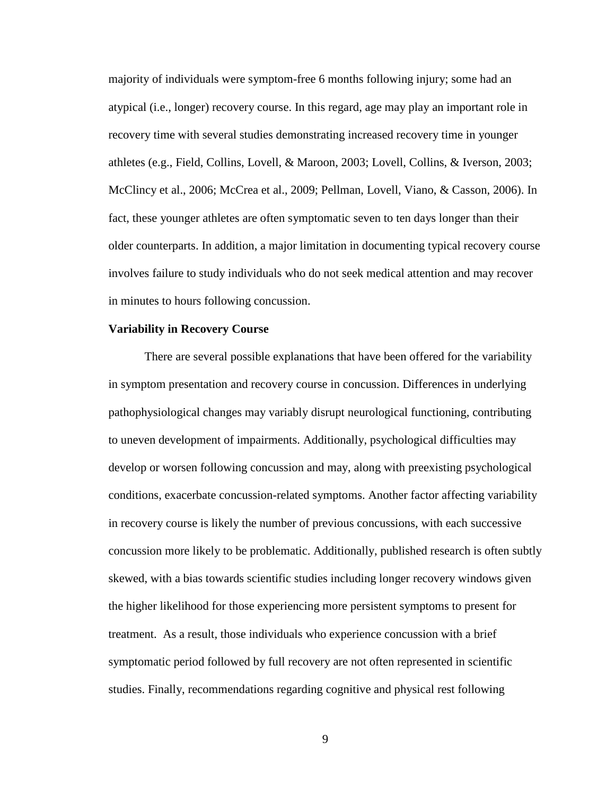majority of individuals were symptom-free 6 months following injury; some had an atypical (i.e., longer) recovery course. In this regard, age may play an important role in recovery time with several studies demonstrating increased recovery time in younger athletes (e.g., Field, Collins, Lovell, & Maroon, 2003; Lovell, Collins, & Iverson, 2003; McClincy et al., 2006; McCrea et al., 2009; Pellman, Lovell, Viano, & Casson, 2006). In fact, these younger athletes are often symptomatic seven to ten days longer than their older counterparts. In addition, a major limitation in documenting typical recovery course involves failure to study individuals who do not seek medical attention and may recover in minutes to hours following concussion.

# **Variability in Recovery Course**

There are several possible explanations that have been offered for the variability in symptom presentation and recovery course in concussion. Differences in underlying pathophysiological changes may variably disrupt neurological functioning, contributing to uneven development of impairments. Additionally, psychological difficulties may develop or worsen following concussion and may, along with preexisting psychological conditions, exacerbate concussion-related symptoms. Another factor affecting variability in recovery course is likely the number of previous concussions, with each successive concussion more likely to be problematic. Additionally, published research is often subtly skewed, with a bias towards scientific studies including longer recovery windows given the higher likelihood for those experiencing more persistent symptoms to present for treatment. As a result, those individuals who experience concussion with a brief symptomatic period followed by full recovery are not often represented in scientific studies. Finally, recommendations regarding cognitive and physical rest following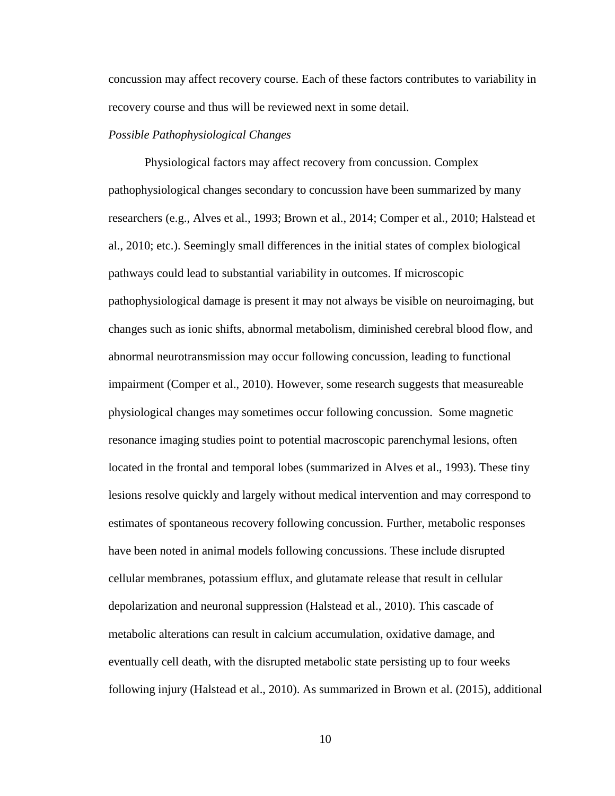concussion may affect recovery course. Each of these factors contributes to variability in recovery course and thus will be reviewed next in some detail.

#### *Possible Pathophysiological Changes*

Physiological factors may affect recovery from concussion. Complex pathophysiological changes secondary to concussion have been summarized by many researchers (e.g., Alves et al., 1993; Brown et al., 2014; Comper et al., 2010; Halstead et al., 2010; etc.). Seemingly small differences in the initial states of complex biological pathways could lead to substantial variability in outcomes. If microscopic pathophysiological damage is present it may not always be visible on neuroimaging, but changes such as ionic shifts, abnormal metabolism, diminished cerebral blood flow, and abnormal neurotransmission may occur following concussion, leading to functional impairment (Comper et al., 2010). However, some research suggests that measureable physiological changes may sometimes occur following concussion. Some magnetic resonance imaging studies point to potential macroscopic parenchymal lesions, often located in the frontal and temporal lobes (summarized in Alves et al., 1993). These tiny lesions resolve quickly and largely without medical intervention and may correspond to estimates of spontaneous recovery following concussion. Further, metabolic responses have been noted in animal models following concussions. These include disrupted cellular membranes, potassium efflux, and glutamate release that result in cellular depolarization and neuronal suppression (Halstead et al., 2010). This cascade of metabolic alterations can result in calcium accumulation, oxidative damage, and eventually cell death, with the disrupted metabolic state persisting up to four weeks following injury (Halstead et al., 2010). As summarized in Brown et al. (2015), additional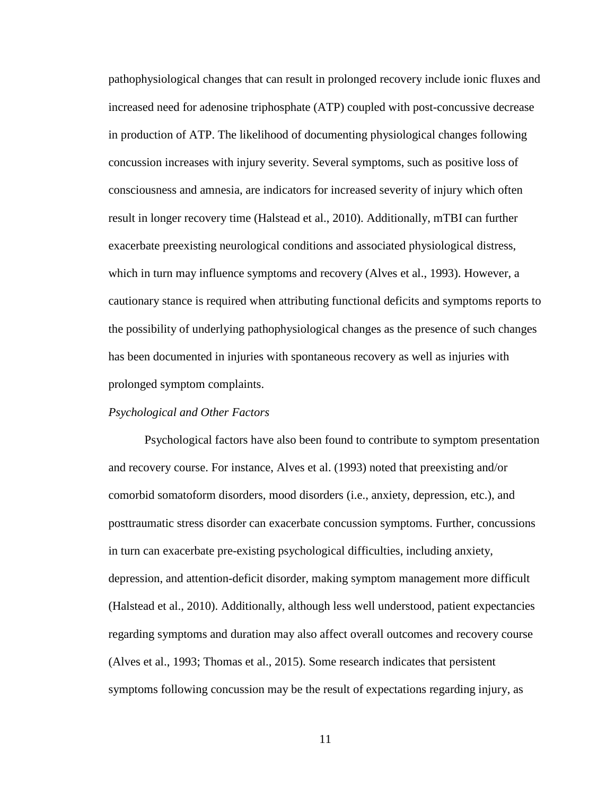pathophysiological changes that can result in prolonged recovery include ionic fluxes and increased need for adenosine triphosphate (ATP) coupled with post-concussive decrease in production of ATP. The likelihood of documenting physiological changes following concussion increases with injury severity. Several symptoms, such as positive loss of consciousness and amnesia, are indicators for increased severity of injury which often result in longer recovery time (Halstead et al., 2010). Additionally, mTBI can further exacerbate preexisting neurological conditions and associated physiological distress, which in turn may influence symptoms and recovery (Alves et al., 1993). However, a cautionary stance is required when attributing functional deficits and symptoms reports to the possibility of underlying pathophysiological changes as the presence of such changes has been documented in injuries with spontaneous recovery as well as injuries with prolonged symptom complaints.

# *Psychological and Other Factors*

Psychological factors have also been found to contribute to symptom presentation and recovery course. For instance, Alves et al. (1993) noted that preexisting and/or comorbid somatoform disorders, mood disorders (i.e., anxiety, depression, etc.), and posttraumatic stress disorder can exacerbate concussion symptoms. Further, concussions in turn can exacerbate pre-existing psychological difficulties, including anxiety, depression, and attention-deficit disorder, making symptom management more difficult (Halstead et al., 2010). Additionally, although less well understood, patient expectancies regarding symptoms and duration may also affect overall outcomes and recovery course (Alves et al., 1993; Thomas et al., 2015). Some research indicates that persistent symptoms following concussion may be the result of expectations regarding injury, as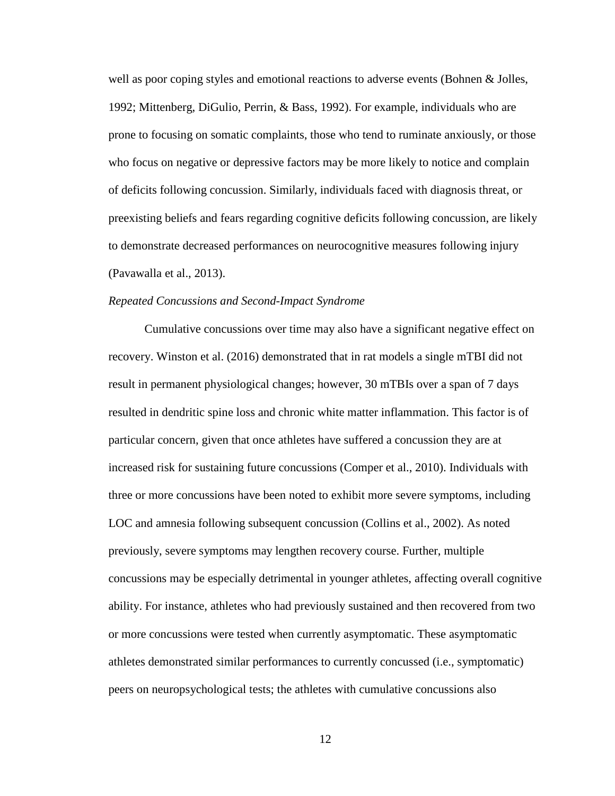well as poor coping styles and emotional reactions to adverse events (Bohnen & Jolles, 1992; Mittenberg, DiGulio, Perrin, & Bass, 1992). For example, individuals who are prone to focusing on somatic complaints, those who tend to ruminate anxiously, or those who focus on negative or depressive factors may be more likely to notice and complain of deficits following concussion. Similarly, individuals faced with diagnosis threat, or preexisting beliefs and fears regarding cognitive deficits following concussion, are likely to demonstrate decreased performances on neurocognitive measures following injury (Pavawalla et al., 2013).

## *Repeated Concussions and Second-Impact Syndrome*

Cumulative concussions over time may also have a significant negative effect on recovery. Winston et al. (2016) demonstrated that in rat models a single mTBI did not result in permanent physiological changes; however, 30 mTBIs over a span of 7 days resulted in dendritic spine loss and chronic white matter inflammation. This factor is of particular concern, given that once athletes have suffered a concussion they are at increased risk for sustaining future concussions (Comper et al., 2010). Individuals with three or more concussions have been noted to exhibit more severe symptoms, including LOC and amnesia following subsequent concussion (Collins et al., 2002). As noted previously, severe symptoms may lengthen recovery course. Further, multiple concussions may be especially detrimental in younger athletes, affecting overall cognitive ability. For instance, athletes who had previously sustained and then recovered from two or more concussions were tested when currently asymptomatic. These asymptomatic athletes demonstrated similar performances to currently concussed (i.e., symptomatic) peers on neuropsychological tests; the athletes with cumulative concussions also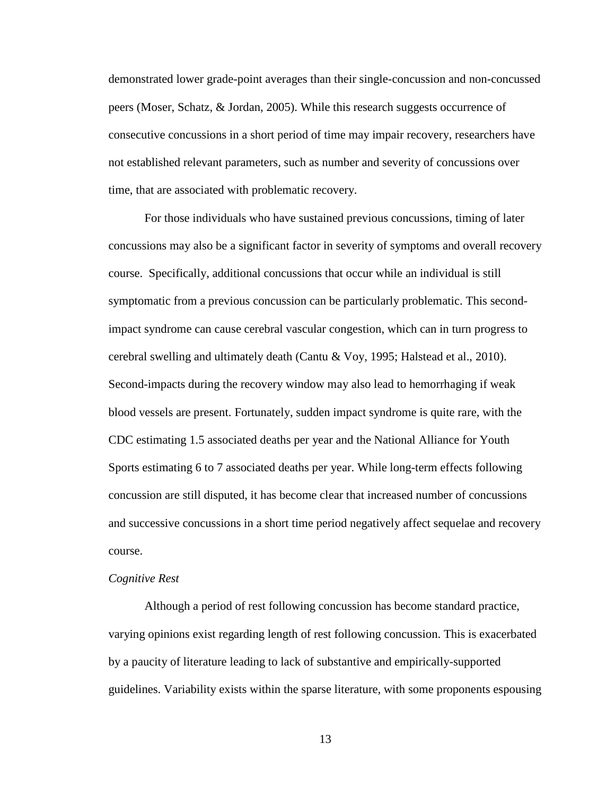demonstrated lower grade-point averages than their single-concussion and non-concussed peers (Moser, Schatz, & Jordan, 2005). While this research suggests occurrence of consecutive concussions in a short period of time may impair recovery, researchers have not established relevant parameters, such as number and severity of concussions over time, that are associated with problematic recovery.

For those individuals who have sustained previous concussions, timing of later concussions may also be a significant factor in severity of symptoms and overall recovery course. Specifically, additional concussions that occur while an individual is still symptomatic from a previous concussion can be particularly problematic. This secondimpact syndrome can cause cerebral vascular congestion, which can in turn progress to cerebral swelling and ultimately death (Cantu & Voy, 1995; Halstead et al., 2010). Second-impacts during the recovery window may also lead to hemorrhaging if weak blood vessels are present. Fortunately, sudden impact syndrome is quite rare, with the CDC estimating 1.5 associated deaths per year and the National Alliance for Youth Sports estimating 6 to 7 associated deaths per year. While long-term effects following concussion are still disputed, it has become clear that increased number of concussions and successive concussions in a short time period negatively affect sequelae and recovery course.

#### *Cognitive Rest*

Although a period of rest following concussion has become standard practice, varying opinions exist regarding length of rest following concussion. This is exacerbated by a paucity of literature leading to lack of substantive and empirically-supported guidelines. Variability exists within the sparse literature, with some proponents espousing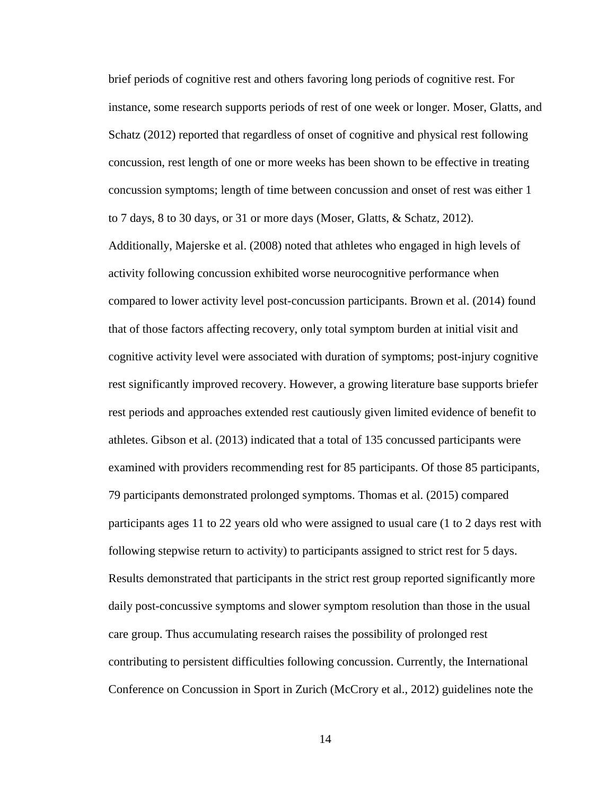brief periods of cognitive rest and others favoring long periods of cognitive rest. For instance, some research supports periods of rest of one week or longer. Moser, Glatts, and Schatz (2012) reported that regardless of onset of cognitive and physical rest following concussion, rest length of one or more weeks has been shown to be effective in treating concussion symptoms; length of time between concussion and onset of rest was either 1 to 7 days, 8 to 30 days, or 31 or more days (Moser, Glatts, & Schatz, 2012).

Additionally, Majerske et al. (2008) noted that athletes who engaged in high levels of activity following concussion exhibited worse neurocognitive performance when compared to lower activity level post-concussion participants. Brown et al. (2014) found that of those factors affecting recovery, only total symptom burden at initial visit and cognitive activity level were associated with duration of symptoms; post-injury cognitive rest significantly improved recovery. However, a growing literature base supports briefer rest periods and approaches extended rest cautiously given limited evidence of benefit to athletes. Gibson et al. (2013) indicated that a total of 135 concussed participants were examined with providers recommending rest for 85 participants. Of those 85 participants, 79 participants demonstrated prolonged symptoms. Thomas et al. (2015) compared participants ages 11 to 22 years old who were assigned to usual care (1 to 2 days rest with following stepwise return to activity) to participants assigned to strict rest for 5 days. Results demonstrated that participants in the strict rest group reported significantly more daily post-concussive symptoms and slower symptom resolution than those in the usual care group. Thus accumulating research raises the possibility of prolonged rest contributing to persistent difficulties following concussion. Currently, the International Conference on Concussion in Sport in Zurich (McCrory et al., 2012) guidelines note the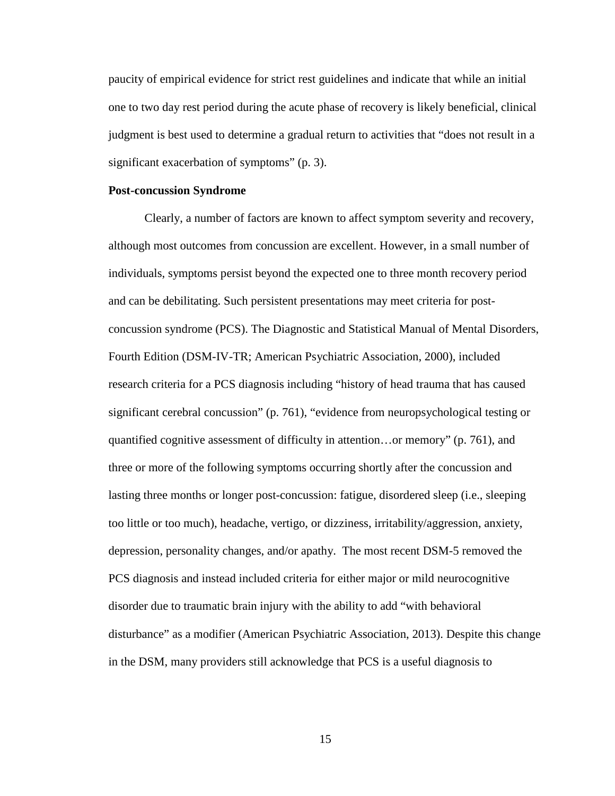paucity of empirical evidence for strict rest guidelines and indicate that while an initial one to two day rest period during the acute phase of recovery is likely beneficial, clinical judgment is best used to determine a gradual return to activities that "does not result in a significant exacerbation of symptoms" (p. 3).

## **Post-concussion Syndrome**

Clearly, a number of factors are known to affect symptom severity and recovery, although most outcomes from concussion are excellent. However, in a small number of individuals, symptoms persist beyond the expected one to three month recovery period and can be debilitating. Such persistent presentations may meet criteria for postconcussion syndrome (PCS). The Diagnostic and Statistical Manual of Mental Disorders, Fourth Edition (DSM-IV-TR; American Psychiatric Association, 2000), included research criteria for a PCS diagnosis including "history of head trauma that has caused significant cerebral concussion" (p. 761), "evidence from neuropsychological testing or quantified cognitive assessment of difficulty in attention…or memory" (p. 761), and three or more of the following symptoms occurring shortly after the concussion and lasting three months or longer post-concussion: fatigue, disordered sleep (i.e., sleeping too little or too much), headache, vertigo, or dizziness, irritability/aggression, anxiety, depression, personality changes, and/or apathy. The most recent DSM-5 removed the PCS diagnosis and instead included criteria for either major or mild neurocognitive disorder due to traumatic brain injury with the ability to add "with behavioral disturbance" as a modifier (American Psychiatric Association, 2013). Despite this change in the DSM, many providers still acknowledge that PCS is a useful diagnosis to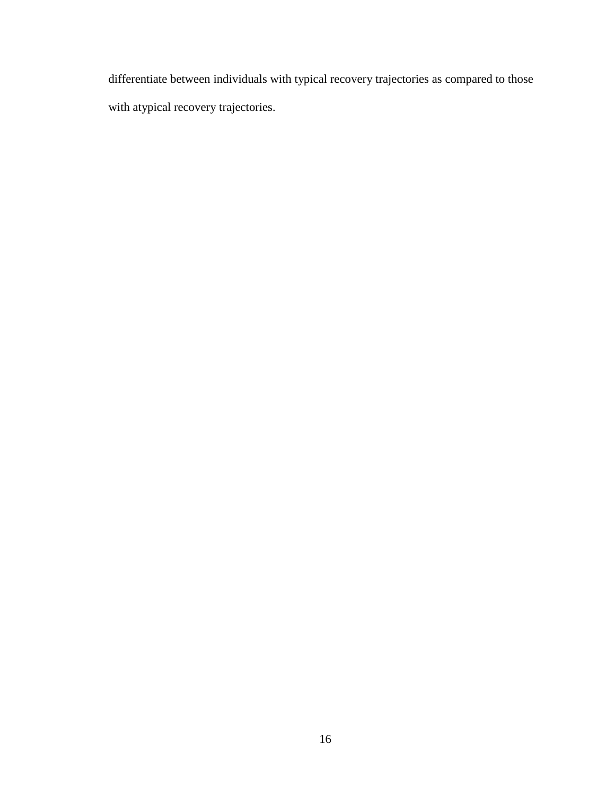differentiate between individuals with typical recovery trajectories as compared to those with atypical recovery trajectories.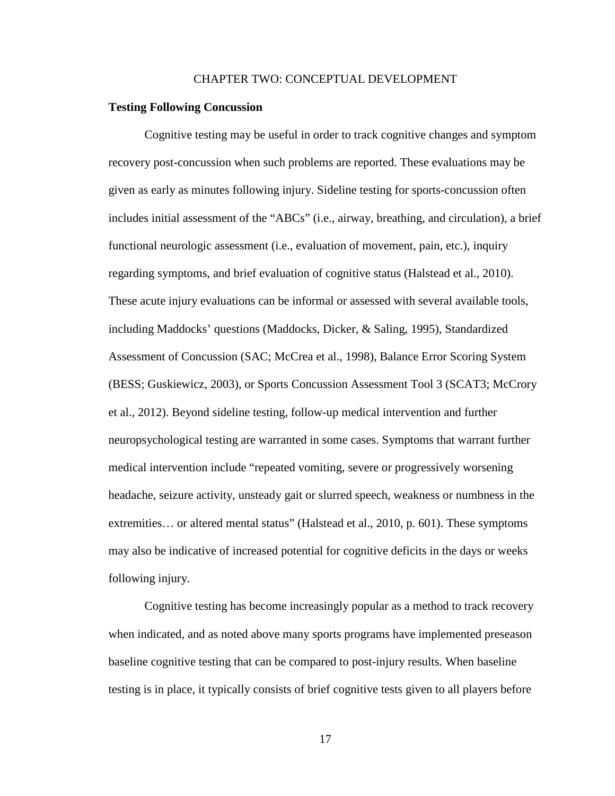#### CHAPTER TWO: CONCEPTUAL DEVELOPMENT

#### **Testing Following Concussion**

Cognitive testing may be useful in order to track cognitive changes and symptom recovery post-concussion when such problems are reported. These evaluations may be given as early as minutes following injury. Sideline testing for sports-concussion often includes initial assessment of the "ABCs" (i.e., airway, breathing, and circulation), a brief functional neurologic assessment (i.e., evaluation of movement, pain, etc.), inquiry regarding symptoms, and brief evaluation of cognitive status (Halstead et al., 2010). These acute injury evaluations can be informal or assessed with several available tools, including Maddocks' questions (Maddocks, Dicker, & Saling, 1995), Standardized Assessment of Concussion (SAC; McCrea et al., 1998), Balance Error Scoring System (BESS; Guskiewicz, 2003), or Sports Concussion Assessment Tool 3 (SCAT3; McCrory et al., 2012). Beyond sideline testing, follow-up medical intervention and further neuropsychological testing are warranted in some cases. Symptoms that warrant further medical intervention include "repeated vomiting, severe or progressively worsening headache, seizure activity, unsteady gait or slurred speech, weakness or numbness in the extremities… or altered mental status" (Halstead et al., 2010, p. 601). These symptoms may also be indicative of increased potential for cognitive deficits in the days or weeks following injury.

Cognitive testing has become increasingly popular as a method to track recovery when indicated, and as noted above many sports programs have implemented preseason baseline cognitive testing that can be compared to post-injury results. When baseline testing is in place, it typically consists of brief cognitive tests given to all players before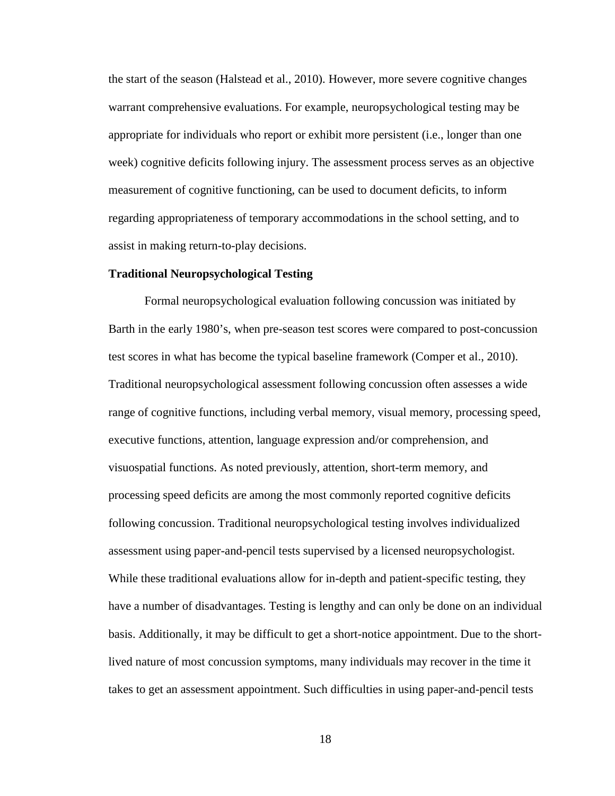the start of the season (Halstead et al., 2010). However, more severe cognitive changes warrant comprehensive evaluations. For example, neuropsychological testing may be appropriate for individuals who report or exhibit more persistent (i.e., longer than one week) cognitive deficits following injury. The assessment process serves as an objective measurement of cognitive functioning, can be used to document deficits, to inform regarding appropriateness of temporary accommodations in the school setting, and to assist in making return-to-play decisions.

#### **Traditional Neuropsychological Testing**

Formal neuropsychological evaluation following concussion was initiated by Barth in the early 1980's, when pre-season test scores were compared to post-concussion test scores in what has become the typical baseline framework (Comper et al., 2010). Traditional neuropsychological assessment following concussion often assesses a wide range of cognitive functions, including verbal memory, visual memory, processing speed, executive functions, attention, language expression and/or comprehension, and visuospatial functions. As noted previously, attention, short-term memory, and processing speed deficits are among the most commonly reported cognitive deficits following concussion. Traditional neuropsychological testing involves individualized assessment using paper-and-pencil tests supervised by a licensed neuropsychologist. While these traditional evaluations allow for in-depth and patient-specific testing, they have a number of disadvantages. Testing is lengthy and can only be done on an individual basis. Additionally, it may be difficult to get a short-notice appointment. Due to the shortlived nature of most concussion symptoms, many individuals may recover in the time it takes to get an assessment appointment. Such difficulties in using paper-and-pencil tests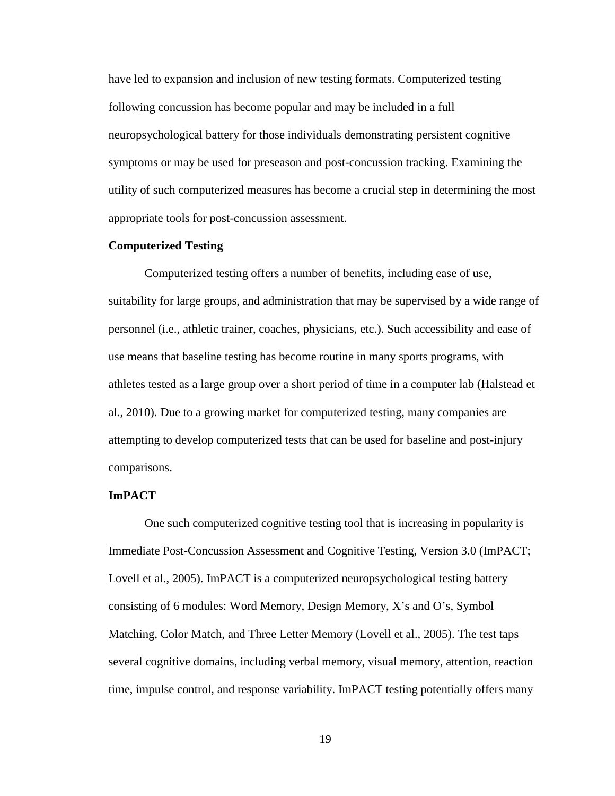have led to expansion and inclusion of new testing formats. Computerized testing following concussion has become popular and may be included in a full neuropsychological battery for those individuals demonstrating persistent cognitive symptoms or may be used for preseason and post-concussion tracking. Examining the utility of such computerized measures has become a crucial step in determining the most appropriate tools for post-concussion assessment.

# **Computerized Testing**

Computerized testing offers a number of benefits, including ease of use, suitability for large groups, and administration that may be supervised by a wide range of personnel (i.e., athletic trainer, coaches, physicians, etc.). Such accessibility and ease of use means that baseline testing has become routine in many sports programs, with athletes tested as a large group over a short period of time in a computer lab (Halstead et al., 2010). Due to a growing market for computerized testing, many companies are attempting to develop computerized tests that can be used for baseline and post-injury comparisons.

## **ImPACT**

One such computerized cognitive testing tool that is increasing in popularity is Immediate Post-Concussion Assessment and Cognitive Testing, Version 3.0 (ImPACT; Lovell et al., 2005). ImPACT is a computerized neuropsychological testing battery consisting of 6 modules: Word Memory, Design Memory, X's and O's, Symbol Matching, Color Match, and Three Letter Memory (Lovell et al., 2005). The test taps several cognitive domains, including verbal memory, visual memory, attention, reaction time, impulse control, and response variability. ImPACT testing potentially offers many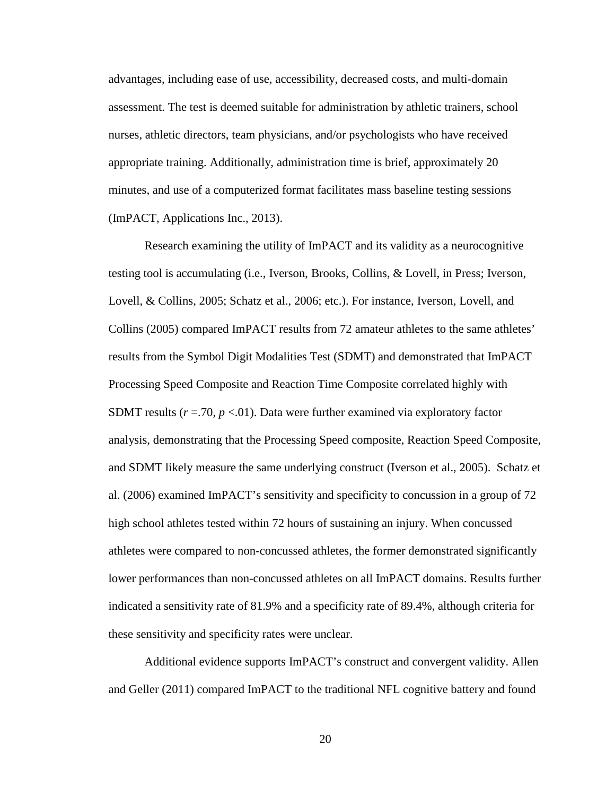advantages, including ease of use, accessibility, decreased costs, and multi-domain assessment. The test is deemed suitable for administration by athletic trainers, school nurses, athletic directors, team physicians, and/or psychologists who have received appropriate training. Additionally, administration time is brief, approximately 20 minutes, and use of a computerized format facilitates mass baseline testing sessions (ImPACT, Applications Inc., 2013).

Research examining the utility of ImPACT and its validity as a neurocognitive testing tool is accumulating (i.e., Iverson, Brooks, Collins, & Lovell, in Press; Iverson, Lovell, & Collins, 2005; Schatz et al., 2006; etc.). For instance, Iverson, Lovell, and Collins (2005) compared ImPACT results from 72 amateur athletes to the same athletes' results from the Symbol Digit Modalities Test (SDMT) and demonstrated that ImPACT Processing Speed Composite and Reaction Time Composite correlated highly with SDMT results  $(r = .70, p < .01)$ . Data were further examined via exploratory factor analysis, demonstrating that the Processing Speed composite, Reaction Speed Composite, and SDMT likely measure the same underlying construct (Iverson et al., 2005). Schatz et al. (2006) examined ImPACT's sensitivity and specificity to concussion in a group of 72 high school athletes tested within 72 hours of sustaining an injury. When concussed athletes were compared to non-concussed athletes, the former demonstrated significantly lower performances than non-concussed athletes on all ImPACT domains. Results further indicated a sensitivity rate of 81.9% and a specificity rate of 89.4%, although criteria for these sensitivity and specificity rates were unclear.

Additional evidence supports ImPACT's construct and convergent validity. Allen and Geller (2011) compared ImPACT to the traditional NFL cognitive battery and found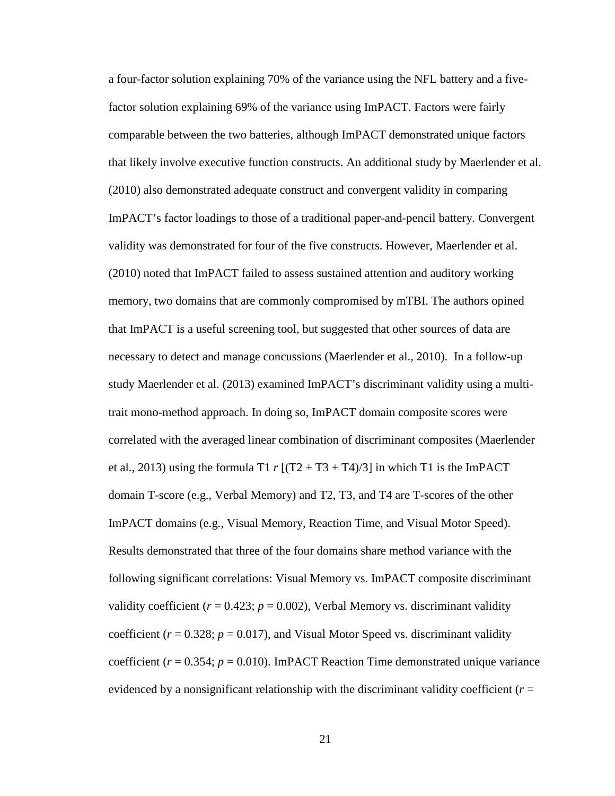a four-factor solution explaining 70% of the variance using the NFL battery and a fivefactor solution explaining 69% of the variance using ImPACT. Factors were fairly comparable between the two batteries, although ImPACT demonstrated unique factors that likely involve executive function constructs. An additional study by Maerlender et al. (2010) also demonstrated adequate construct and convergent validity in comparing ImPACT's factor loadings to those of a traditional paper-and-pencil battery. Convergent validity was demonstrated for four of the five constructs. However, Maerlender et al. (2010) noted that ImPACT failed to assess sustained attention and auditory working memory, two domains that are commonly compromised by mTBI. The authors opined that ImPACT is a useful screening tool, but suggested that other sources of data are necessary to detect and manage concussions (Maerlender et al., 2010). In a follow-up study Maerlender et al. (2013) examined ImPACT's discriminant validity using a multitrait mono-method approach. In doing so, ImPACT domain composite scores were correlated with the averaged linear combination of discriminant composites (Maerlender et al., 2013) using the formula T1  $r [(T2 + T3 + T4)/3]$  in which T1 is the ImPACT domain T-score (e.g., Verbal Memory) and T2, T3, and T4 are T-scores of the other ImPACT domains (e.g., Visual Memory, Reaction Time, and Visual Motor Speed). Results demonstrated that three of the four domains share method variance with the following significant correlations: Visual Memory vs. ImPACT composite discriminant validity coefficient  $(r = 0.423; p = 0.002)$ , Verbal Memory vs. discriminant validity coefficient ( $r = 0.328$ ;  $p = 0.017$ ), and Visual Motor Speed vs. discriminant validity coefficient ( $r = 0.354$ ;  $p = 0.010$ ). ImPACT Reaction Time demonstrated unique variance evidenced by a nonsignificant relationship with the discriminant validity coefficient (*r* =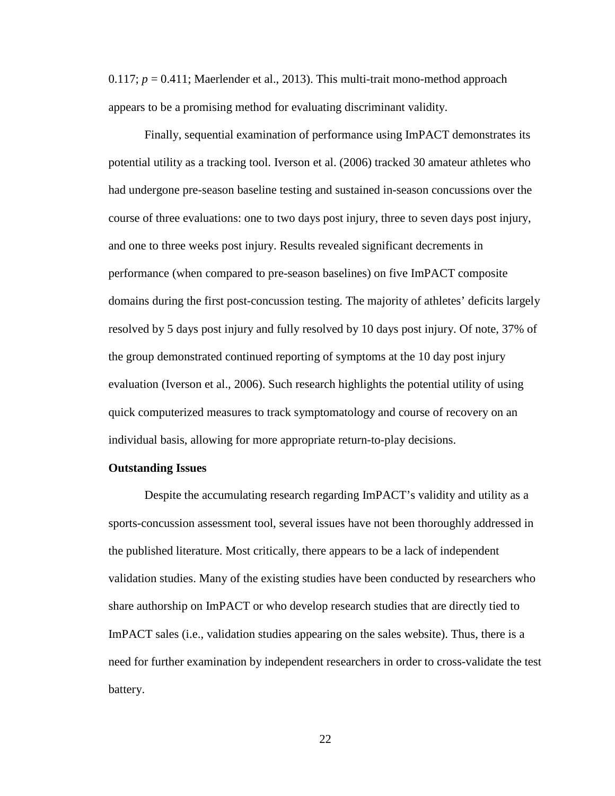0.117;  $p = 0.411$ ; Maerlender et al., 2013). This multi-trait mono-method approach appears to be a promising method for evaluating discriminant validity.

Finally, sequential examination of performance using ImPACT demonstrates its potential utility as a tracking tool. Iverson et al. (2006) tracked 30 amateur athletes who had undergone pre-season baseline testing and sustained in-season concussions over the course of three evaluations: one to two days post injury, three to seven days post injury, and one to three weeks post injury. Results revealed significant decrements in performance (when compared to pre-season baselines) on five ImPACT composite domains during the first post-concussion testing. The majority of athletes' deficits largely resolved by 5 days post injury and fully resolved by 10 days post injury. Of note, 37% of the group demonstrated continued reporting of symptoms at the 10 day post injury evaluation (Iverson et al., 2006). Such research highlights the potential utility of using quick computerized measures to track symptomatology and course of recovery on an individual basis, allowing for more appropriate return-to-play decisions.

#### **Outstanding Issues**

Despite the accumulating research regarding ImPACT's validity and utility as a sports-concussion assessment tool, several issues have not been thoroughly addressed in the published literature. Most critically, there appears to be a lack of independent validation studies. Many of the existing studies have been conducted by researchers who share authorship on ImPACT or who develop research studies that are directly tied to ImPACT sales (i.e., validation studies appearing on the sales website). Thus, there is a need for further examination by independent researchers in order to cross-validate the test battery.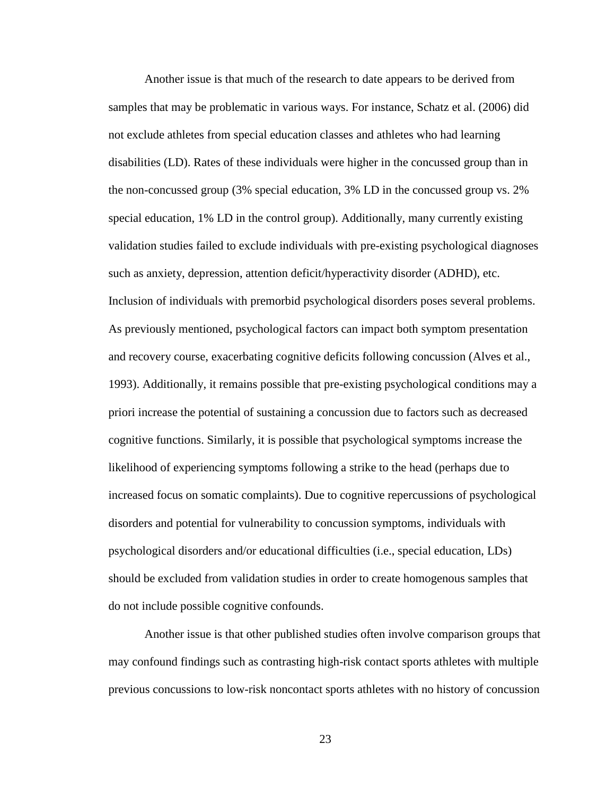Another issue is that much of the research to date appears to be derived from samples that may be problematic in various ways. For instance, Schatz et al. (2006) did not exclude athletes from special education classes and athletes who had learning disabilities (LD). Rates of these individuals were higher in the concussed group than in the non-concussed group (3% special education, 3% LD in the concussed group vs. 2% special education, 1% LD in the control group). Additionally, many currently existing validation studies failed to exclude individuals with pre-existing psychological diagnoses such as anxiety, depression, attention deficit/hyperactivity disorder (ADHD), etc. Inclusion of individuals with premorbid psychological disorders poses several problems. As previously mentioned, psychological factors can impact both symptom presentation and recovery course, exacerbating cognitive deficits following concussion (Alves et al., 1993). Additionally, it remains possible that pre-existing psychological conditions may a priori increase the potential of sustaining a concussion due to factors such as decreased cognitive functions. Similarly, it is possible that psychological symptoms increase the likelihood of experiencing symptoms following a strike to the head (perhaps due to increased focus on somatic complaints). Due to cognitive repercussions of psychological disorders and potential for vulnerability to concussion symptoms, individuals with psychological disorders and/or educational difficulties (i.e., special education, LDs) should be excluded from validation studies in order to create homogenous samples that do not include possible cognitive confounds.

Another issue is that other published studies often involve comparison groups that may confound findings such as contrasting high-risk contact sports athletes with multiple previous concussions to low-risk noncontact sports athletes with no history of concussion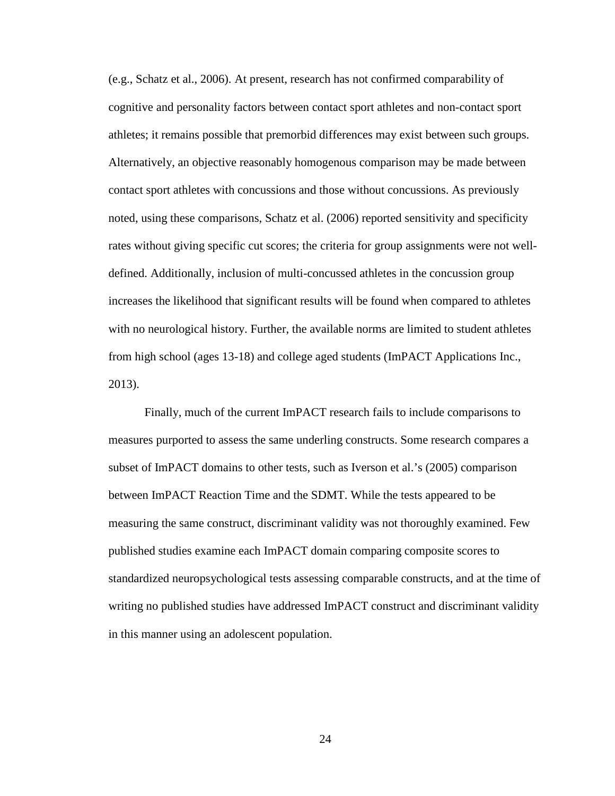(e.g., Schatz et al., 2006). At present, research has not confirmed comparability of cognitive and personality factors between contact sport athletes and non-contact sport athletes; it remains possible that premorbid differences may exist between such groups. Alternatively, an objective reasonably homogenous comparison may be made between contact sport athletes with concussions and those without concussions. As previously noted, using these comparisons, Schatz et al. (2006) reported sensitivity and specificity rates without giving specific cut scores; the criteria for group assignments were not welldefined. Additionally, inclusion of multi-concussed athletes in the concussion group increases the likelihood that significant results will be found when compared to athletes with no neurological history. Further, the available norms are limited to student athletes from high school (ages 13-18) and college aged students (ImPACT Applications Inc., 2013).

Finally, much of the current ImPACT research fails to include comparisons to measures purported to assess the same underling constructs. Some research compares a subset of ImPACT domains to other tests, such as Iverson et al.'s (2005) comparison between ImPACT Reaction Time and the SDMT. While the tests appeared to be measuring the same construct, discriminant validity was not thoroughly examined. Few published studies examine each ImPACT domain comparing composite scores to standardized neuropsychological tests assessing comparable constructs, and at the time of writing no published studies have addressed ImPACT construct and discriminant validity in this manner using an adolescent population.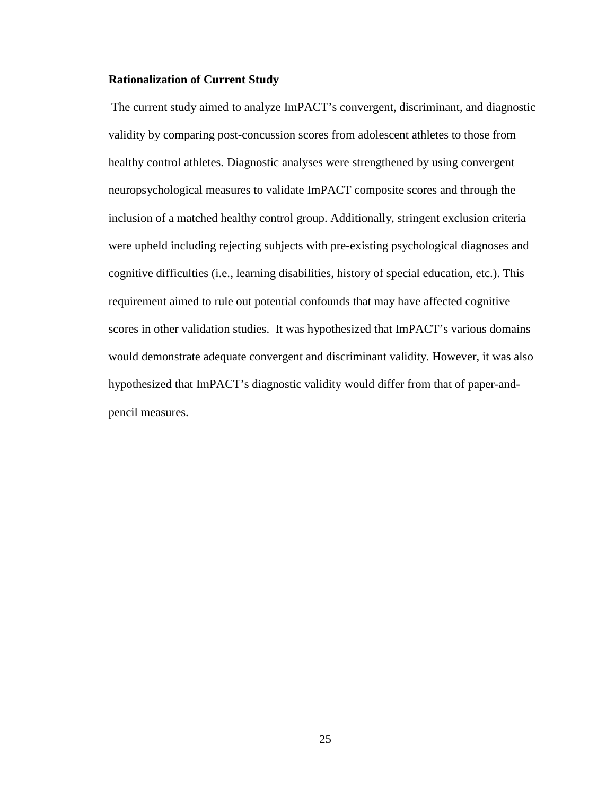## **Rationalization of Current Study**

The current study aimed to analyze ImPACT's convergent, discriminant, and diagnostic validity by comparing post-concussion scores from adolescent athletes to those from healthy control athletes. Diagnostic analyses were strengthened by using convergent neuropsychological measures to validate ImPACT composite scores and through the inclusion of a matched healthy control group. Additionally, stringent exclusion criteria were upheld including rejecting subjects with pre-existing psychological diagnoses and cognitive difficulties (i.e., learning disabilities, history of special education, etc.). This requirement aimed to rule out potential confounds that may have affected cognitive scores in other validation studies. It was hypothesized that ImPACT's various domains would demonstrate adequate convergent and discriminant validity. However, it was also hypothesized that ImPACT's diagnostic validity would differ from that of paper-andpencil measures.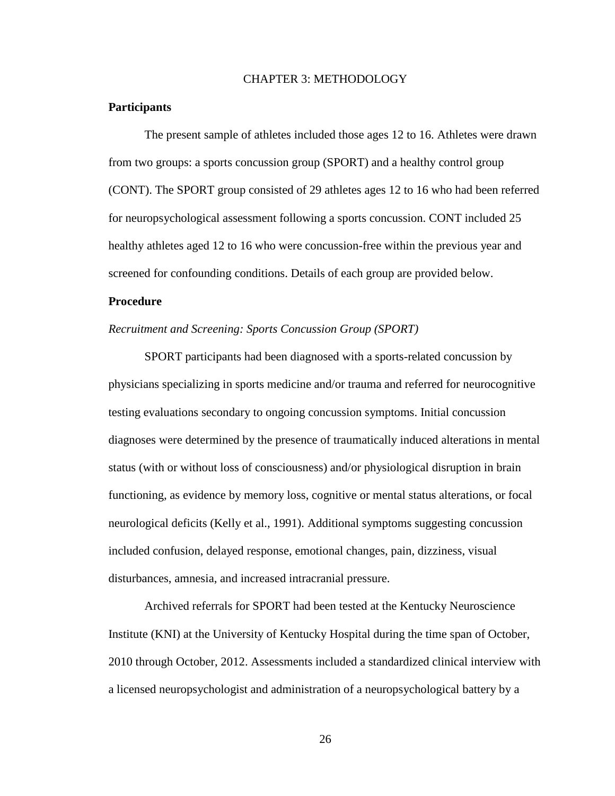# CHAPTER 3: METHODOLOGY

## **Participants**

The present sample of athletes included those ages 12 to 16. Athletes were drawn from two groups: a sports concussion group (SPORT) and a healthy control group (CONT). The SPORT group consisted of 29 athletes ages 12 to 16 who had been referred for neuropsychological assessment following a sports concussion. CONT included 25 healthy athletes aged 12 to 16 who were concussion-free within the previous year and screened for confounding conditions. Details of each group are provided below.

# **Procedure**

# *Recruitment and Screening: Sports Concussion Group (SPORT)*

SPORT participants had been diagnosed with a sports-related concussion by physicians specializing in sports medicine and/or trauma and referred for neurocognitive testing evaluations secondary to ongoing concussion symptoms. Initial concussion diagnoses were determined by the presence of traumatically induced alterations in mental status (with or without loss of consciousness) and/or physiological disruption in brain functioning, as evidence by memory loss, cognitive or mental status alterations, or focal neurological deficits (Kelly et al., 1991). Additional symptoms suggesting concussion included confusion, delayed response, emotional changes, pain, dizziness, visual disturbances, amnesia, and increased intracranial pressure.

Archived referrals for SPORT had been tested at the Kentucky Neuroscience Institute (KNI) at the University of Kentucky Hospital during the time span of October, 2010 through October, 2012. Assessments included a standardized clinical interview with a licensed neuropsychologist and administration of a neuropsychological battery by a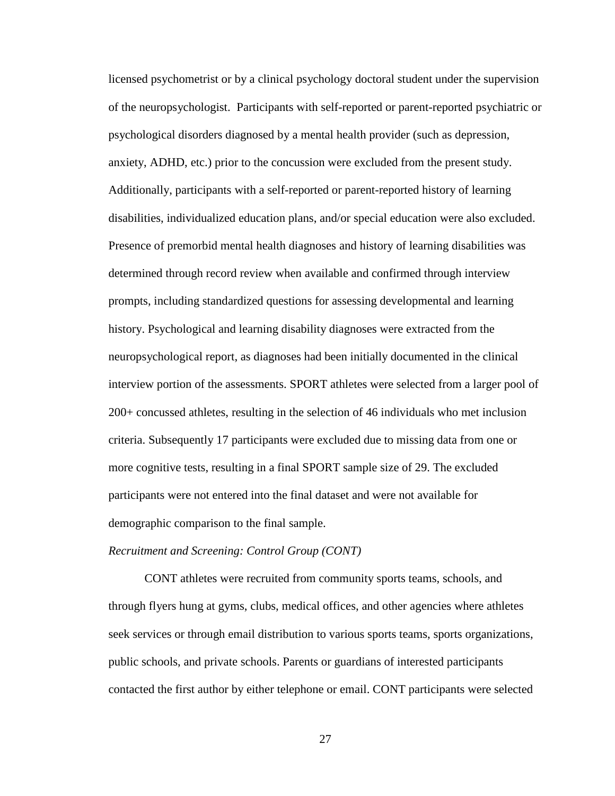licensed psychometrist or by a clinical psychology doctoral student under the supervision of the neuropsychologist. Participants with self-reported or parent-reported psychiatric or psychological disorders diagnosed by a mental health provider (such as depression, anxiety, ADHD, etc.) prior to the concussion were excluded from the present study. Additionally, participants with a self-reported or parent-reported history of learning disabilities, individualized education plans, and/or special education were also excluded. Presence of premorbid mental health diagnoses and history of learning disabilities was determined through record review when available and confirmed through interview prompts, including standardized questions for assessing developmental and learning history. Psychological and learning disability diagnoses were extracted from the neuropsychological report, as diagnoses had been initially documented in the clinical interview portion of the assessments. SPORT athletes were selected from a larger pool of 200+ concussed athletes, resulting in the selection of 46 individuals who met inclusion criteria. Subsequently 17 participants were excluded due to missing data from one or more cognitive tests, resulting in a final SPORT sample size of 29. The excluded participants were not entered into the final dataset and were not available for demographic comparison to the final sample.

#### *Recruitment and Screening: Control Group (CONT)*

CONT athletes were recruited from community sports teams, schools, and through flyers hung at gyms, clubs, medical offices, and other agencies where athletes seek services or through email distribution to various sports teams, sports organizations, public schools, and private schools. Parents or guardians of interested participants contacted the first author by either telephone or email. CONT participants were selected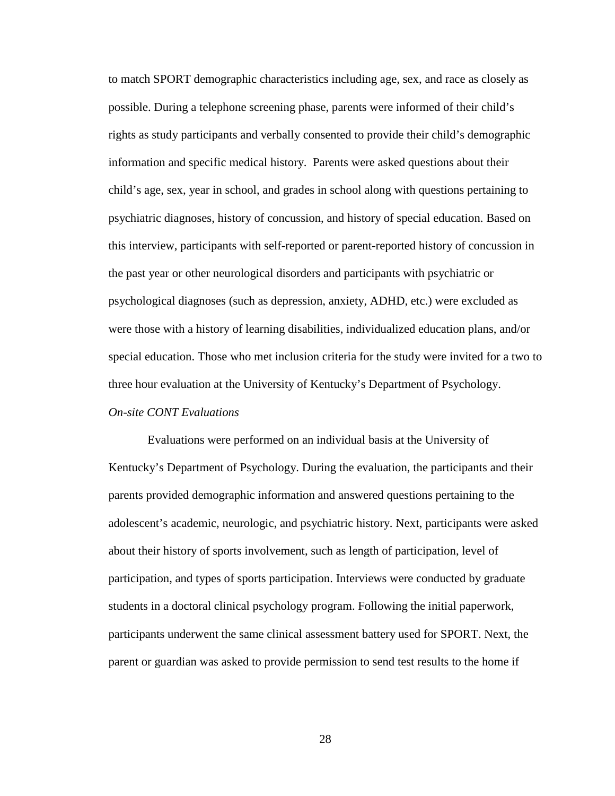to match SPORT demographic characteristics including age, sex, and race as closely as possible. During a telephone screening phase, parents were informed of their child's rights as study participants and verbally consented to provide their child's demographic information and specific medical history. Parents were asked questions about their child's age, sex, year in school, and grades in school along with questions pertaining to psychiatric diagnoses, history of concussion, and history of special education. Based on this interview, participants with self-reported or parent-reported history of concussion in the past year or other neurological disorders and participants with psychiatric or psychological diagnoses (such as depression, anxiety, ADHD, etc.) were excluded as were those with a history of learning disabilities, individualized education plans, and/or special education. Those who met inclusion criteria for the study were invited for a two to three hour evaluation at the University of Kentucky's Department of Psychology.

## *On-site CONT Evaluations*

Evaluations were performed on an individual basis at the University of Kentucky's Department of Psychology. During the evaluation, the participants and their parents provided demographic information and answered questions pertaining to the adolescent's academic, neurologic, and psychiatric history. Next, participants were asked about their history of sports involvement, such as length of participation, level of participation, and types of sports participation. Interviews were conducted by graduate students in a doctoral clinical psychology program. Following the initial paperwork, participants underwent the same clinical assessment battery used for SPORT. Next, the parent or guardian was asked to provide permission to send test results to the home if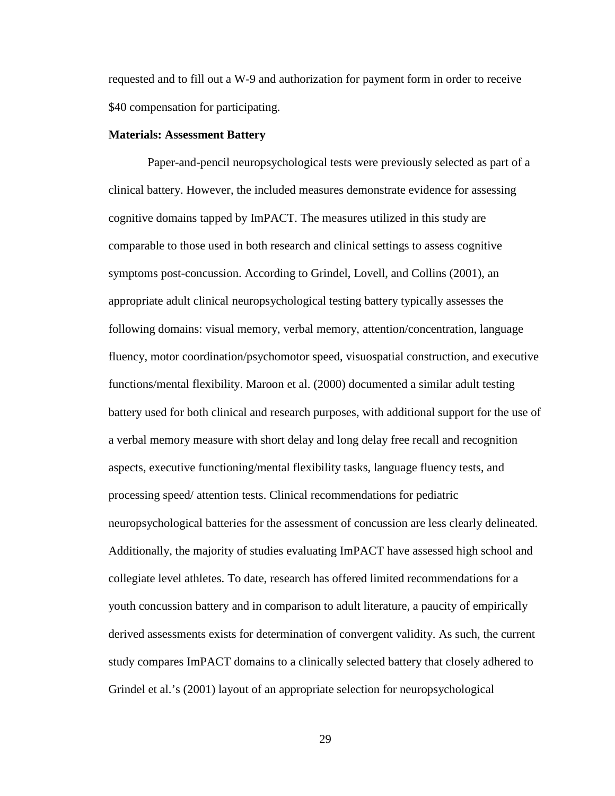requested and to fill out a W-9 and authorization for payment form in order to receive \$40 compensation for participating.

## **Materials: Assessment Battery**

Paper-and-pencil neuropsychological tests were previously selected as part of a clinical battery. However, the included measures demonstrate evidence for assessing cognitive domains tapped by ImPACT. The measures utilized in this study are comparable to those used in both research and clinical settings to assess cognitive symptoms post-concussion. According to Grindel, Lovell, and Collins (2001), an appropriate adult clinical neuropsychological testing battery typically assesses the following domains: visual memory, verbal memory, attention/concentration, language fluency, motor coordination/psychomotor speed, visuospatial construction, and executive functions/mental flexibility. Maroon et al. (2000) documented a similar adult testing battery used for both clinical and research purposes, with additional support for the use of a verbal memory measure with short delay and long delay free recall and recognition aspects, executive functioning/mental flexibility tasks, language fluency tests, and processing speed/ attention tests. Clinical recommendations for pediatric neuropsychological batteries for the assessment of concussion are less clearly delineated. Additionally, the majority of studies evaluating ImPACT have assessed high school and collegiate level athletes. To date, research has offered limited recommendations for a youth concussion battery and in comparison to adult literature, a paucity of empirically derived assessments exists for determination of convergent validity. As such, the current study compares ImPACT domains to a clinically selected battery that closely adhered to Grindel et al.'s (2001) layout of an appropriate selection for neuropsychological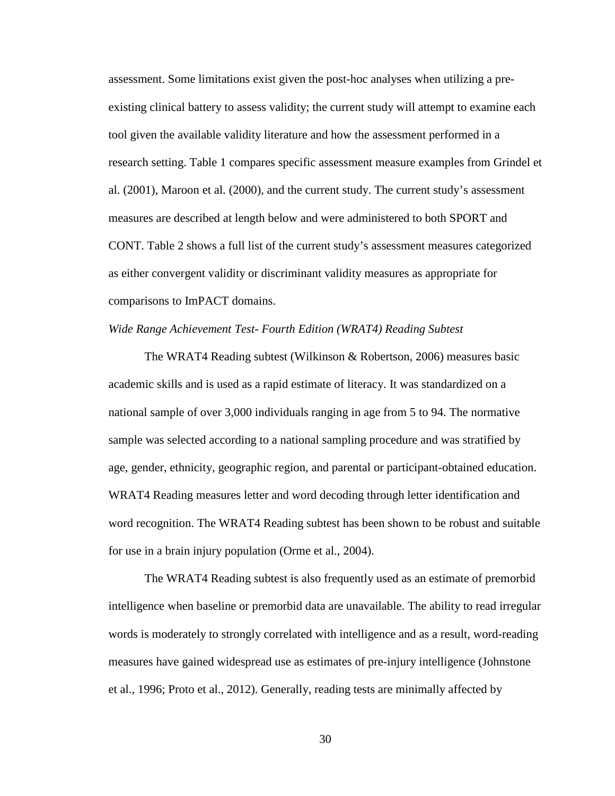assessment. Some limitations exist given the post-hoc analyses when utilizing a preexisting clinical battery to assess validity; the current study will attempt to examine each tool given the available validity literature and how the assessment performed in a research setting. Table 1 compares specific assessment measure examples from Grindel et al. (2001), Maroon et al. (2000), and the current study. The current study's assessment measures are described at length below and were administered to both SPORT and CONT. Table 2 shows a full list of the current study's assessment measures categorized as either convergent validity or discriminant validity measures as appropriate for comparisons to ImPACT domains.

## *Wide Range Achievement Test- Fourth Edition (WRAT4) Reading Subtest*

The WRAT4 Reading subtest (Wilkinson & Robertson, 2006) measures basic academic skills and is used as a rapid estimate of literacy. It was standardized on a national sample of over 3,000 individuals ranging in age from 5 to 94. The normative sample was selected according to a national sampling procedure and was stratified by age, gender, ethnicity, geographic region, and parental or participant-obtained education. WRAT4 Reading measures letter and word decoding through letter identification and word recognition. The WRAT4 Reading subtest has been shown to be robust and suitable for use in a brain injury population (Orme et al., 2004).

The WRAT4 Reading subtest is also frequently used as an estimate of premorbid intelligence when baseline or premorbid data are unavailable. The ability to read irregular words is moderately to strongly correlated with intelligence and as a result, word-reading measures have gained widespread use as estimates of pre-injury intelligence (Johnstone et al., 1996; Proto et al., 2012). Generally, reading tests are minimally affected by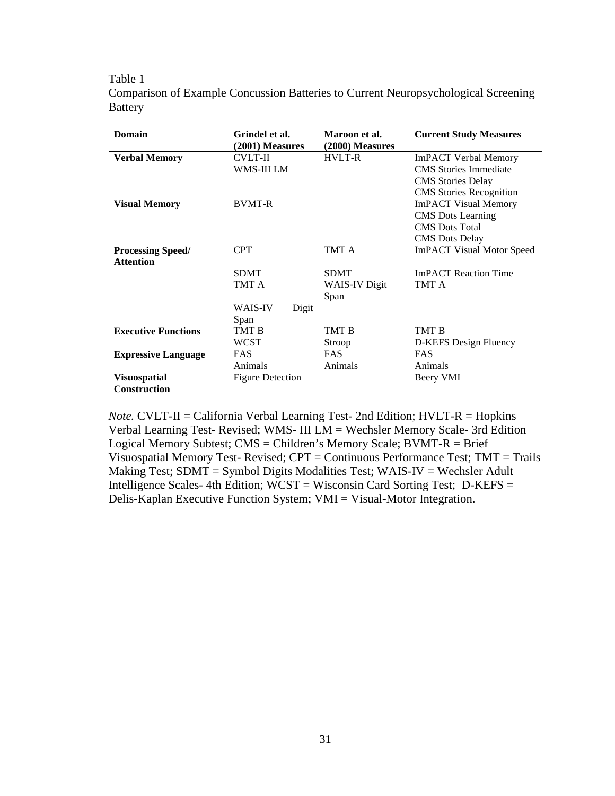### Table 1

|         |  |  | Comparison of Example Concussion Batteries to Current Neuropsychological Screening |  |
|---------|--|--|------------------------------------------------------------------------------------|--|
| Battery |  |  |                                                                                    |  |

| <b>Domain</b>              | Grindel et al.          | Maroon et al.     | <b>Current Study Measures</b>    |
|----------------------------|-------------------------|-------------------|----------------------------------|
|                            | (2001) Measures         | $(2000)$ Measures |                                  |
| <b>Verbal Memory</b>       | <b>CVLT-II</b>          | <b>HVLT-R</b>     | <b>ImPACT Verbal Memory</b>      |
|                            | WMS-III LM              |                   | <b>CMS</b> Stories Immediate     |
|                            |                         |                   | <b>CMS</b> Stories Delay         |
|                            |                         |                   | <b>CMS</b> Stories Recognition   |
| <b>Visual Memory</b>       | <b>BVMT-R</b>           |                   | <b>ImPACT Visual Memory</b>      |
|                            |                         |                   | <b>CMS</b> Dots Learning         |
|                            |                         |                   | <b>CMS</b> Dots Total            |
|                            |                         |                   | <b>CMS</b> Dots Delay            |
| <b>Processing Speed/</b>   | <b>CPT</b>              | TMT A             | <b>ImPACT Visual Motor Speed</b> |
| <b>Attention</b>           |                         |                   |                                  |
|                            | <b>SDMT</b>             | <b>SDMT</b>       | <b>ImPACT</b> Reaction Time      |
|                            | TMT A                   | WAIS-IV Digit     | TMT A                            |
|                            |                         | Span              |                                  |
|                            | <b>WAIS-IV</b><br>Digit |                   |                                  |
|                            | Span                    |                   |                                  |
| <b>Executive Functions</b> | TMT B                   | TMT B             | TMT B                            |
|                            | WCST                    | Stroop            | D-KEFS Design Fluency            |
| <b>Expressive Language</b> | <b>FAS</b>              | <b>FAS</b>        | <b>FAS</b>                       |
|                            | Animals                 | Animals           | Animals                          |
| <b>Visuospatial</b>        | <b>Figure Detection</b> |                   | Beery VMI                        |
| <b>Construction</b>        |                         |                   |                                  |

*Note.* CVLT-II = California Verbal Learning Test- 2nd Edition; HVLT-R = Hopkins Verbal Learning Test- Revised; WMS- III LM = Wechsler Memory Scale- 3rd Edition Logical Memory Subtest; CMS = Children's Memory Scale; BVMT-R = Brief Visuospatial Memory Test- Revised; CPT = Continuous Performance Test; TMT = Trails Making Test; SDMT = Symbol Digits Modalities Test; WAIS-IV = Wechsler Adult Intelligence Scales- 4th Edition; WCST = Wisconsin Card Sorting Test; D-KEFS = Delis-Kaplan Executive Function System; VMI = Visual-Motor Integration.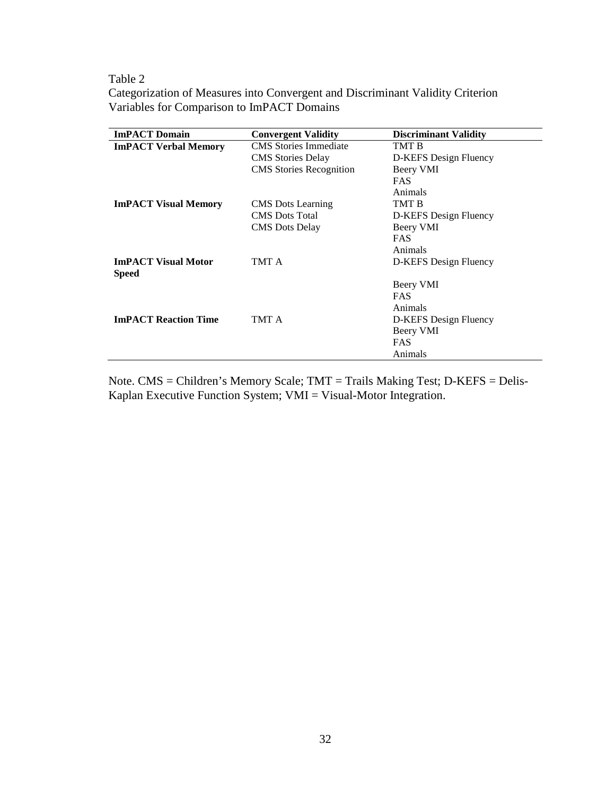Table 2

Categorization of Measures into Convergent and Discriminant Validity Criterion Variables for Comparison to ImPACT Domains

| <b>ImPACT Domain</b>                       | <b>Convergent Validity</b>     | <b>Discriminant Validity</b> |
|--------------------------------------------|--------------------------------|------------------------------|
| <b>ImPACT Verbal Memory</b>                | <b>CMS</b> Stories Immediate   | TMT B                        |
|                                            | <b>CMS</b> Stories Delay       | D-KEFS Design Fluency        |
|                                            | <b>CMS</b> Stories Recognition | Beery VMI                    |
|                                            |                                | <b>FAS</b>                   |
|                                            |                                | Animals                      |
| <b>ImPACT Visual Memory</b>                | <b>CMS</b> Dots Learning       | TMT B                        |
|                                            | <b>CMS</b> Dots Total          | D-KEFS Design Fluency        |
|                                            | <b>CMS</b> Dots Delay          | Beery VMI                    |
|                                            |                                | <b>FAS</b>                   |
|                                            |                                | Animals                      |
| <b>ImPACT Visual Motor</b><br><b>Speed</b> | TMT A                          | D-KEFS Design Fluency        |
|                                            |                                | Beery VMI                    |
|                                            |                                | <b>FAS</b>                   |
|                                            |                                | Animals                      |
| <b>ImPACT Reaction Time</b>                | TMT A                          | D-KEFS Design Fluency        |
|                                            |                                | Beery VMI                    |
|                                            |                                | <b>FAS</b>                   |
|                                            |                                | Animals                      |

Note. CMS = Children's Memory Scale; TMT = Trails Making Test; D-KEFS = Delis-Kaplan Executive Function System; VMI = Visual-Motor Integration.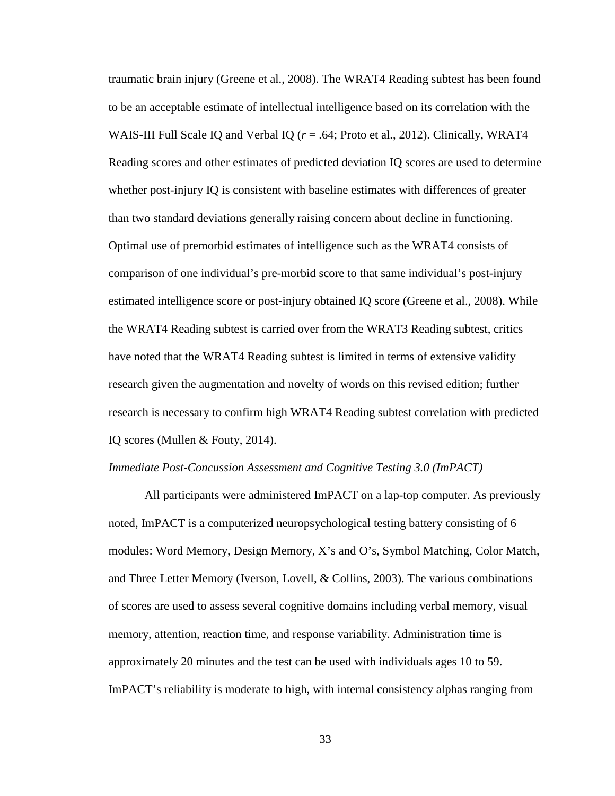traumatic brain injury (Greene et al., 2008). The WRAT4 Reading subtest has been found to be an acceptable estimate of intellectual intelligence based on its correlation with the WAIS-III Full Scale IQ and Verbal IQ ( $r = .64$ ; Proto et al., 2012). Clinically, WRAT4 Reading scores and other estimates of predicted deviation IQ scores are used to determine whether post-injury IQ is consistent with baseline estimates with differences of greater than two standard deviations generally raising concern about decline in functioning. Optimal use of premorbid estimates of intelligence such as the WRAT4 consists of comparison of one individual's pre-morbid score to that same individual's post-injury estimated intelligence score or post-injury obtained IQ score (Greene et al., 2008). While the WRAT4 Reading subtest is carried over from the WRAT3 Reading subtest, critics have noted that the WRAT4 Reading subtest is limited in terms of extensive validity research given the augmentation and novelty of words on this revised edition; further research is necessary to confirm high WRAT4 Reading subtest correlation with predicted IQ scores (Mullen & Fouty, 2014).

## *Immediate Post-Concussion Assessment and Cognitive Testing 3.0 (ImPACT)*

All participants were administered ImPACT on a lap-top computer. As previously noted, ImPACT is a computerized neuropsychological testing battery consisting of 6 modules: Word Memory, Design Memory, X's and O's, Symbol Matching, Color Match, and Three Letter Memory (Iverson, Lovell, & Collins, 2003). The various combinations of scores are used to assess several cognitive domains including verbal memory, visual memory, attention, reaction time, and response variability. Administration time is approximately 20 minutes and the test can be used with individuals ages 10 to 59. ImPACT's reliability is moderate to high, with internal consistency alphas ranging from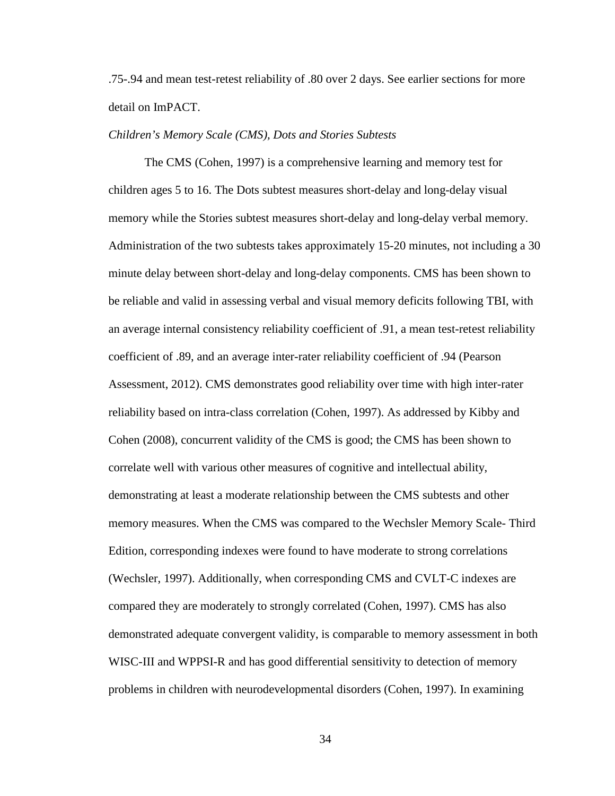.75-.94 and mean test-retest reliability of .80 over 2 days. See earlier sections for more detail on ImPACT.

## *Children's Memory Scale (CMS), Dots and Stories Subtests*

The CMS (Cohen, 1997) is a comprehensive learning and memory test for children ages 5 to 16. The Dots subtest measures short-delay and long-delay visual memory while the Stories subtest measures short-delay and long-delay verbal memory. Administration of the two subtests takes approximately 15-20 minutes, not including a 30 minute delay between short-delay and long-delay components. CMS has been shown to be reliable and valid in assessing verbal and visual memory deficits following TBI, with an average internal consistency reliability coefficient of .91, a mean test-retest reliability coefficient of .89, and an average inter-rater reliability coefficient of .94 (Pearson Assessment, 2012). CMS demonstrates good reliability over time with high inter-rater reliability based on intra-class correlation (Cohen, 1997). As addressed by Kibby and Cohen (2008), concurrent validity of the CMS is good; the CMS has been shown to correlate well with various other measures of cognitive and intellectual ability, demonstrating at least a moderate relationship between the CMS subtests and other memory measures. When the CMS was compared to the Wechsler Memory Scale- Third Edition, corresponding indexes were found to have moderate to strong correlations (Wechsler, 1997). Additionally, when corresponding CMS and CVLT-C indexes are compared they are moderately to strongly correlated (Cohen, 1997). CMS has also demonstrated adequate convergent validity, is comparable to memory assessment in both WISC-III and WPPSI-R and has good differential sensitivity to detection of memory problems in children with neurodevelopmental disorders (Cohen, 1997). In examining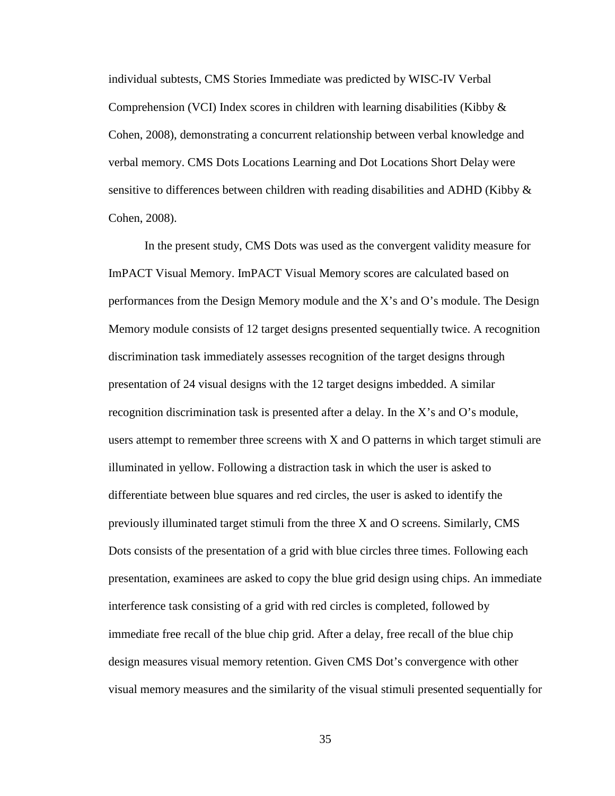individual subtests, CMS Stories Immediate was predicted by WISC-IV Verbal Comprehension (VCI) Index scores in children with learning disabilities (Kibby & Cohen, 2008), demonstrating a concurrent relationship between verbal knowledge and verbal memory. CMS Dots Locations Learning and Dot Locations Short Delay were sensitive to differences between children with reading disabilities and ADHD (Kibby & Cohen, 2008).

In the present study, CMS Dots was used as the convergent validity measure for ImPACT Visual Memory. ImPACT Visual Memory scores are calculated based on performances from the Design Memory module and the X's and O's module. The Design Memory module consists of 12 target designs presented sequentially twice. A recognition discrimination task immediately assesses recognition of the target designs through presentation of 24 visual designs with the 12 target designs imbedded. A similar recognition discrimination task is presented after a delay. In the X's and O's module, users attempt to remember three screens with X and O patterns in which target stimuli are illuminated in yellow. Following a distraction task in which the user is asked to differentiate between blue squares and red circles, the user is asked to identify the previously illuminated target stimuli from the three X and O screens. Similarly, CMS Dots consists of the presentation of a grid with blue circles three times. Following each presentation, examinees are asked to copy the blue grid design using chips. An immediate interference task consisting of a grid with red circles is completed, followed by immediate free recall of the blue chip grid. After a delay, free recall of the blue chip design measures visual memory retention. Given CMS Dot's convergence with other visual memory measures and the similarity of the visual stimuli presented sequentially for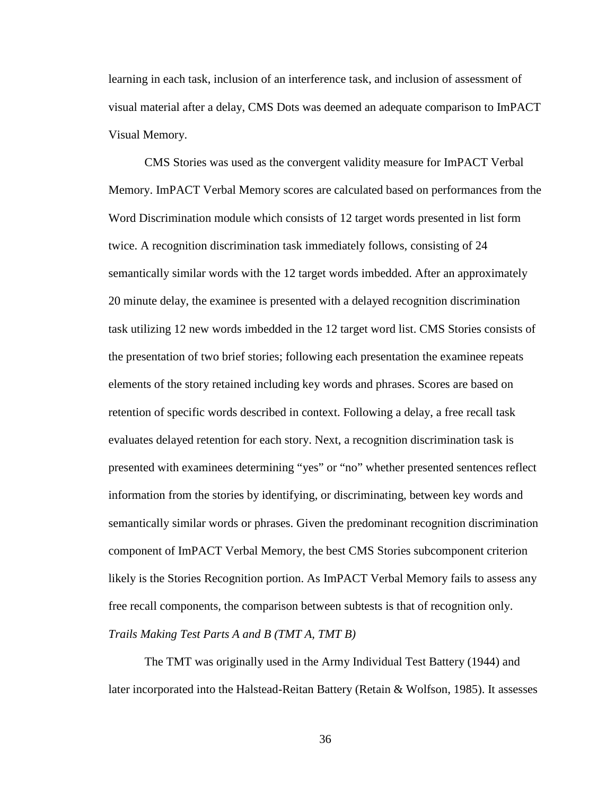learning in each task, inclusion of an interference task, and inclusion of assessment of visual material after a delay, CMS Dots was deemed an adequate comparison to ImPACT Visual Memory.

CMS Stories was used as the convergent validity measure for ImPACT Verbal Memory. ImPACT Verbal Memory scores are calculated based on performances from the Word Discrimination module which consists of 12 target words presented in list form twice. A recognition discrimination task immediately follows, consisting of 24 semantically similar words with the 12 target words imbedded. After an approximately 20 minute delay, the examinee is presented with a delayed recognition discrimination task utilizing 12 new words imbedded in the 12 target word list. CMS Stories consists of the presentation of two brief stories; following each presentation the examinee repeats elements of the story retained including key words and phrases. Scores are based on retention of specific words described in context. Following a delay, a free recall task evaluates delayed retention for each story. Next, a recognition discrimination task is presented with examinees determining "yes" or "no" whether presented sentences reflect information from the stories by identifying, or discriminating, between key words and semantically similar words or phrases. Given the predominant recognition discrimination component of ImPACT Verbal Memory, the best CMS Stories subcomponent criterion likely is the Stories Recognition portion. As ImPACT Verbal Memory fails to assess any free recall components, the comparison between subtests is that of recognition only. *Trails Making Test Parts A and B (TMT A, TMT B)*

The TMT was originally used in the Army Individual Test Battery (1944) and later incorporated into the Halstead-Reitan Battery (Retain & Wolfson, 1985). It assesses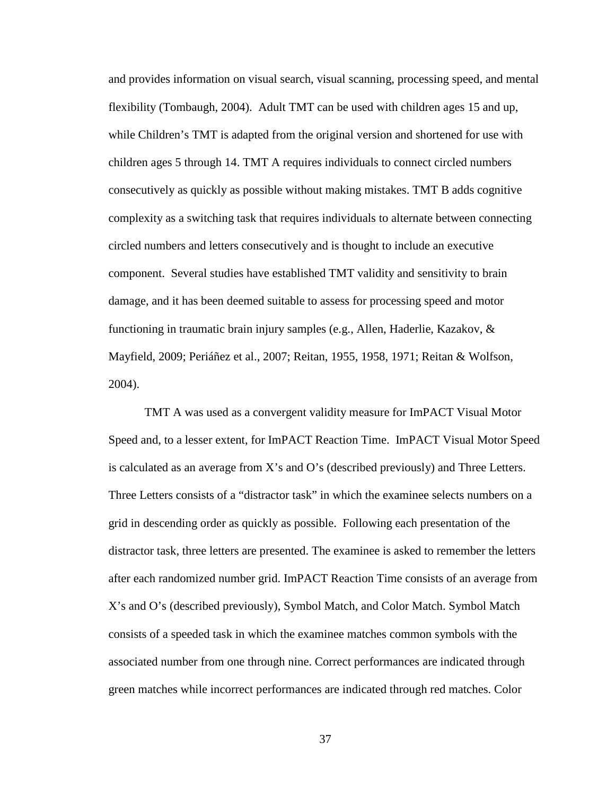and provides information on visual search, visual scanning, processing speed, and mental flexibility (Tombaugh, 2004). Adult TMT can be used with children ages 15 and up, while Children's TMT is adapted from the original version and shortened for use with children ages 5 through 14. TMT A requires individuals to connect circled numbers consecutively as quickly as possible without making mistakes. TMT B adds cognitive complexity as a switching task that requires individuals to alternate between connecting circled numbers and letters consecutively and is thought to include an executive component. Several studies have established TMT validity and sensitivity to brain damage, and it has been deemed suitable to assess for processing speed and motor functioning in traumatic brain injury samples (e.g., Allen, Haderlie, Kazakov, & Mayfield, 2009; Periáñez et al., 2007; Reitan, 1955, 1958, 1971; Reitan & Wolfson, 2004).

TMT A was used as a convergent validity measure for ImPACT Visual Motor Speed and, to a lesser extent, for ImPACT Reaction Time. ImPACT Visual Motor Speed is calculated as an average from X's and O's (described previously) and Three Letters. Three Letters consists of a "distractor task" in which the examinee selects numbers on a grid in descending order as quickly as possible. Following each presentation of the distractor task, three letters are presented. The examinee is asked to remember the letters after each randomized number grid. ImPACT Reaction Time consists of an average from X's and O's (described previously), Symbol Match, and Color Match. Symbol Match consists of a speeded task in which the examinee matches common symbols with the associated number from one through nine. Correct performances are indicated through green matches while incorrect performances are indicated through red matches. Color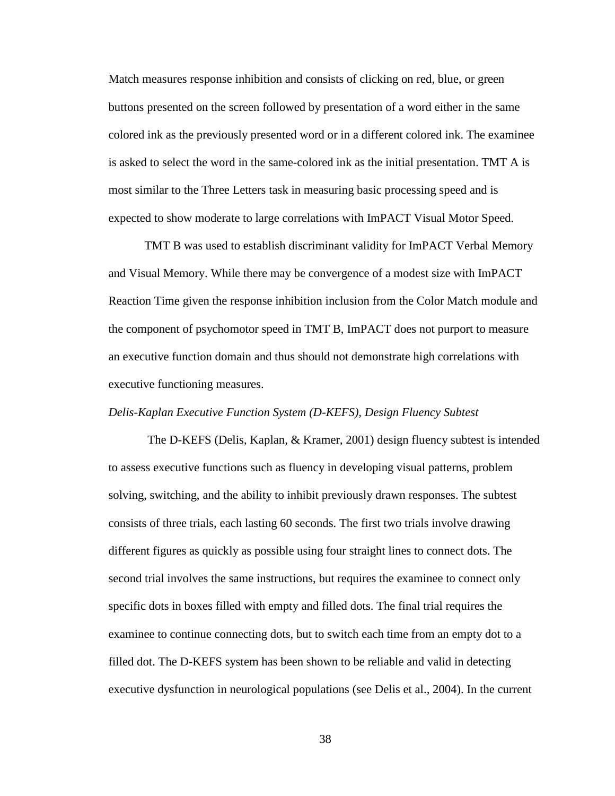Match measures response inhibition and consists of clicking on red, blue, or green buttons presented on the screen followed by presentation of a word either in the same colored ink as the previously presented word or in a different colored ink. The examinee is asked to select the word in the same-colored ink as the initial presentation. TMT A is most similar to the Three Letters task in measuring basic processing speed and is expected to show moderate to large correlations with ImPACT Visual Motor Speed.

TMT B was used to establish discriminant validity for ImPACT Verbal Memory and Visual Memory. While there may be convergence of a modest size with ImPACT Reaction Time given the response inhibition inclusion from the Color Match module and the component of psychomotor speed in TMT B, ImPACT does not purport to measure an executive function domain and thus should not demonstrate high correlations with executive functioning measures.

#### *Delis-Kaplan Executive Function System (D-KEFS), Design Fluency Subtest*

The D-KEFS (Delis, Kaplan, & Kramer, 2001) design fluency subtest is intended to assess executive functions such as fluency in developing visual patterns, problem solving, switching, and the ability to inhibit previously drawn responses. The subtest consists of three trials, each lasting 60 seconds. The first two trials involve drawing different figures as quickly as possible using four straight lines to connect dots. The second trial involves the same instructions, but requires the examinee to connect only specific dots in boxes filled with empty and filled dots. The final trial requires the examinee to continue connecting dots, but to switch each time from an empty dot to a filled dot. The D-KEFS system has been shown to be reliable and valid in detecting executive dysfunction in neurological populations (see Delis et al., 2004). In the current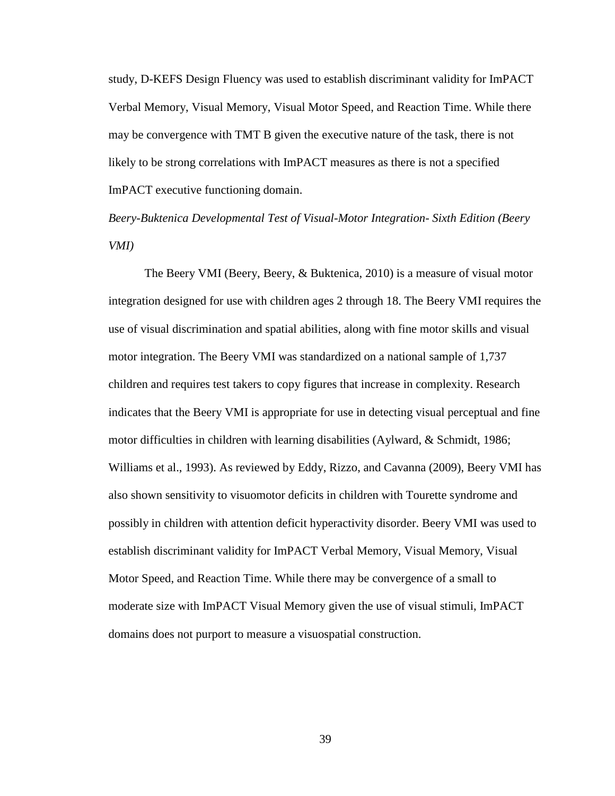study, D-KEFS Design Fluency was used to establish discriminant validity for ImPACT Verbal Memory, Visual Memory, Visual Motor Speed, and Reaction Time. While there may be convergence with TMT B given the executive nature of the task, there is not likely to be strong correlations with ImPACT measures as there is not a specified ImPACT executive functioning domain.

*Beery-Buktenica Developmental Test of Visual-Motor Integration- Sixth Edition (Beery VMI)* 

The Beery VMI (Beery, Beery, & Buktenica, 2010) is a measure of visual motor integration designed for use with children ages 2 through 18. The Beery VMI requires the use of visual discrimination and spatial abilities, along with fine motor skills and visual motor integration. The Beery VMI was standardized on a national sample of 1,737 children and requires test takers to copy figures that increase in complexity. Research indicates that the Beery VMI is appropriate for use in detecting visual perceptual and fine motor difficulties in children with learning disabilities (Aylward, & Schmidt, 1986; Williams et al., 1993). As reviewed by Eddy, Rizzo, and Cavanna (2009), Beery VMI has also shown sensitivity to visuomotor deficits in children with Tourette syndrome and possibly in children with attention deficit hyperactivity disorder. Beery VMI was used to establish discriminant validity for ImPACT Verbal Memory, Visual Memory, Visual Motor Speed, and Reaction Time. While there may be convergence of a small to moderate size with ImPACT Visual Memory given the use of visual stimuli, ImPACT domains does not purport to measure a visuospatial construction.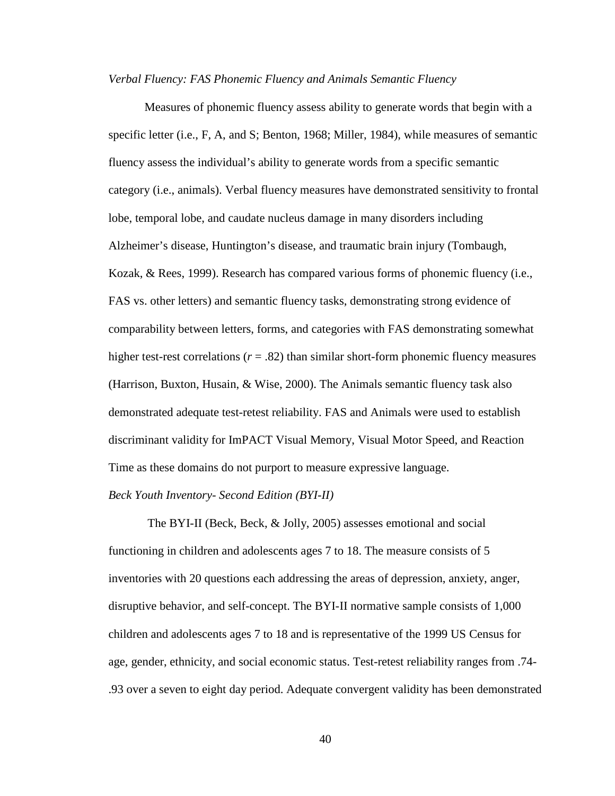#### *Verbal Fluency: FAS Phonemic Fluency and Animals Semantic Fluency*

Measures of phonemic fluency assess ability to generate words that begin with a specific letter (i.e., F, A, and S; Benton, 1968; Miller, 1984), while measures of semantic fluency assess the individual's ability to generate words from a specific semantic category (i.e., animals). Verbal fluency measures have demonstrated sensitivity to frontal lobe, temporal lobe, and caudate nucleus damage in many disorders including Alzheimer's disease, Huntington's disease, and traumatic brain injury (Tombaugh, Kozak, & Rees, 1999). Research has compared various forms of phonemic fluency (i.e., FAS vs. other letters) and semantic fluency tasks, demonstrating strong evidence of comparability between letters, forms, and categories with FAS demonstrating somewhat higher test-rest correlations  $(r = .82)$  than similar short-form phonemic fluency measures (Harrison, Buxton, Husain, & Wise, 2000). The Animals semantic fluency task also demonstrated adequate test-retest reliability. FAS and Animals were used to establish discriminant validity for ImPACT Visual Memory, Visual Motor Speed, and Reaction Time as these domains do not purport to measure expressive language.

#### *Beck Youth Inventory- Second Edition (BYI-II)*

The BYI-II (Beck, Beck, & Jolly, 2005) assesses emotional and social functioning in children and adolescents ages 7 to 18. The measure consists of 5 inventories with 20 questions each addressing the areas of depression, anxiety, anger, disruptive behavior, and self-concept. The BYI-II normative sample consists of 1,000 children and adolescents ages 7 to 18 and is representative of the 1999 US Census for age, gender, ethnicity, and social economic status. Test-retest reliability ranges from .74- .93 over a seven to eight day period. Adequate convergent validity has been demonstrated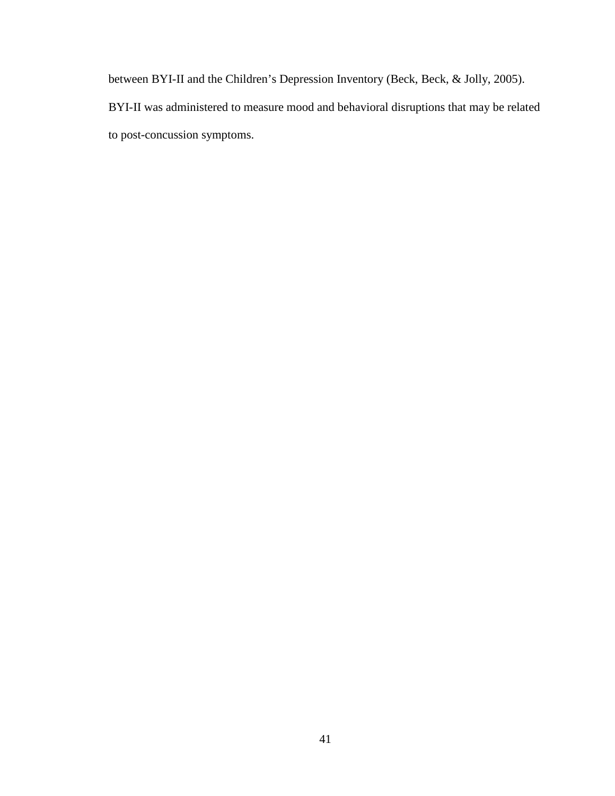between BYI-II and the Children's Depression Inventory (Beck, Beck, & Jolly, 2005). BYI-II was administered to measure mood and behavioral disruptions that may be related to post-concussion symptoms.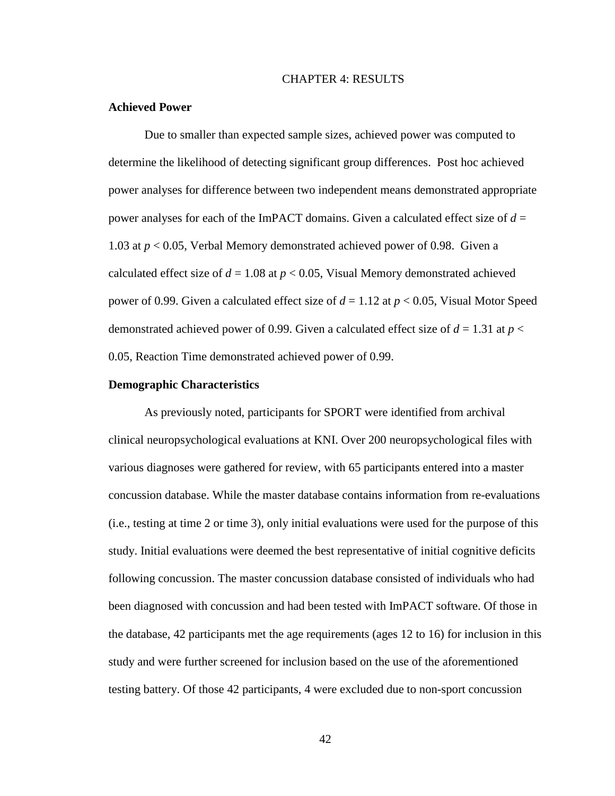## CHAPTER 4: RESULTS

### **Achieved Power**

Due to smaller than expected sample sizes, achieved power was computed to determine the likelihood of detecting significant group differences. Post hoc achieved power analyses for difference between two independent means demonstrated appropriate power analyses for each of the ImPACT domains. Given a calculated effect size of *d* = 1.03 at *p* < 0.05, Verbal Memory demonstrated achieved power of 0.98. Given a calculated effect size of  $d = 1.08$  at  $p < 0.05$ , Visual Memory demonstrated achieved power of 0.99. Given a calculated effect size of *d* = 1.12 at *p* < 0.05, Visual Motor Speed demonstrated achieved power of 0.99. Given a calculated effect size of  $d = 1.31$  at  $p <$ 0.05, Reaction Time demonstrated achieved power of 0.99.

#### **Demographic Characteristics**

As previously noted, participants for SPORT were identified from archival clinical neuropsychological evaluations at KNI. Over 200 neuropsychological files with various diagnoses were gathered for review, with 65 participants entered into a master concussion database. While the master database contains information from re-evaluations (i.e., testing at time 2 or time 3), only initial evaluations were used for the purpose of this study. Initial evaluations were deemed the best representative of initial cognitive deficits following concussion. The master concussion database consisted of individuals who had been diagnosed with concussion and had been tested with ImPACT software. Of those in the database, 42 participants met the age requirements (ages 12 to 16) for inclusion in this study and were further screened for inclusion based on the use of the aforementioned testing battery. Of those 42 participants, 4 were excluded due to non-sport concussion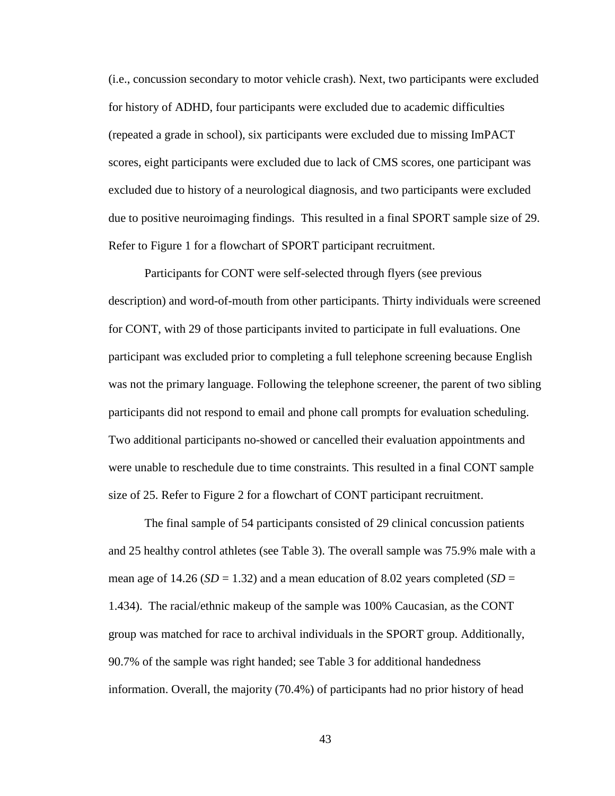(i.e., concussion secondary to motor vehicle crash). Next, two participants were excluded for history of ADHD, four participants were excluded due to academic difficulties (repeated a grade in school), six participants were excluded due to missing ImPACT scores, eight participants were excluded due to lack of CMS scores, one participant was excluded due to history of a neurological diagnosis, and two participants were excluded due to positive neuroimaging findings. This resulted in a final SPORT sample size of 29. Refer to Figure 1 for a flowchart of SPORT participant recruitment.

Participants for CONT were self-selected through flyers (see previous description) and word-of-mouth from other participants. Thirty individuals were screened for CONT, with 29 of those participants invited to participate in full evaluations. One participant was excluded prior to completing a full telephone screening because English was not the primary language. Following the telephone screener, the parent of two sibling participants did not respond to email and phone call prompts for evaluation scheduling. Two additional participants no-showed or cancelled their evaluation appointments and were unable to reschedule due to time constraints. This resulted in a final CONT sample size of 25. Refer to Figure 2 for a flowchart of CONT participant recruitment.

The final sample of 54 participants consisted of 29 clinical concussion patients and 25 healthy control athletes (see Table 3). The overall sample was 75.9% male with a mean age of 14.26 ( $SD = 1.32$ ) and a mean education of 8.02 years completed ( $SD =$ 1.434). The racial/ethnic makeup of the sample was 100% Caucasian, as the CONT group was matched for race to archival individuals in the SPORT group. Additionally, 90.7% of the sample was right handed; see Table 3 for additional handedness information. Overall, the majority (70.4%) of participants had no prior history of head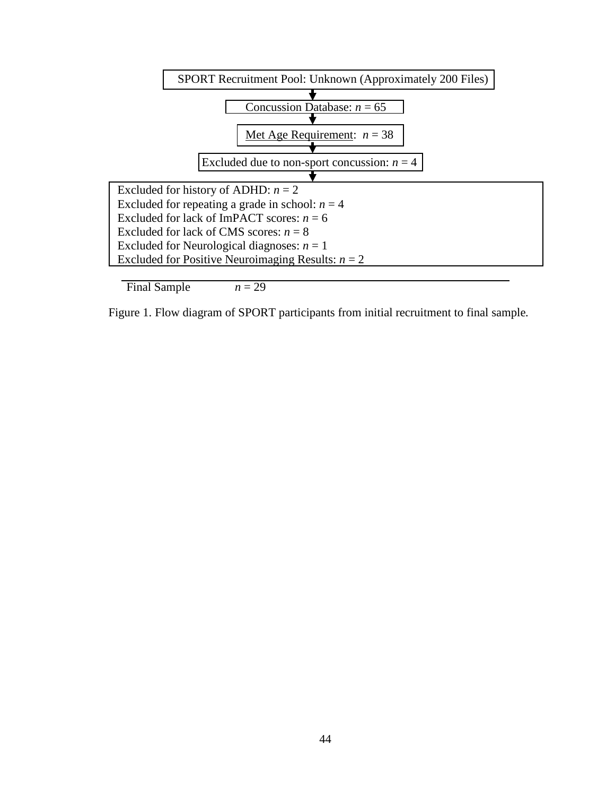

Final Sample  $n = 29$ 

Figure 1. Flow diagram of SPORT participants from initial recruitment to final sample*.*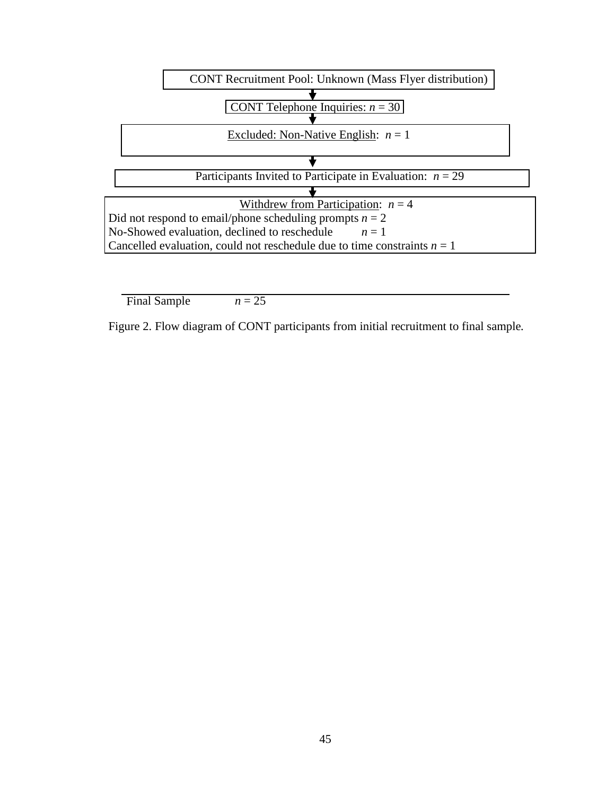

Final Sample  $n = 25$ 

Figure 2. Flow diagram of CONT participants from initial recruitment to final sample*.*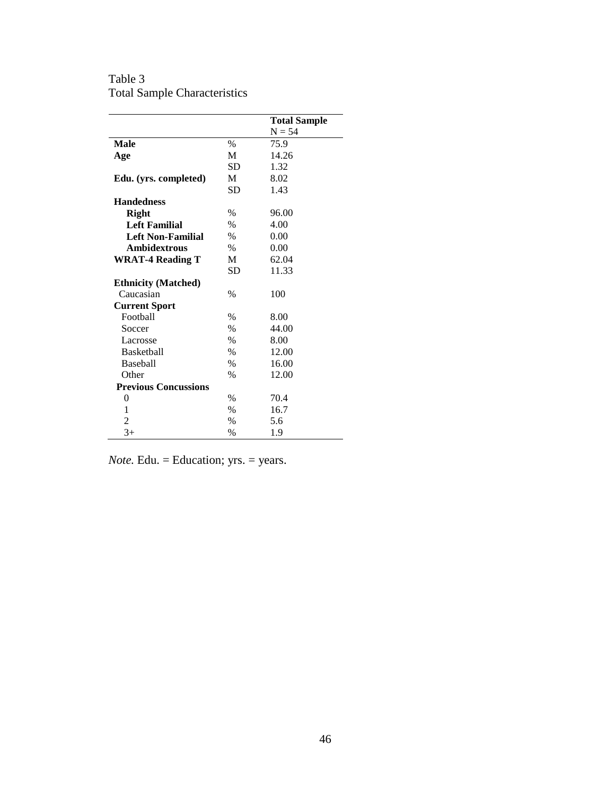Table 3 Total Sample Characteristics

|                             |               | <b>Total Sample</b> |
|-----------------------------|---------------|---------------------|
|                             |               | $N = 54$            |
| <b>Male</b>                 | $\%$          | 75.9                |
| Age                         | M             | 14.26               |
|                             | <b>SD</b>     | 1.32                |
| Edu. (yrs. completed)       | M             | 8.02                |
|                             | <b>SD</b>     | 1.43                |
| <b>Handedness</b>           |               |                     |
| <b>Right</b>                | $\%$          | 96.00               |
| <b>Left Familial</b>        | $\frac{0}{0}$ | 4.00                |
| <b>Left Non-Familial</b>    | %             | 0.00                |
| <b>Ambidextrous</b>         | $\%$          | 0.00                |
| <b>WRAT-4 Reading T</b>     | M             | 62.04               |
|                             | SD            | 11.33               |
| <b>Ethnicity (Matched)</b>  |               |                     |
| Caucasian                   | $\frac{0}{0}$ | 100                 |
| <b>Current Sport</b>        |               |                     |
| Football                    | $\frac{0}{0}$ | 8.00                |
| Soccer                      | $\%$          | 44.00               |
| Lacrosse                    | $\frac{0}{0}$ | 8.00                |
| <b>Basketball</b>           | %             | 12.00               |
| <b>Baseball</b>             | $\frac{0}{0}$ | 16.00               |
| Other                       | $\frac{0}{0}$ | 12.00               |
| <b>Previous Concussions</b> |               |                     |
| 0                           | $\frac{0}{0}$ | 70.4                |
| 1                           | $\%$          | 16.7                |
| $\overline{2}$              | $\frac{0}{0}$ | 5.6                 |
| $3+$                        | $\frac{0}{0}$ | 1.9                 |

*Note.* Edu. = Education; yrs. = years.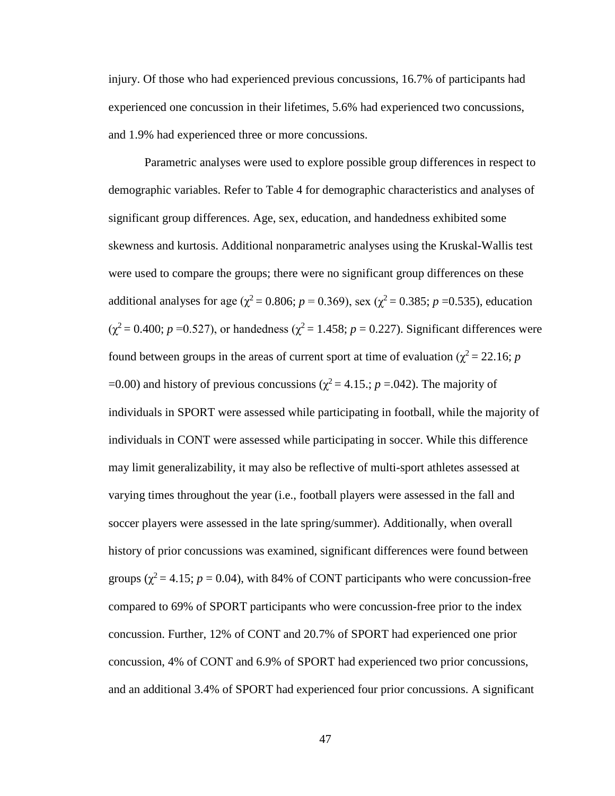injury. Of those who had experienced previous concussions, 16.7% of participants had experienced one concussion in their lifetimes, 5.6% had experienced two concussions, and 1.9% had experienced three or more concussions.

Parametric analyses were used to explore possible group differences in respect to demographic variables. Refer to Table 4 for demographic characteristics and analyses of significant group differences. Age, sex, education, and handedness exhibited some skewness and kurtosis. Additional nonparametric analyses using the Kruskal-Wallis test were used to compare the groups; there were no significant group differences on these additional analyses for age ( $\chi^2$  = 0.806; *p* = 0.369), sex ( $\chi^2$  = 0.385; *p* = 0.535), education  $(\chi^2 = 0.400; p = 0.527)$ , or handedness  $(\chi^2 = 1.458; p = 0.227)$ . Significant differences were found between groups in the areas of current sport at time of evaluation ( $\chi^2$  = 22.16; *p* =0.00) and history of previous concussions ( $\chi^2$  = 4.15.; *p* = 0.042). The majority of individuals in SPORT were assessed while participating in football, while the majority of individuals in CONT were assessed while participating in soccer. While this difference may limit generalizability, it may also be reflective of multi-sport athletes assessed at varying times throughout the year (i.e., football players were assessed in the fall and soccer players were assessed in the late spring/summer). Additionally, when overall history of prior concussions was examined, significant differences were found between groups ( $\chi^2$  = 4.15; *p* = 0.04), with 84% of CONT participants who were concussion-free compared to 69% of SPORT participants who were concussion-free prior to the index concussion. Further, 12% of CONT and 20.7% of SPORT had experienced one prior concussion, 4% of CONT and 6.9% of SPORT had experienced two prior concussions, and an additional 3.4% of SPORT had experienced four prior concussions. A significant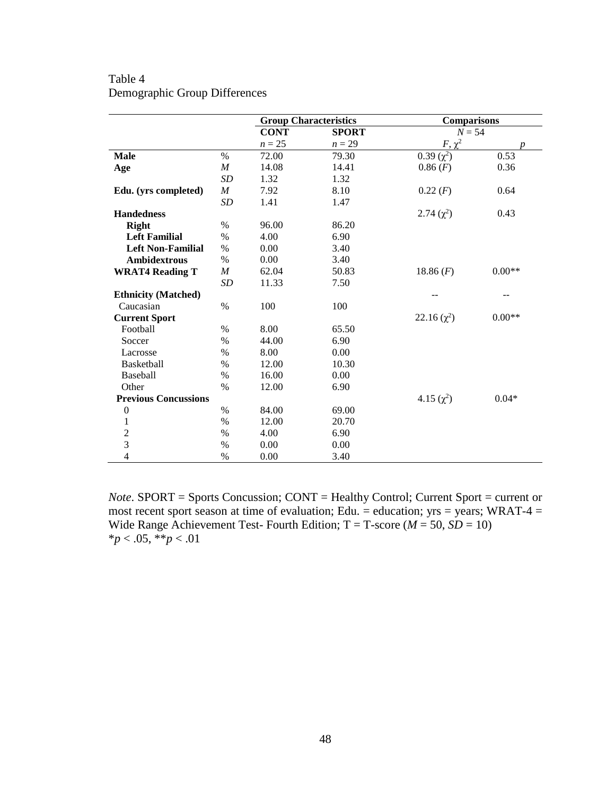|                             |                  | <b>Group Characteristics</b> |              | <b>Comparisons</b> |          |
|-----------------------------|------------------|------------------------------|--------------|--------------------|----------|
|                             |                  | <b>CONT</b>                  | <b>SPORT</b> | $N = 54$           |          |
|                             |                  | $n=25$                       | $n=29$       | $F, \chi^2$        |          |
| <b>Male</b>                 | $\frac{0}{0}$    | 72.00                        | 79.30        | $0.39 (\chi^2)$    | 0.53     |
| Age                         | $\cal M$         | 14.08                        | 14.41        | 0.86(F)            | 0.36     |
|                             | SD               | 1.32                         | 1.32         |                    |          |
| Edu. (yrs completed)        | $\cal M$         | 7.92                         | 8.10         | 0.22(F)            | 0.64     |
|                             | SD               | 1.41                         | 1.47         |                    |          |
| <b>Handedness</b>           |                  |                              |              | 2.74 $(\chi^2)$    | 0.43     |
| <b>Right</b>                | $\%$             | 96.00                        | 86.20        |                    |          |
| <b>Left Familial</b>        | $\%$             | 4.00                         | 6.90         |                    |          |
| <b>Left Non-Familial</b>    | $\%$             | 0.00                         | 3.40         |                    |          |
| <b>Ambidextrous</b>         | $\%$             | 0.00                         | 3.40         |                    |          |
| <b>WRAT4 Reading T</b>      | $\boldsymbol{M}$ | 62.04                        | 50.83        | 18.86 $(F)$        | $0.00**$ |
|                             | SD               | 11.33                        | 7.50         |                    |          |
| <b>Ethnicity (Matched)</b>  |                  |                              |              |                    | --       |
| Caucasian                   | $\%$             | 100                          | 100          |                    |          |
| <b>Current Sport</b>        |                  |                              |              | 22.16 $(\chi^2)$   | $0.00**$ |
| Football                    | $\%$             | 8.00                         | 65.50        |                    |          |
| Soccer                      | $\%$             | 44.00                        | 6.90         |                    |          |
| Lacrosse                    | $\%$             | 8.00                         | 0.00         |                    |          |
| Basketball                  | $\%$             | 12.00                        | 10.30        |                    |          |
| Baseball                    | $\%$             | 16.00                        | 0.00         |                    |          |
| Other                       | $\%$             | 12.00                        | 6.90         |                    |          |
| <b>Previous Concussions</b> |                  |                              |              | $4.15(\chi^2)$     | $0.04*$  |
| $\boldsymbol{0}$            | $\%$             | 84.00                        | 69.00        |                    |          |
| $\mathbf{1}$                | $\%$             | 12.00                        | 20.70        |                    |          |
| $\overline{c}$              | $\%$             | 4.00                         | 6.90         |                    |          |
| 3                           | $\%$             | 0.00                         | 0.00         |                    |          |
| $\overline{4}$              | $\%$             | 0.00                         | 3.40         |                    |          |

# Table 4 Demographic Group Differences

*Note*. SPORT = Sports Concussion; CONT = Healthy Control; Current Sport = current or most recent sport season at time of evaluation; Edu. = education;  $yrs = years$ ; WRAT-4 = Wide Range Achievement Test- Fourth Edition;  $T = T$ -score ( $M = 50$ ,  $SD = 10$ ) \**p* < .05, \*\**p* < .01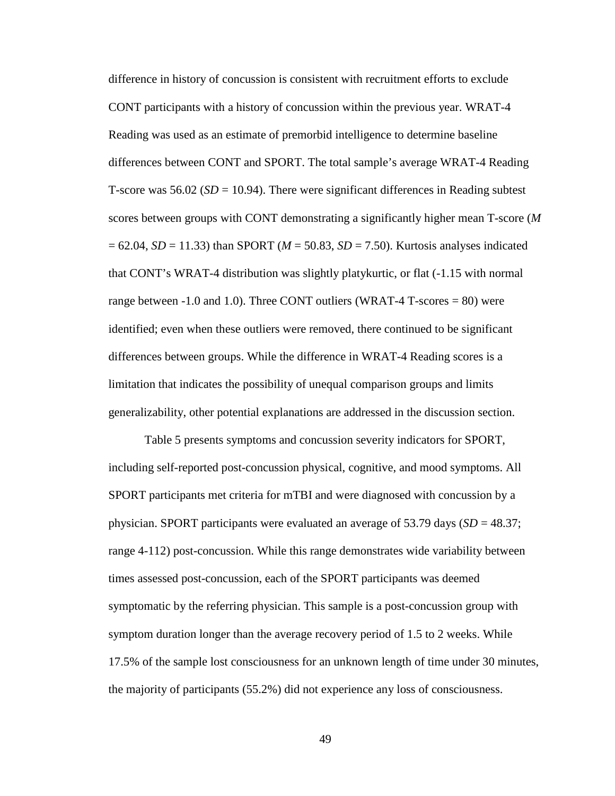difference in history of concussion is consistent with recruitment efforts to exclude CONT participants with a history of concussion within the previous year. WRAT-4 Reading was used as an estimate of premorbid intelligence to determine baseline differences between CONT and SPORT. The total sample's average WRAT-4 Reading T-score was  $56.02$  (*SD* = 10.94). There were significant differences in Reading subtest scores between groups with CONT demonstrating a significantly higher mean T-score (*M*  = 62.04, *SD* = 11.33) than SPORT (*M* = 50.83, *SD* = 7.50). Kurtosis analyses indicated that CONT's WRAT-4 distribution was slightly platykurtic, or flat (-1.15 with normal range between  $-1.0$  and  $1.0$ ). Three CONT outliers (WRAT-4 T-scores  $= 80$ ) were identified; even when these outliers were removed, there continued to be significant differences between groups. While the difference in WRAT-4 Reading scores is a limitation that indicates the possibility of unequal comparison groups and limits generalizability, other potential explanations are addressed in the discussion section.

Table 5 presents symptoms and concussion severity indicators for SPORT, including self-reported post-concussion physical, cognitive, and mood symptoms. All SPORT participants met criteria for mTBI and were diagnosed with concussion by a physician. SPORT participants were evaluated an average of 53.79 days  $(SD = 48.37;$ range 4-112) post-concussion. While this range demonstrates wide variability between times assessed post-concussion, each of the SPORT participants was deemed symptomatic by the referring physician. This sample is a post-concussion group with symptom duration longer than the average recovery period of 1.5 to 2 weeks. While 17.5% of the sample lost consciousness for an unknown length of time under 30 minutes, the majority of participants (55.2%) did not experience any loss of consciousness.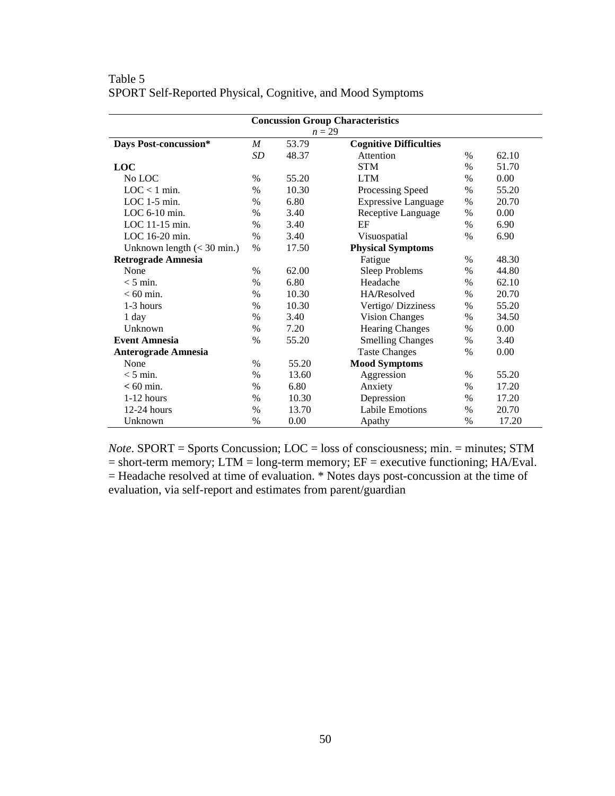|                              |                  |          | <b>Concussion Group Characteristics</b> |               |       |
|------------------------------|------------------|----------|-----------------------------------------|---------------|-------|
|                              |                  | $n = 29$ |                                         |               |       |
| Days Post-concussion*        | $\boldsymbol{M}$ | 53.79    | <b>Cognitive Difficulties</b>           |               |       |
|                              | <b>SD</b>        | 48.37    | Attention                               | $\%$          | 62.10 |
| <b>LOC</b>                   |                  |          | <b>STM</b>                              | $\%$          | 51.70 |
| No LOC                       | $\%$             | 55.20    | <b>LTM</b>                              | $\%$          | 0.00  |
| $LOC < 1$ min.               | $\%$             | 10.30    | Processing Speed                        | $\%$          | 55.20 |
| $LOC 1-5 min.$               | $\frac{0}{0}$    | 6.80     | <b>Expressive Language</b>              | $\%$          | 20.70 |
| LOC $6-10$ min.              | $\%$             | 3.40     | Receptive Language                      | $\%$          | 0.00  |
| LOC $11-15$ min.             | $\%$             | 3.40     | EF                                      | $\%$          | 6.90  |
| LOC 16-20 min.               | $\frac{0}{0}$    | 3.40     | Visuospatial                            | $\frac{0}{0}$ | 6.90  |
| Unknown length $(< 30$ min.) | $\%$             | 17.50    | <b>Physical Symptoms</b>                |               |       |
| <b>Retrograde Amnesia</b>    |                  |          | Fatigue                                 | $\%$          | 48.30 |
| None                         | $\%$             | 62.00    | <b>Sleep Problems</b>                   | $\%$          | 44.80 |
| $< 5$ min.                   | $\frac{0}{0}$    | 6.80     | Headache                                | $\%$          | 62.10 |
| $< 60$ min.                  | $\%$             | 10.30    | HA/Resolved                             | $\%$          | 20.70 |
| 1-3 hours                    | $\%$             | 10.30    | Vertigo/Dizziness                       | $\%$          | 55.20 |
| 1 day                        | $\%$             | 3.40     | <b>Vision Changes</b>                   | $\%$          | 34.50 |
| Unknown                      | $\%$             | 7.20     | <b>Hearing Changes</b>                  | $\%$          | 0.00  |
| <b>Event Amnesia</b>         | $\%$             | 55.20    | <b>Smelling Changes</b>                 | $\%$          | 3.40  |
| <b>Anterograde Amnesia</b>   |                  |          | <b>Taste Changes</b>                    | $\frac{0}{0}$ | 0.00  |
| None                         | $\%$             | 55.20    | <b>Mood Symptoms</b>                    |               |       |
| $<$ 5 min.                   | $\%$             | 13.60    | Aggression                              | $\%$          | 55.20 |
| $< 60$ min.                  | $\%$             | 6.80     | Anxiety                                 | $\%$          | 17.20 |
| $1-12$ hours                 | $\frac{0}{0}$    | 10.30    | Depression                              | $\%$          | 17.20 |
| $12-24$ hours                | $\%$             | 13.70    | <b>Labile Emotions</b>                  | $\%$          | 20.70 |
| Unknown                      | $\%$             | 0.00     | Apathy                                  | %             | 17.20 |

Table 5 SPORT Self-Reported Physical, Cognitive, and Mood Symptoms

*Note*. SPORT = Sports Concussion; LOC = loss of consciousness; min. = minutes; STM  $=$  short-term memory; LTM  $=$  long-term memory; EF  $=$  executive functioning; HA/Eval. = Headache resolved at time of evaluation. \* Notes days post-concussion at the time of evaluation, via self-report and estimates from parent/guardian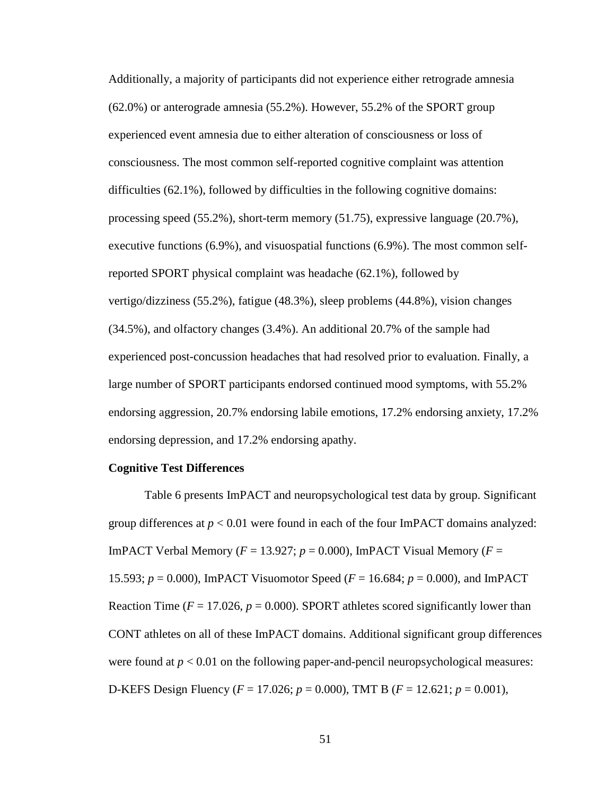Additionally, a majority of participants did not experience either retrograde amnesia (62.0%) or anterograde amnesia (55.2%). However, 55.2% of the SPORT group experienced event amnesia due to either alteration of consciousness or loss of consciousness. The most common self-reported cognitive complaint was attention difficulties (62.1%), followed by difficulties in the following cognitive domains: processing speed (55.2%), short-term memory (51.75), expressive language (20.7%), executive functions (6.9%), and visuospatial functions (6.9%). The most common selfreported SPORT physical complaint was headache (62.1%), followed by vertigo/dizziness (55.2%), fatigue (48.3%), sleep problems (44.8%), vision changes (34.5%), and olfactory changes (3.4%). An additional 20.7% of the sample had experienced post-concussion headaches that had resolved prior to evaluation. Finally, a large number of SPORT participants endorsed continued mood symptoms, with 55.2% endorsing aggression, 20.7% endorsing labile emotions, 17.2% endorsing anxiety, 17.2% endorsing depression, and 17.2% endorsing apathy.

### **Cognitive Test Differences**

Table 6 presents ImPACT and neuropsychological test data by group. Significant group differences at  $p < 0.01$  were found in each of the four ImPACT domains analyzed: ImPACT Verbal Memory ( $F = 13.927$ ;  $p = 0.000$ ), ImPACT Visual Memory ( $F =$ 15.593; *p* = 0.000), ImPACT Visuomotor Speed (*F* = 16.684; *p* = 0.000), and ImPACT Reaction Time ( $F = 17.026$ ,  $p = 0.000$ ). SPORT athletes scored significantly lower than CONT athletes on all of these ImPACT domains. Additional significant group differences were found at  $p < 0.01$  on the following paper-and-pencil neuropsychological measures: D-KEFS Design Fluency (*F* = 17.026; *p* = 0.000), TMT B (*F* = 12.621; *p* = 0.001),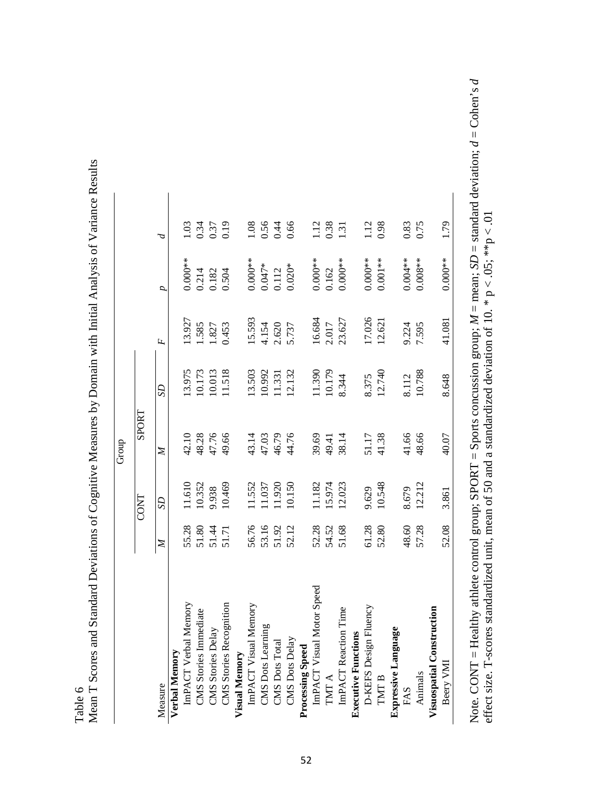Table 6

| ו<br>ו<br>֧֖֖֖֖֖֖֖֖֖֖֖֧֚֚֚֚֚֚֚֚֚֚֚֚֝֬֝ <u>֚</u>     |
|-----------------------------------------------------|
|                                                     |
|                                                     |
|                                                     |
|                                                     |
|                                                     |
| - - - - - - -                                       |
|                                                     |
|                                                     |
|                                                     |
|                                                     |
|                                                     |
| . To convert her location in the leads of a serior. |
|                                                     |
|                                                     |
| I                                                   |
|                                                     |
| י<br>ג                                              |
|                                                     |
|                                                     |
|                                                     |
|                                                     |
| $-1$                                                |
|                                                     |
|                                                     |
|                                                     |
| ļ                                                   |
|                                                     |
| i<br>S                                              |
|                                                     |
| ļ                                                   |
|                                                     |
|                                                     |
|                                                     |
|                                                     |
| こうしょうしょう<br>こくぐくく                                   |
|                                                     |
|                                                     |
|                                                     |
| ונים של משופט                                       |
|                                                     |
|                                                     |
|                                                     |
| こてら こくらくじょう<br>Ì                                    |
| I<br>$\frac{1}{2}$                                  |
|                                                     |
|                                                     |
|                                                     |

| ImPACT Verbal Memory<br>Verbal Memory<br>Measure                                            |                         |                                      |                                  |                                                           |                                     |                         |                      |
|---------------------------------------------------------------------------------------------|-------------------------|--------------------------------------|----------------------------------|-----------------------------------------------------------|-------------------------------------|-------------------------|----------------------|
|                                                                                             |                         | <b>CONT</b>                          | <b>SPORT</b>                     |                                                           |                                     |                         |                      |
|                                                                                             | Z                       | S <sub>D</sub>                       | $\mathbb{Z}$                     | S                                                         | $\overline{F}$                      | d                       |                      |
|                                                                                             |                         |                                      |                                  |                                                           |                                     |                         |                      |
|                                                                                             |                         |                                      |                                  |                                                           | 13.927                              | $0.000**$               | $\frac{10}{2}$       |
| CMS Stories Immediate                                                                       | 55.28<br>55.35<br>55.55 | 11.610<br>10.352                     | 42.10<br>48.28                   | 13.975<br>10.173                                          | .585                                |                         |                      |
|                                                                                             |                         |                                      |                                  |                                                           |                                     |                         | 0.34<br>0.37<br>0.19 |
| CMS Stories Delay<br>CMS Stories Recognition                                                |                         | 9.938<br>10.469                      | 47.76<br>49.66                   | 10.013<br>11.518                                          | 1.827<br>0.453                      | 0.214<br>0.182<br>0.504 |                      |
|                                                                                             |                         |                                      |                                  |                                                           |                                     |                         |                      |
| <b>Visual Memory<br/>ImPACT Visual Memory</b>                                               |                         |                                      |                                  | $\begin{array}{c} 13.503 \\ 10.992 \\ 11.331 \end{array}$ |                                     | $0.000**$               |                      |
|                                                                                             |                         |                                      |                                  |                                                           |                                     |                         |                      |
| CMS Dots Learning<br>CMS Dots Total                                                         | 56.76<br>53.16<br>52.12 | 11.552<br>11.037<br>11.920<br>10.150 | 43.14<br>47.03<br>46.76<br>44.76 |                                                           |                                     | $0.047*$<br>0.112       | 1.08<br>0.56<br>0.66 |
| CMS Dots Delay                                                                              |                         |                                      |                                  | 12.132                                                    | $15.593$<br>4.154<br>2.620<br>5.737 | $0.020*$                |                      |
| <b>Processing Speed</b>                                                                     |                         |                                      |                                  |                                                           |                                     |                         |                      |
| ImPACT Visual Motor Speed                                                                   |                         | 11.182<br>15.974                     |                                  |                                                           |                                     | $0.000***$<br>$0.162$   |                      |
|                                                                                             | 52.28<br>54.52<br>51.68 |                                      | 39.69<br>49.41<br>38.14          | 11.390<br>10.179<br>8.344                                 | 16.684<br>2.017<br>23.627           |                         | 1.12<br>0.38         |
| $\begin{array}{ll} \text{TMT A} \\ \text{Im} \text{PACT} \text{ Reaction Time} \end{array}$ |                         | 12.023                               |                                  |                                                           |                                     | $0.000**$               | 1.31                 |
| <b>Executive Functions</b>                                                                  |                         |                                      |                                  |                                                           |                                     |                         |                      |
| D-KEFS Design Fluency                                                                       |                         |                                      |                                  |                                                           |                                     | $0.000**$               | 1.12<br>0.98         |
| $\Gamma \text{MT B}$                                                                        | 61.28                   | 9.629<br>10.548                      | 51.17<br>41.38                   | 8.375<br>12.740                                           | 17.026<br>12.621                    | $0.001***$              |                      |
| Expressive Language                                                                         |                         |                                      |                                  |                                                           |                                     |                         |                      |
| FAS                                                                                         | 48.60                   | 8.679                                |                                  |                                                           | 9.224                               | $0.004**$               | 0.83                 |
| Animals                                                                                     | 57.28                   | 12.212                               | 41.66<br>48.66                   | 8.112<br>10.788                                           | 7.595                               | $0.008**$               | 0.75                 |
| Visuospatial Construction                                                                   |                         |                                      |                                  |                                                           |                                     |                         |                      |
| Beery VMI                                                                                   | 52.08                   | 3.861                                | 40.07                            | 8.648                                                     | 41.081                              | $0.000**$               | 1.79                 |

Note. CONT = Healthy athlete control group; SPORT = Sports concussion group;  $M =$  mean;  $SD =$  standard deviation;  $d =$  Cohen's  $d$  effect size. T-scores standardized unit, mean of 50 and a standardized deviation of 10. \* Note*.* CONT = Healthy athlete control group; SPORT = Sports concussion group; *M* = mean; *SD* = standard deviation; *d* = Cohen's *d*  effect size. T-scores standardized unit, mean of 50 and a standardized deviation of 10. \*  $p < .05$ ; \*\* $p < .01$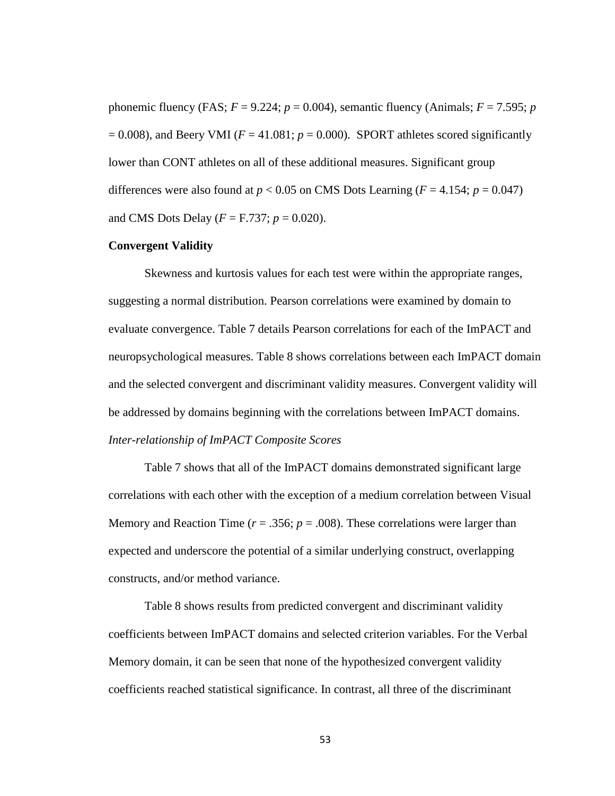phonemic fluency (FAS;  $F = 9.224$ ;  $p = 0.004$ ), semantic fluency (Animals;  $F = 7.595$ ;  $p$  $= 0.008$ ), and Beery VMI ( $F = 41.081$ ;  $p = 0.000$ ). SPORT athletes scored significantly lower than CONT athletes on all of these additional measures. Significant group differences were also found at  $p < 0.05$  on CMS Dots Learning ( $F = 4.154$ ;  $p = 0.047$ ) and CMS Dots Delay ( $F = F.737$ ;  $p = 0.020$ ).

#### **Convergent Validity**

Skewness and kurtosis values for each test were within the appropriate ranges, suggesting a normal distribution. Pearson correlations were examined by domain to evaluate convergence. Table 7 details Pearson correlations for each of the ImPACT and neuropsychological measures. Table 8 shows correlations between each ImPACT domain and the selected convergent and discriminant validity measures. Convergent validity will be addressed by domains beginning with the correlations between ImPACT domains. *Inter-relationship of ImPACT Composite Scores* 

Table 7 shows that all of the ImPACT domains demonstrated significant large correlations with each other with the exception of a medium correlation between Visual Memory and Reaction Time ( $r = .356$ ;  $p = .008$ ). These correlations were larger than expected and underscore the potential of a similar underlying construct, overlapping constructs, and/or method variance.

Table 8 shows results from predicted convergent and discriminant validity coefficients between ImPACT domains and selected criterion variables. For the Verbal Memory domain, it can be seen that none of the hypothesized convergent validity coefficients reached statistical significance. In contrast, all three of the discriminant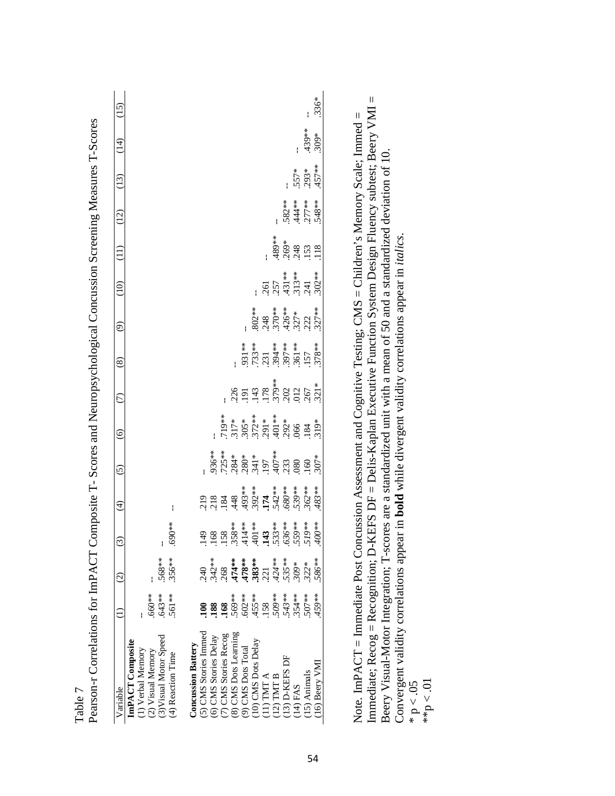| ImPACT Composite                                                               |                                                                  |         |               |                                                                                                                                     |                                                                                                                                                                                                    |                                                                                                                                                                                                                                                                                                                             |                                                                                                                     |                                                                  |                                                                |                                                   |                                         |                                |                            |       |
|--------------------------------------------------------------------------------|------------------------------------------------------------------|---------|---------------|-------------------------------------------------------------------------------------------------------------------------------------|----------------------------------------------------------------------------------------------------------------------------------------------------------------------------------------------------|-----------------------------------------------------------------------------------------------------------------------------------------------------------------------------------------------------------------------------------------------------------------------------------------------------------------------------|---------------------------------------------------------------------------------------------------------------------|------------------------------------------------------------------|----------------------------------------------------------------|---------------------------------------------------|-----------------------------------------|--------------------------------|----------------------------|-------|
|                                                                                | $\widehat{\infty}$                                               |         | $\widehat{E}$ | $\tilde{c}$                                                                                                                         | $\widehat{\circ}$                                                                                                                                                                                  | $\widehat{C}$                                                                                                                                                                                                                                                                                                               | $\circledast$                                                                                                       | $\widehat{\mathfrak{S}}$                                         | (10)                                                           | $\begin{pmatrix} 11 \end{pmatrix}$                | (12)                                    | (13)                           | $\left(\frac{1}{4}\right)$ | (15)  |
|                                                                                |                                                                  |         |               |                                                                                                                                     |                                                                                                                                                                                                    |                                                                                                                                                                                                                                                                                                                             |                                                                                                                     |                                                                  |                                                                |                                                   |                                         |                                |                            |       |
| $.660**$                                                                       |                                                                  |         |               |                                                                                                                                     |                                                                                                                                                                                                    |                                                                                                                                                                                                                                                                                                                             |                                                                                                                     |                                                                  |                                                                |                                                   |                                         |                                |                            |       |
| $.643**$                                                                       |                                                                  |         |               |                                                                                                                                     |                                                                                                                                                                                                    |                                                                                                                                                                                                                                                                                                                             |                                                                                                                     |                                                                  |                                                                |                                                   |                                         |                                |                            |       |
| 561**                                                                          | .568**<br>.356**                                                 | **069.  |               |                                                                                                                                     |                                                                                                                                                                                                    |                                                                                                                                                                                                                                                                                                                             |                                                                                                                     |                                                                  |                                                                |                                                   |                                         |                                |                            |       |
|                                                                                |                                                                  |         |               |                                                                                                                                     |                                                                                                                                                                                                    |                                                                                                                                                                                                                                                                                                                             |                                                                                                                     |                                                                  |                                                                |                                                   |                                         |                                |                            |       |
|                                                                                |                                                                  |         |               |                                                                                                                                     |                                                                                                                                                                                                    |                                                                                                                                                                                                                                                                                                                             |                                                                                                                     |                                                                  |                                                                |                                                   |                                         |                                |                            |       |
| $\mathbf{3}$                                                                   | 240                                                              |         |               |                                                                                                                                     |                                                                                                                                                                                                    |                                                                                                                                                                                                                                                                                                                             |                                                                                                                     |                                                                  |                                                                |                                                   |                                         |                                |                            |       |
| 188                                                                            | $342**$                                                          |         |               |                                                                                                                                     |                                                                                                                                                                                                    |                                                                                                                                                                                                                                                                                                                             |                                                                                                                     |                                                                  |                                                                |                                                   |                                         |                                |                            |       |
| 168                                                                            |                                                                  |         |               |                                                                                                                                     |                                                                                                                                                                                                    |                                                                                                                                                                                                                                                                                                                             |                                                                                                                     |                                                                  |                                                                |                                                   |                                         |                                |                            |       |
| 569**                                                                          |                                                                  |         |               |                                                                                                                                     |                                                                                                                                                                                                    |                                                                                                                                                                                                                                                                                                                             |                                                                                                                     |                                                                  |                                                                |                                                   |                                         |                                |                            |       |
| .602**<br>$(7)$ CMS Stories Recog $(8)$ CMS Dots Learning $(9)$ CMS Dots Total | $.268$<br>$.474**$<br>$.478**$<br>$.383**$<br>$.221$<br>$.424**$ |         |               |                                                                                                                                     |                                                                                                                                                                                                    |                                                                                                                                                                                                                                                                                                                             |                                                                                                                     |                                                                  |                                                                |                                                   |                                         |                                |                            |       |
| $.455***$                                                                      |                                                                  |         |               |                                                                                                                                     |                                                                                                                                                                                                    |                                                                                                                                                                                                                                                                                                                             |                                                                                                                     |                                                                  |                                                                |                                                   |                                         |                                |                            |       |
| 158                                                                            |                                                                  |         |               |                                                                                                                                     |                                                                                                                                                                                                    |                                                                                                                                                                                                                                                                                                                             |                                                                                                                     |                                                                  |                                                                |                                                   |                                         |                                |                            |       |
| 309**                                                                          |                                                                  |         |               |                                                                                                                                     |                                                                                                                                                                                                    |                                                                                                                                                                                                                                                                                                                             |                                                                                                                     |                                                                  |                                                                |                                                   |                                         |                                |                            |       |
| $.543**$                                                                       | 535**                                                            |         |               |                                                                                                                                     |                                                                                                                                                                                                    |                                                                                                                                                                                                                                                                                                                             |                                                                                                                     |                                                                  |                                                                |                                                   |                                         |                                |                            |       |
| 354 **                                                                         | $309*$                                                           |         |               | $936**$<br>$725**$<br>$725**$<br>$734**$<br>$736**$<br>$737*$<br>$737*$<br>$737*$<br>$737*$<br>$737*$<br>$737*$<br>$737*$<br>$737*$ | $719*$ $719*$ $730*$ $75*$ $75*$ $75*$ $75*$ $75*$ $75*$ $75*$ $75*$ $75*$ $75*$ $75*$ $75*$ $75*$ $75*$ $75*$ $75*$ $75*$ $75*$ $75*$ $75*$ $75*$ $75*$ $75*$ $75*$ $75*$ $75*$ $75*$ $75*$ $75*$ | $\begin{array}{l} 256 \\ 211 \\ 231 \\ 242 \\ 256 \\ 262 \\ 276 \\ 288 \\ 299 \\ 212 \\ 231 \\ 231 \\ 231 \\ 231 \\ 242 \\ 251 \\ 261 \\ 271 \\ 281 \\ 291 \\ 231 \\ 231 \\ 242 \\ 252 \\ 272 \\ 283 \\ 291 \\ 292 \\ 292 \\ 293 \\ 294 \\ 294 \\ 295 \\ 296 \\ 296 \\ 296 \\ 297 \\ 298 \\ 299 \\ 299 \\ 299 \\ 299 \\ 29$ | $\begin{array}{l} .931** \\ .733** \\ .733** \\ .231** \\ .394** \\ .507** \\ .501** \\ .578** \\ .157 \end{array}$ | $.802**$<br>$.248$<br>$.370**$<br>$.426**$<br>$.327**$<br>$.222$ | $.261$<br>$.257$<br>$.431**$<br>$.313**$<br>$.241$<br>$.302**$ | $.489**$<br>$.269*$<br>$.248$<br>$.153$<br>$.118$ | $582**$<br>$444**$<br>$777**$<br>$48**$ |                                |                            |       |
| 507**                                                                          | $322*$                                                           |         |               |                                                                                                                                     |                                                                                                                                                                                                    |                                                                                                                                                                                                                                                                                                                             |                                                                                                                     |                                                                  |                                                                |                                                   |                                         | $.557*$<br>$.293*$<br>$.457**$ | $.439**$<br>309*           |       |
| $**657$                                                                        | 586**                                                            | $*800*$ |               |                                                                                                                                     |                                                                                                                                                                                                    |                                                                                                                                                                                                                                                                                                                             |                                                                                                                     |                                                                  |                                                                |                                                   |                                         |                                |                            | .336* |

Table 7<br>Pearson-r Correlations for ImPACT Composite T- Scores and Neuropsychological Concussion Screening Measures T-Scores Pearson-r Correlations for ImPACT Composite T- Scores and Neuropsychological Concussion Screening Measures T-Scores

Immediate; Recog = Recognition; D-KEFS DF = Delis-Kaplan Executive Function System Design Fluency subtest; Beery VMI = Immediate; Recog = Recognition; D-KEFS DF = Delis-Kaplan Executive Function System Design Fluency subtest; Beery VMI = Note. ImPACT = Immediate Post Concussion Assessment and Cognitive Testing; CMS = Children's Memory Scale; Immed = Note. ImPACT = Immediate Post Concussion Assessment and Cognitive Testing; CMS = Children's Memory Scale; Immed = Beery Visual-Motor Integration; T-scores are a standardized unit with a mean of 50 and a standardized deviation of 10. Beery Visual-Motor Integration; T-scores are a standardized unit with a mean of 50 and a standardized deviation of 10. Convergent validity correlations appear in **bold** while divergent validity correlations appear in *italics*. Convergent validity correlations appear in **bold** while divergent validity correlations appear in *italics*.  $p < 0.5$ <br>\*\*p  $< 0.1$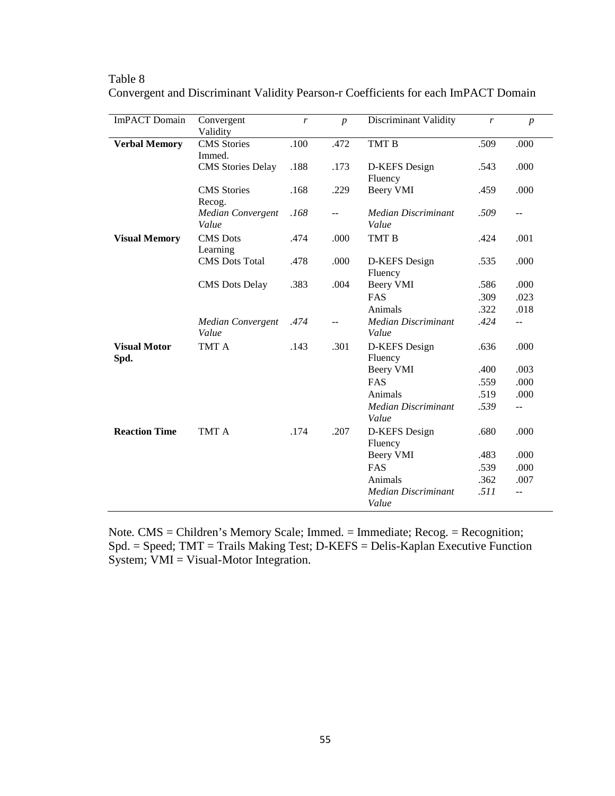| <b>ImPACT</b> Domain        | Convergent<br>Validity               | r    | $\boldsymbol{p}$ | <b>Discriminant Validity</b>        | r    | $\boldsymbol{p}$ |
|-----------------------------|--------------------------------------|------|------------------|-------------------------------------|------|------------------|
| <b>Verbal Memory</b>        | <b>CMS</b> Stories                   | .100 | .472             | TMT B                               | .509 | .000             |
|                             | Immed.                               |      |                  |                                     |      |                  |
|                             | <b>CMS</b> Stories Delay             | .188 | .173             | D-KEFS Design<br>Fluency            | .543 | .000             |
|                             | <b>CMS</b> Stories                   | .168 | .229             | Beery VMI                           | .459 | .000             |
|                             | Recog.<br>Median Convergent<br>Value | .168 | $-$              | <b>Median Discriminant</b><br>Value | .509 | $\overline{a}$   |
| <b>Visual Memory</b>        | <b>CMS</b> Dots<br>Learning          | .474 | .000             | TMT B                               | .424 | .001             |
|                             | <b>CMS</b> Dots Total                | .478 | .000             | D-KEFS Design<br>Fluency            | .535 | .000             |
|                             | <b>CMS</b> Dots Delay                | .383 | .004             | <b>Beery VMI</b>                    | .586 | .000             |
|                             |                                      |      |                  | <b>FAS</b>                          | .309 | .023             |
|                             |                                      |      |                  | Animals                             | .322 | .018             |
|                             | <b>Median Convergent</b><br>Value    | .474 | $\overline{a}$   | <b>Median Discriminant</b><br>Value | .424 | $- -$            |
| <b>Visual Motor</b><br>Spd. | TMT A                                | .143 | .301             | D-KEFS Design<br>Fluency            | .636 | .000             |
|                             |                                      |      |                  | <b>Beery VMI</b>                    | .400 | .003             |
|                             |                                      |      |                  | FAS                                 | .559 | .000             |
|                             |                                      |      |                  | Animals                             | .519 | .000             |
|                             |                                      |      |                  | <b>Median Discriminant</b><br>Value | .539 | $\overline{a}$   |
| <b>Reaction Time</b>        | TMT A                                | .174 | .207             | D-KEFS Design<br>Fluency            | .680 | .000             |
|                             |                                      |      |                  | Beery VMI                           | .483 | .000             |
|                             |                                      |      |                  | FAS                                 | .539 | .000             |
|                             |                                      |      |                  | Animals                             | .362 | .007             |
|                             |                                      |      |                  | <b>Median Discriminant</b><br>Value | .511 | $- -$            |

Table 8 Convergent and Discriminant Validity Pearson-r Coefficients for each ImPACT Domain

Note*.* CMS = Children's Memory Scale; Immed. = Immediate; Recog. = Recognition; Spd. = Speed; TMT = Trails Making Test; D-KEFS = Delis-Kaplan Executive Function System; VMI = Visual-Motor Integration.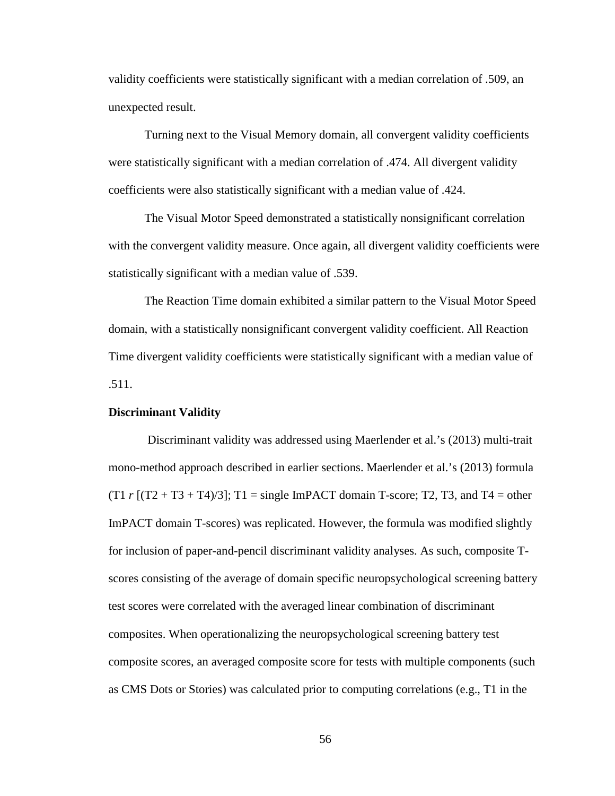validity coefficients were statistically significant with a median correlation of .509, an unexpected result.

Turning next to the Visual Memory domain, all convergent validity coefficients were statistically significant with a median correlation of .474. All divergent validity coefficients were also statistically significant with a median value of .424.

The Visual Motor Speed demonstrated a statistically nonsignificant correlation with the convergent validity measure. Once again, all divergent validity coefficients were statistically significant with a median value of .539.

The Reaction Time domain exhibited a similar pattern to the Visual Motor Speed domain, with a statistically nonsignificant convergent validity coefficient. All Reaction Time divergent validity coefficients were statistically significant with a median value of .511.

## **Discriminant Validity**

Discriminant validity was addressed using Maerlender et al.'s (2013) multi-trait mono-method approach described in earlier sections. Maerlender et al.'s (2013) formula  $(T1 \rvert T2 + T3 + T4)/3$ ; T1 = single ImPACT domain T-score; T2, T3, and T4 = other ImPACT domain T-scores) was replicated. However, the formula was modified slightly for inclusion of paper-and-pencil discriminant validity analyses. As such, composite Tscores consisting of the average of domain specific neuropsychological screening battery test scores were correlated with the averaged linear combination of discriminant composites. When operationalizing the neuropsychological screening battery test composite scores, an averaged composite score for tests with multiple components (such as CMS Dots or Stories) was calculated prior to computing correlations (e.g., T1 in the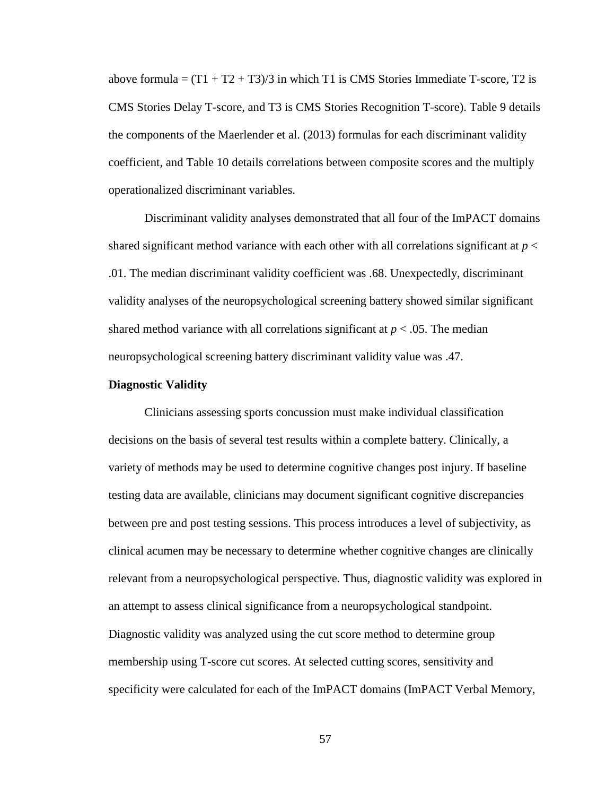above formula =  $(T1 + T2 + T3)/3$  in which T1 is CMS Stories Immediate T-score, T2 is CMS Stories Delay T-score, and T3 is CMS Stories Recognition T-score). Table 9 details the components of the Maerlender et al. (2013) formulas for each discriminant validity coefficient, and Table 10 details correlations between composite scores and the multiply operationalized discriminant variables.

Discriminant validity analyses demonstrated that all four of the ImPACT domains shared significant method variance with each other with all correlations significant at *p* < .01. The median discriminant validity coefficient was .68. Unexpectedly, discriminant validity analyses of the neuropsychological screening battery showed similar significant shared method variance with all correlations significant at  $p < .05$ . The median neuropsychological screening battery discriminant validity value was .47.

### **Diagnostic Validity**

Clinicians assessing sports concussion must make individual classification decisions on the basis of several test results within a complete battery. Clinically, a variety of methods may be used to determine cognitive changes post injury. If baseline testing data are available, clinicians may document significant cognitive discrepancies between pre and post testing sessions. This process introduces a level of subjectivity, as clinical acumen may be necessary to determine whether cognitive changes are clinically relevant from a neuropsychological perspective. Thus, diagnostic validity was explored in an attempt to assess clinical significance from a neuropsychological standpoint. Diagnostic validity was analyzed using the cut score method to determine group membership using T-score cut scores. At selected cutting scores, sensitivity and specificity were calculated for each of the ImPACT domains (ImPACT Verbal Memory,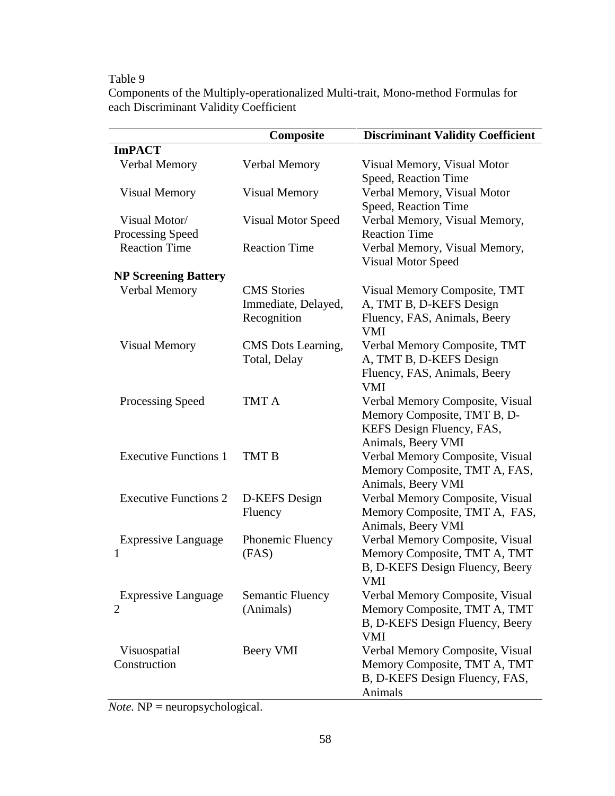# Table 9

Components of the Multiply-operationalized Multi-trait, Mono-method Formulas for each Discriminant Validity Coefficient

|                              | Composite                 | <b>Discriminant Validity Coefficient</b>            |
|------------------------------|---------------------------|-----------------------------------------------------|
| <b>ImPACT</b>                |                           |                                                     |
| Verbal Memory                | Verbal Memory             | Visual Memory, Visual Motor                         |
|                              |                           | Speed, Reaction Time                                |
| <b>Visual Memory</b>         | <b>Visual Memory</b>      | Verbal Memory, Visual Motor                         |
|                              |                           | Speed, Reaction Time                                |
| Visual Motor/                | <b>Visual Motor Speed</b> | Verbal Memory, Visual Memory,                       |
| Processing Speed             |                           | <b>Reaction Time</b>                                |
| <b>Reaction Time</b>         | <b>Reaction Time</b>      | Verbal Memory, Visual Memory,                       |
|                              |                           | Visual Motor Speed                                  |
| <b>NP Screening Battery</b>  |                           |                                                     |
| Verbal Memory                | <b>CMS</b> Stories        | Visual Memory Composite, TMT                        |
|                              | Immediate, Delayed,       | A, TMT B, D-KEFS Design                             |
|                              | Recognition               | Fluency, FAS, Animals, Beery                        |
|                              |                           | <b>VMI</b>                                          |
| <b>Visual Memory</b>         | CMS Dots Learning,        | Verbal Memory Composite, TMT                        |
|                              | Total, Delay              | A, TMT B, D-KEFS Design                             |
|                              |                           | Fluency, FAS, Animals, Beery                        |
|                              |                           | <b>VMI</b>                                          |
| Processing Speed             | TMT A                     | Verbal Memory Composite, Visual                     |
|                              |                           | Memory Composite, TMT B, D-                         |
|                              |                           | KEFS Design Fluency, FAS,                           |
|                              |                           | Animals, Beery VMI                                  |
| <b>Executive Functions 1</b> | TMT B                     | Verbal Memory Composite, Visual                     |
|                              |                           | Memory Composite, TMT A, FAS,                       |
| <b>Executive Functions 2</b> |                           | Animals, Beery VMI                                  |
|                              | D-KEFS Design             | Verbal Memory Composite, Visual                     |
|                              | Fluency                   | Memory Composite, TMT A, FAS,<br>Animals, Beery VMI |
| <b>Expressive Language</b>   | Phonemic Fluency          | Verbal Memory Composite, Visual                     |
| 1                            | (FAS)                     | Memory Composite, TMT A, TMT                        |
|                              |                           | B, D-KEFS Design Fluency, Beery                     |
|                              |                           | <b>VMI</b>                                          |
| <b>Expressive Language</b>   | Semantic Fluency          | Verbal Memory Composite, Visual                     |
| 2                            | (Animals)                 | Memory Composite, TMT A, TMT                        |
|                              |                           | B, D-KEFS Design Fluency, Beery                     |
|                              |                           | <b>VMI</b>                                          |
| Visuospatial                 | Beery VMI                 | Verbal Memory Composite, Visual                     |
| Construction                 |                           | Memory Composite, TMT A, TMT                        |
|                              |                           | B, D-KEFS Design Fluency, FAS,                      |
|                              |                           | Animals                                             |

*Note.* NP = neuropsychological.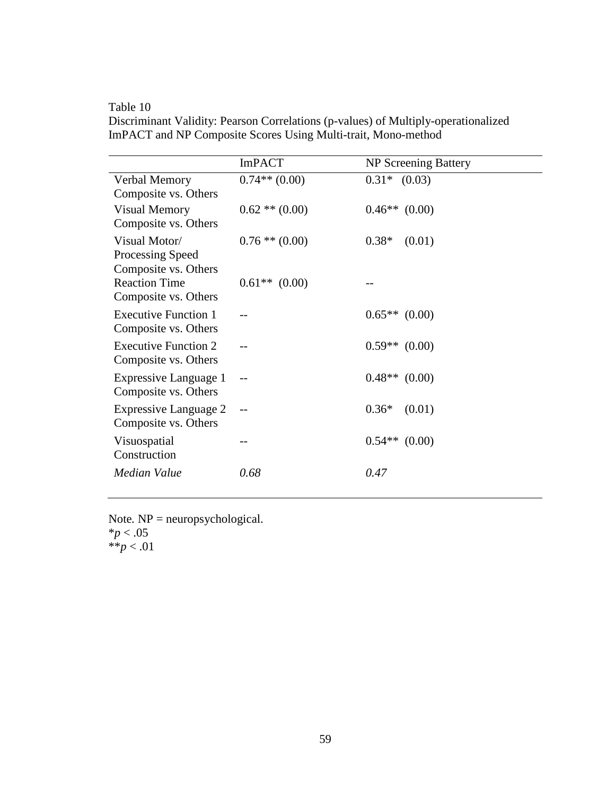Table 10

Discriminant Validity: Pearson Correlations (p-values) of Multiply-operationalized ImPACT and NP Composite Scores Using Multi-trait, Mono-method

|                                                           | <b>ImPACT</b>      | NP Screening Battery |
|-----------------------------------------------------------|--------------------|----------------------|
| Verbal Memory<br>Composite vs. Others                     | $0.74**$ (0.00)    | $0.31*$ $(0.03)$     |
| <b>Visual Memory</b><br>Composite vs. Others              | $0.62$ ** $(0.00)$ | $0.46**$ (0.00)      |
| Visual Motor/<br>Processing Speed<br>Composite vs. Others | $0.76$ ** $(0.00)$ | $0.38*$<br>(0.01)    |
| <b>Reaction Time</b><br>Composite vs. Others              | $0.61**$ (0.00)    |                      |
| <b>Executive Function 1</b><br>Composite vs. Others       |                    | $0.65**$ (0.00)      |
| <b>Executive Function 2</b><br>Composite vs. Others       |                    | $0.59**$ (0.00)      |
| Expressive Language 1<br>Composite vs. Others             | $-$                | $0.48**$ (0.00)      |
| Expressive Language 2<br>Composite vs. Others             |                    | $0.36*$<br>(0.01)    |
| Visuospatial<br>Construction                              |                    | $0.54**$<br>(0.00)   |
| Median Value                                              | 0.68               | 0.47                 |

Note. NP = neuropsychological. \**p* < .05 \*\**p* < .01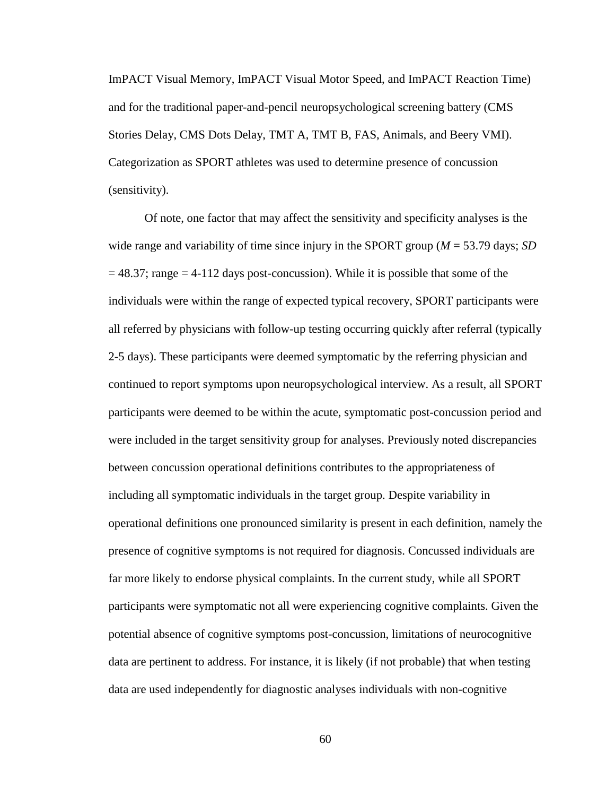ImPACT Visual Memory, ImPACT Visual Motor Speed, and ImPACT Reaction Time) and for the traditional paper-and-pencil neuropsychological screening battery (CMS Stories Delay, CMS Dots Delay, TMT A, TMT B, FAS, Animals, and Beery VMI). Categorization as SPORT athletes was used to determine presence of concussion (sensitivity).

Of note, one factor that may affect the sensitivity and specificity analyses is the wide range and variability of time since injury in the SPORT group (*M* = 53.79 days; *SD*  $= 48.37$ ; range  $= 4-112$  days post-concussion). While it is possible that some of the individuals were within the range of expected typical recovery, SPORT participants were all referred by physicians with follow-up testing occurring quickly after referral (typically 2-5 days). These participants were deemed symptomatic by the referring physician and continued to report symptoms upon neuropsychological interview. As a result, all SPORT participants were deemed to be within the acute, symptomatic post-concussion period and were included in the target sensitivity group for analyses. Previously noted discrepancies between concussion operational definitions contributes to the appropriateness of including all symptomatic individuals in the target group. Despite variability in operational definitions one pronounced similarity is present in each definition, namely the presence of cognitive symptoms is not required for diagnosis. Concussed individuals are far more likely to endorse physical complaints. In the current study, while all SPORT participants were symptomatic not all were experiencing cognitive complaints. Given the potential absence of cognitive symptoms post-concussion, limitations of neurocognitive data are pertinent to address. For instance, it is likely (if not probable) that when testing data are used independently for diagnostic analyses individuals with non-cognitive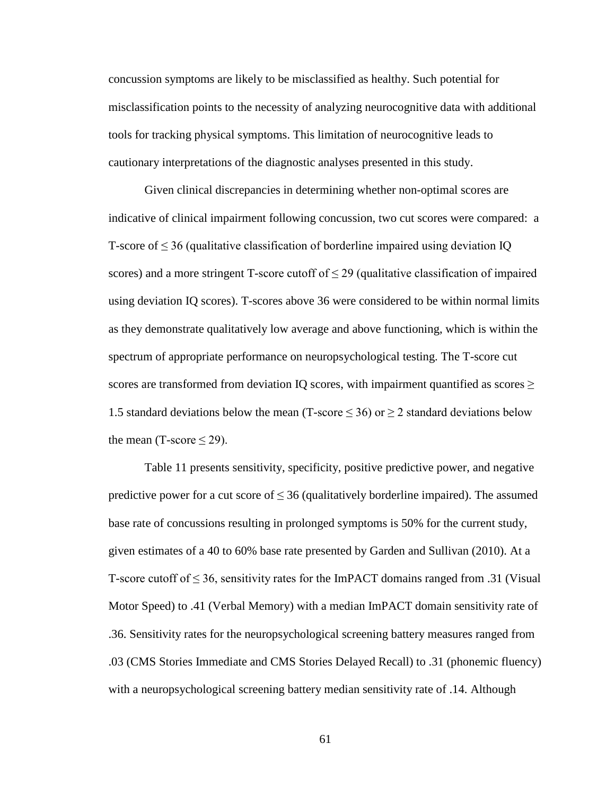concussion symptoms are likely to be misclassified as healthy. Such potential for misclassification points to the necessity of analyzing neurocognitive data with additional tools for tracking physical symptoms. This limitation of neurocognitive leads to cautionary interpretations of the diagnostic analyses presented in this study.

Given clinical discrepancies in determining whether non-optimal scores are indicative of clinical impairment following concussion, two cut scores were compared: a T-score of  $\leq$  36 (qualitative classification of borderline impaired using deviation IQ scores) and a more stringent T-score cutoff of  $\leq$  29 (qualitative classification of impaired using deviation IQ scores). T-scores above 36 were considered to be within normal limits as they demonstrate qualitatively low average and above functioning, which is within the spectrum of appropriate performance on neuropsychological testing. The T-score cut scores are transformed from deviation IQ scores, with impairment quantified as scores  $\geq$ 1.5 standard deviations below the mean (T-score  $\leq$  36) or  $\geq$  2 standard deviations below the mean (T-score  $\leq$  29).

Table 11 presents sensitivity, specificity, positive predictive power, and negative predictive power for a cut score of  $\leq$  36 (qualitatively borderline impaired). The assumed base rate of concussions resulting in prolonged symptoms is 50% for the current study, given estimates of a 40 to 60% base rate presented by Garden and Sullivan (2010). At a T-score cutoff of  $\leq 36$ , sensitivity rates for the ImPACT domains ranged from .31 (Visual Motor Speed) to .41 (Verbal Memory) with a median ImPACT domain sensitivity rate of .36. Sensitivity rates for the neuropsychological screening battery measures ranged from .03 (CMS Stories Immediate and CMS Stories Delayed Recall) to .31 (phonemic fluency) with a neuropsychological screening battery median sensitivity rate of .14. Although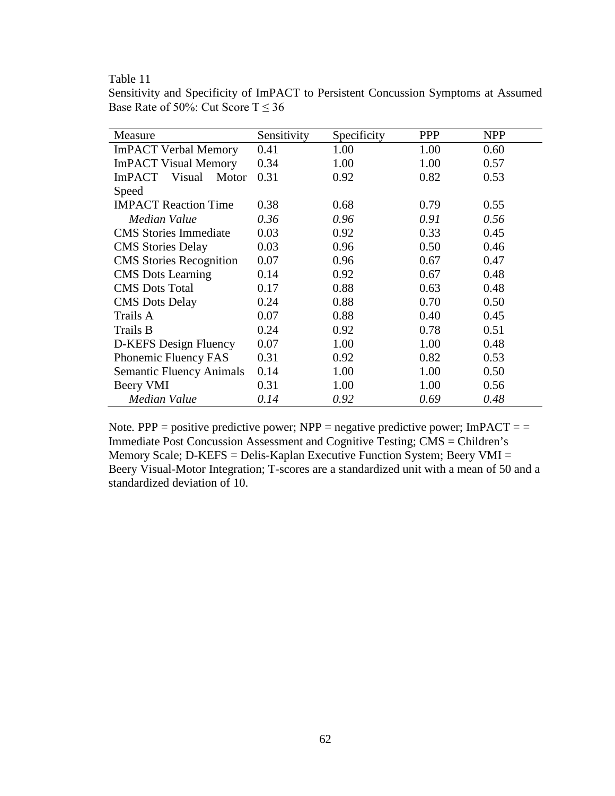## Table 11

| Sensitivity and Specificity of ImPACT to Persistent Concussion Symptoms at Assumed |  |  |
|------------------------------------------------------------------------------------|--|--|
| Base Rate of 50%: Cut Score $T \le 36$                                             |  |  |

| Measure                          | Sensitivity | Specificity | <b>PPP</b> | <b>NPP</b> |
|----------------------------------|-------------|-------------|------------|------------|
| <b>ImPACT Verbal Memory</b>      | 0.41        | 1.00        | 1.00       | 0.60       |
| <b>ImPACT Visual Memory</b>      | 0.34        | 1.00        | 1.00       | 0.57       |
| Visual<br><b>ImPACT</b><br>Motor | 0.31        | 0.92        | 0.82       | 0.53       |
| Speed                            |             |             |            |            |
| <b>IMPACT Reaction Time</b>      | 0.38        | 0.68        | 0.79       | 0.55       |
| Median Value                     | 0.36        | 0.96        | 0.91       | 0.56       |
| <b>CMS</b> Stories Immediate     | 0.03        | 0.92        | 0.33       | 0.45       |
| <b>CMS</b> Stories Delay         | 0.03        | 0.96        | 0.50       | 0.46       |
| <b>CMS</b> Stories Recognition   | 0.07        | 0.96        | 0.67       | 0.47       |
| <b>CMS</b> Dots Learning         | 0.14        | 0.92        | 0.67       | 0.48       |
| <b>CMS</b> Dots Total            | 0.17        | 0.88        | 0.63       | 0.48       |
| <b>CMS</b> Dots Delay            | 0.24        | 0.88        | 0.70       | 0.50       |
| Trails A                         | 0.07        | 0.88        | 0.40       | 0.45       |
| Trails B                         | 0.24        | 0.92        | 0.78       | 0.51       |
| D-KEFS Design Fluency            | 0.07        | 1.00        | 1.00       | 0.48       |
| Phonemic Fluency FAS             | 0.31        | 0.92        | 0.82       | 0.53       |
| <b>Semantic Fluency Animals</b>  | 0.14        | 1.00        | 1.00       | 0.50       |
| Beery VMI                        | 0.31        | 1.00        | 1.00       | 0.56       |
| Median Value                     | 0.14        | 0.92        | 0.69       | 0.48       |

Note.  $PPP =$  positive predictive power;  $NPP =$  negative predictive power; ImPACT = = Immediate Post Concussion Assessment and Cognitive Testing; CMS = Children's Memory Scale; D-KEFS = Delis-Kaplan Executive Function System; Beery VMI = Beery Visual-Motor Integration; T-scores are a standardized unit with a mean of 50 and a standardized deviation of 10.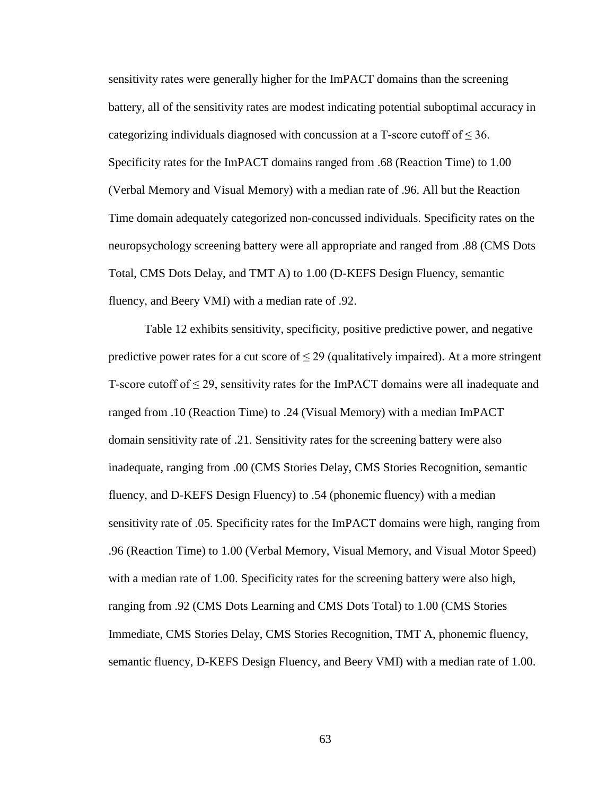sensitivity rates were generally higher for the ImPACT domains than the screening battery, all of the sensitivity rates are modest indicating potential suboptimal accuracy in categorizing individuals diagnosed with concussion at a T-score cutoff of  $\leq 36$ . Specificity rates for the ImPACT domains ranged from .68 (Reaction Time) to 1.00 (Verbal Memory and Visual Memory) with a median rate of .96. All but the Reaction Time domain adequately categorized non-concussed individuals. Specificity rates on the neuropsychology screening battery were all appropriate and ranged from .88 (CMS Dots Total, CMS Dots Delay, and TMT A) to 1.00 (D-KEFS Design Fluency, semantic fluency, and Beery VMI) with a median rate of .92.

Table 12 exhibits sensitivity, specificity, positive predictive power, and negative predictive power rates for a cut score of  $\leq$  29 (qualitatively impaired). At a more stringent T-score cutoff of  $\leq$  29, sensitivity rates for the ImPACT domains were all inadequate and ranged from .10 (Reaction Time) to .24 (Visual Memory) with a median ImPACT domain sensitivity rate of .21. Sensitivity rates for the screening battery were also inadequate, ranging from .00 (CMS Stories Delay, CMS Stories Recognition, semantic fluency, and D-KEFS Design Fluency) to .54 (phonemic fluency) with a median sensitivity rate of .05. Specificity rates for the ImPACT domains were high, ranging from .96 (Reaction Time) to 1.00 (Verbal Memory, Visual Memory, and Visual Motor Speed) with a median rate of 1.00. Specificity rates for the screening battery were also high, ranging from .92 (CMS Dots Learning and CMS Dots Total) to 1.00 (CMS Stories Immediate, CMS Stories Delay, CMS Stories Recognition, TMT A, phonemic fluency, semantic fluency, D-KEFS Design Fluency, and Beery VMI) with a median rate of 1.00.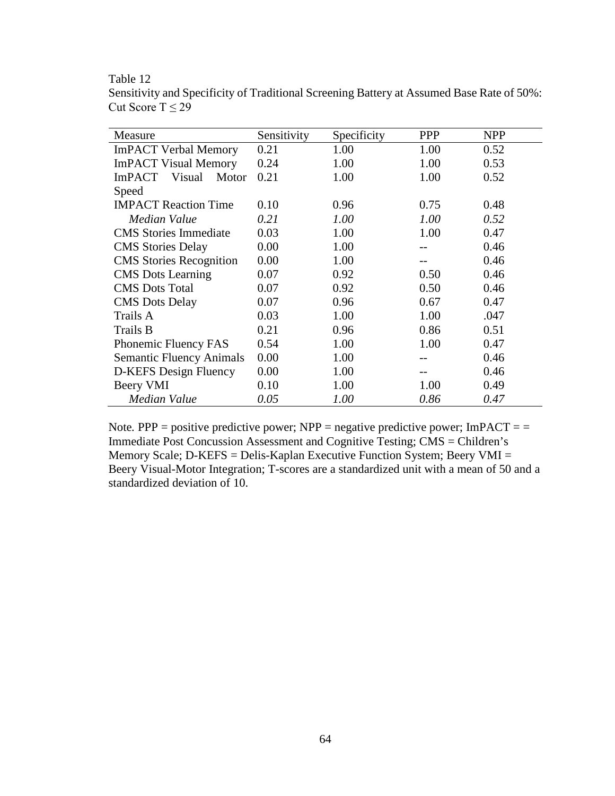Table 12

| Measure                          | Sensitivity | Specificity<br><b>PPP</b> |      | <b>NPP</b> |  |  |  |
|----------------------------------|-------------|---------------------------|------|------------|--|--|--|
| <b>ImPACT Verbal Memory</b>      | 0.21        | 1.00                      | 1.00 | 0.52       |  |  |  |
| <b>ImPACT Visual Memory</b>      | 0.24        | 1.00                      | 1.00 | 0.53       |  |  |  |
| <b>ImPACT</b><br>Visual<br>Motor | 0.21        | 1.00                      | 1.00 | 0.52       |  |  |  |
| Speed                            |             |                           |      |            |  |  |  |
| <b>IMPACT Reaction Time</b>      | 0.10        | 0.96                      | 0.75 | 0.48       |  |  |  |
| Median Value                     | 0.21        | 1.00                      | 1.00 | 0.52       |  |  |  |
| <b>CMS</b> Stories Immediate     | 0.03        | 1.00                      | 1.00 | 0.47       |  |  |  |
| <b>CMS</b> Stories Delay         | 0.00        | 1.00                      |      | 0.46       |  |  |  |
| <b>CMS</b> Stories Recognition   | 0.00        | 1.00                      |      | 0.46       |  |  |  |
| <b>CMS</b> Dots Learning         | 0.07        | 0.92                      | 0.50 | 0.46       |  |  |  |
| <b>CMS</b> Dots Total            | 0.07        | 0.92                      | 0.50 | 0.46       |  |  |  |
| <b>CMS</b> Dots Delay            | 0.07        | 0.96                      | 0.67 | 0.47       |  |  |  |
| Trails A                         | 0.03        | 1.00                      | 1.00 | .047       |  |  |  |
| Trails B                         | 0.21        | 0.96                      | 0.86 | 0.51       |  |  |  |
| Phonemic Fluency FAS             | 0.54        | 1.00                      | 1.00 | 0.47       |  |  |  |
| <b>Semantic Fluency Animals</b>  | 0.00        | 1.00                      |      | 0.46       |  |  |  |
| D-KEFS Design Fluency            | 0.00        | 1.00                      |      | 0.46       |  |  |  |
| Beery VMI                        | 0.10        | 1.00                      | 1.00 | 0.49       |  |  |  |
| Median Value                     | 0.05        | 1.00                      | 0.86 | 0.47       |  |  |  |

Sensitivity and Specificity of Traditional Screening Battery at Assumed Base Rate of 50%: Cut Score T  $\leq 29$ 

Note.  $PPP =$  positive predictive power;  $NPP =$  negative predictive power; ImPACT = = Immediate Post Concussion Assessment and Cognitive Testing; CMS = Children's Memory Scale; D-KEFS = Delis-Kaplan Executive Function System; Beery VMI = Beery Visual-Motor Integration; T-scores are a standardized unit with a mean of 50 and a standardized deviation of 10.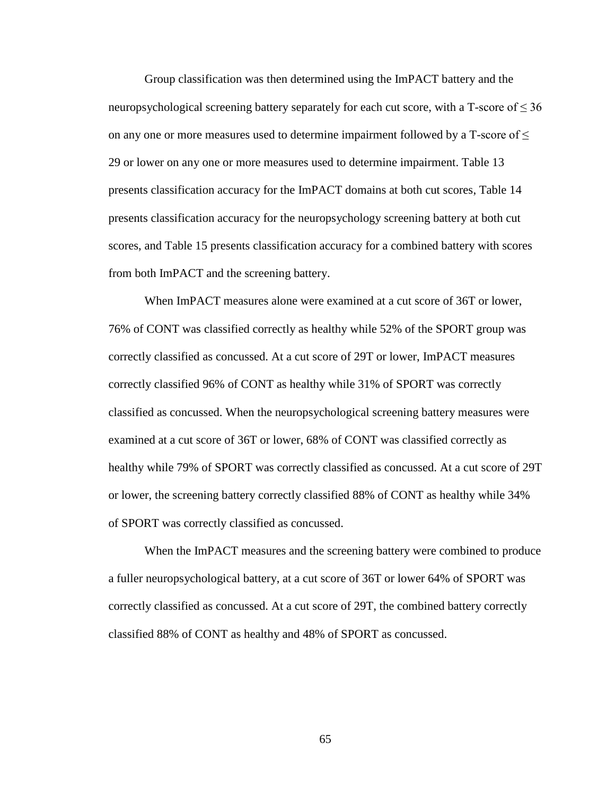Group classification was then determined using the ImPACT battery and the neuropsychological screening battery separately for each cut score, with a T-score of  $\leq 36$ on any one or more measures used to determine impairment followed by a T-score of  $\leq$ 29 or lower on any one or more measures used to determine impairment. Table 13 presents classification accuracy for the ImPACT domains at both cut scores, Table 14 presents classification accuracy for the neuropsychology screening battery at both cut scores, and Table 15 presents classification accuracy for a combined battery with scores from both ImPACT and the screening battery.

When ImPACT measures alone were examined at a cut score of 36T or lower, 76% of CONT was classified correctly as healthy while 52% of the SPORT group was correctly classified as concussed. At a cut score of 29T or lower, ImPACT measures correctly classified 96% of CONT as healthy while 31% of SPORT was correctly classified as concussed. When the neuropsychological screening battery measures were examined at a cut score of 36T or lower, 68% of CONT was classified correctly as healthy while 79% of SPORT was correctly classified as concussed. At a cut score of 29T or lower, the screening battery correctly classified 88% of CONT as healthy while 34% of SPORT was correctly classified as concussed.

When the ImPACT measures and the screening battery were combined to produce a fuller neuropsychological battery, at a cut score of 36T or lower 64% of SPORT was correctly classified as concussed. At a cut score of 29T, the combined battery correctly classified 88% of CONT as healthy and 48% of SPORT as concussed.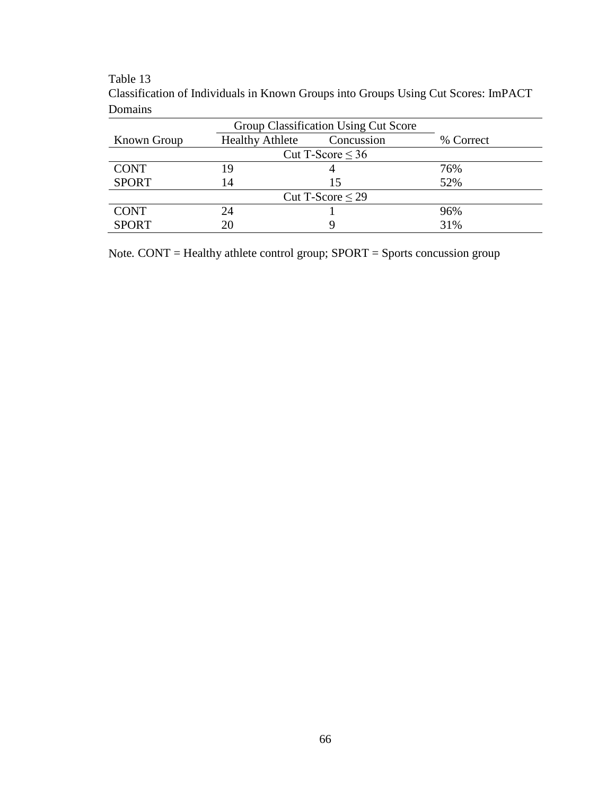## Table 13

| Domains                              |                        |                       |           |  |  |
|--------------------------------------|------------------------|-----------------------|-----------|--|--|
| Group Classification Using Cut Score |                        |                       |           |  |  |
| Known Group                          | <b>Healthy Athlete</b> | Concussion            | % Correct |  |  |
|                                      |                        | Cut T-Score $\leq 36$ |           |  |  |
| <b>CONT</b>                          | 19                     |                       | 76%       |  |  |
| <b>SPORT</b>                         | 14                     | 15                    | 52%       |  |  |
| Cut T-Score $\leq$ 29                |                        |                       |           |  |  |
| <b>CONT</b>                          | 24                     |                       | 96%       |  |  |
| <b>SPORT</b>                         | 20                     |                       | 31%       |  |  |

Classification of Individuals in Known Groups into Groups Using Cut Scores: ImPACT Domains

Note*.* CONT = Healthy athlete control group; SPORT = Sports concussion group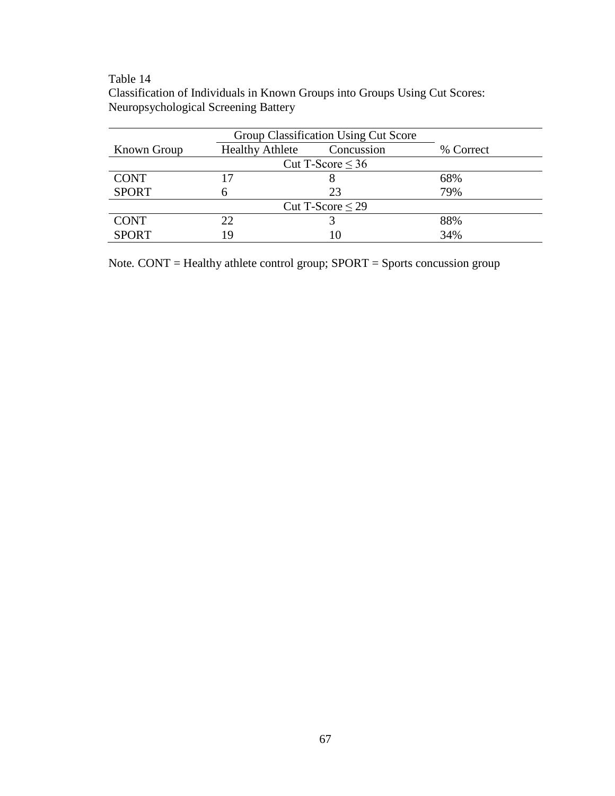## Table 14

Classification of Individuals in Known Groups into Groups Using Cut Scores: Neuropsychological Screening Battery

| <b>Known Group</b>    | <b>Healthy Athlete</b><br>Concussion |    | % Correct |  |  |
|-----------------------|--------------------------------------|----|-----------|--|--|
| Cut T-Score $\leq 36$ |                                      |    |           |  |  |
| <b>CONT</b>           | 17                                   | δ  | 68%       |  |  |
| <b>SPORT</b>          |                                      | 23 | 79%       |  |  |
| Cut T-Score $\leq$ 29 |                                      |    |           |  |  |
| <b>CONT</b>           | 22                                   |    | 88%       |  |  |
| <b>SPORT</b>          | 19                                   |    | 34%       |  |  |

Note*.* CONT = Healthy athlete control group; SPORT = Sports concussion group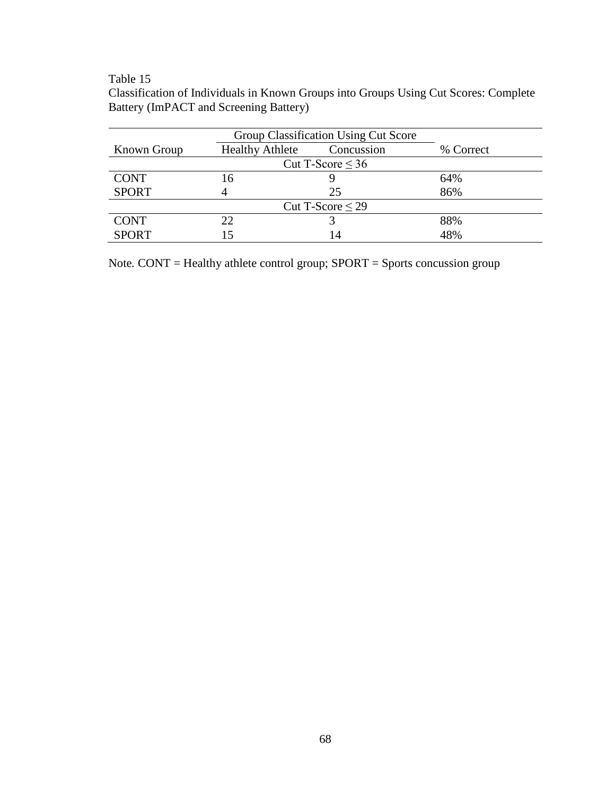# Table 15

| Classification of Individuals in Known Groups into Groups Using Cut Scores: Complete |  |  |
|--------------------------------------------------------------------------------------|--|--|
| Battery (ImPACT and Screening Battery)                                               |  |  |

| Group Classification Using Cut Score |                                      |    |           |  |  |
|--------------------------------------|--------------------------------------|----|-----------|--|--|
| <b>Known Group</b>                   | <b>Healthy Athlete</b><br>Concussion |    | % Correct |  |  |
| Cut T-Score $\leq 36$                |                                      |    |           |  |  |
| <b>CONT</b>                          | 16                                   |    | 64%       |  |  |
| <b>SPORT</b>                         |                                      | 25 | 86%       |  |  |
| Cut T-Score $\leq$ 29                |                                      |    |           |  |  |
| <b>CONT</b>                          | 22                                   |    | 88%       |  |  |
| <b>SPORT</b>                         | 15                                   | 14 | 48%       |  |  |

Note*.* CONT = Healthy athlete control group; SPORT = Sports concussion group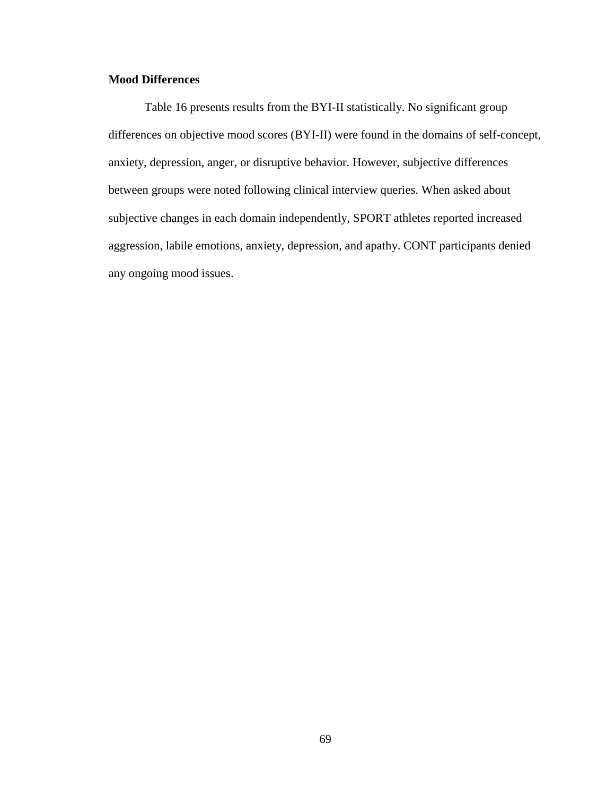## **Mood Differences**

Table 16 presents results from the BYI-II statistically. No significant group differences on objective mood scores (BYI-II) were found in the domains of self-concept, anxiety, depression, anger, or disruptive behavior. However, subjective differences between groups were noted following clinical interview queries. When asked about subjective changes in each domain independently, SPORT athletes reported increased aggression, labile emotions, anxiety, depression, and apathy. CONT participants denied any ongoing mood issues.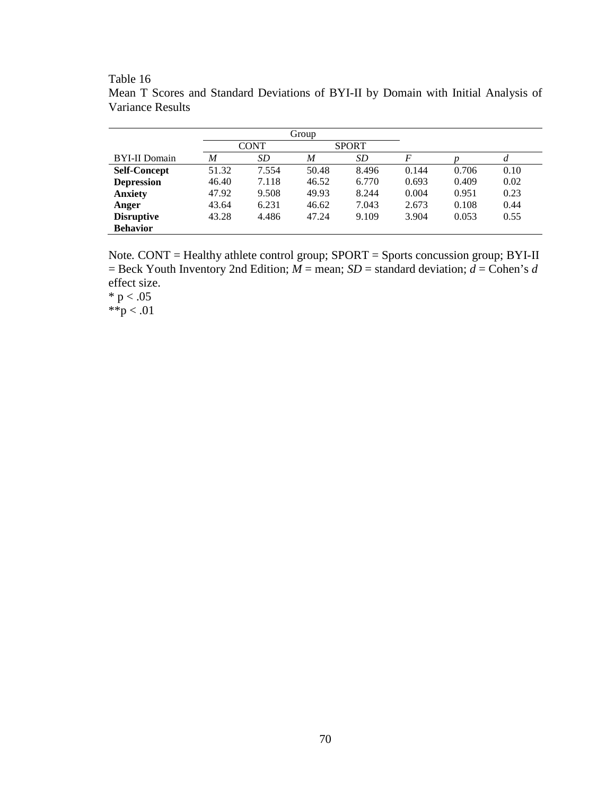|                      | Group |                             |       |           |       |       |      |
|----------------------|-------|-----------------------------|-------|-----------|-------|-------|------|
|                      |       | <b>SPORT</b><br><b>CONT</b> |       |           |       |       |      |
| <b>BYI-II</b> Domain | M     | SD                          | M     | <i>SD</i> | F     |       | d    |
| <b>Self-Concept</b>  | 51.32 | 7.554                       | 50.48 | 8.496     | 0.144 | 0.706 | 0.10 |
| <b>Depression</b>    | 46.40 | 7.118                       | 46.52 | 6.770     | 0.693 | 0.409 | 0.02 |
| <b>Anxiety</b>       | 47.92 | 9.508                       | 49.93 | 8.244     | 0.004 | 0.951 | 0.23 |
| Anger                | 43.64 | 6.231                       | 46.62 | 7.043     | 2.673 | 0.108 | 0.44 |
| <b>Disruptive</b>    | 43.28 | 4.486                       | 47.24 | 9.109     | 3.904 | 0.053 | 0.55 |
| <b>Behavior</b>      |       |                             |       |           |       |       |      |

Table 16 Mean T Scores and Standard Deviations of BYI-II by Domain with Initial Analysis of Variance Results

Note*.* CONT = Healthy athlete control group; SPORT = Sports concussion group; BYI-II  $=$  Beck Youth Inventory 2nd Edition;  $\overline{M}$  = mean; *SD* = standard deviation;  $\overline{d}$  = Cohen's *d* effect size.

 $* p < .05$ \*\*p < .01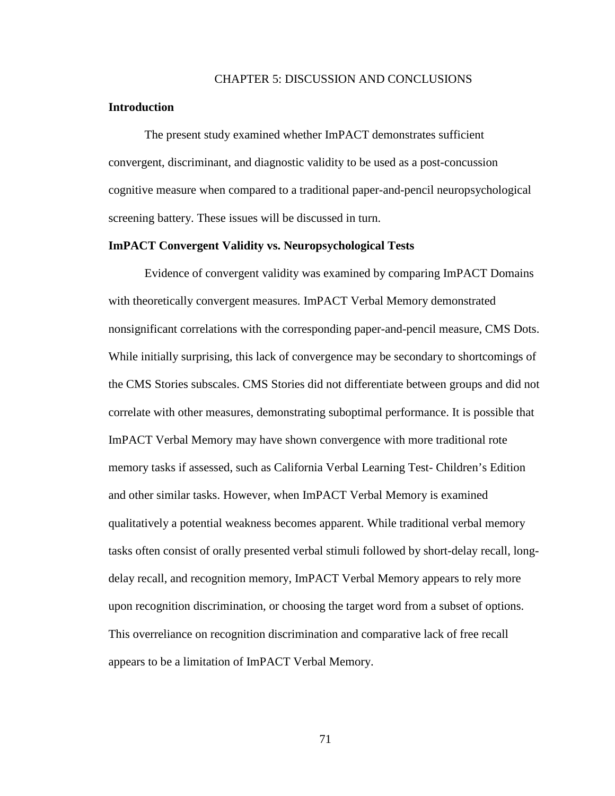## CHAPTER 5: DISCUSSION AND CONCLUSIONS

#### **Introduction**

The present study examined whether ImPACT demonstrates sufficient convergent, discriminant, and diagnostic validity to be used as a post-concussion cognitive measure when compared to a traditional paper-and-pencil neuropsychological screening battery. These issues will be discussed in turn.

## **ImPACT Convergent Validity vs. Neuropsychological Tests**

Evidence of convergent validity was examined by comparing ImPACT Domains with theoretically convergent measures. ImPACT Verbal Memory demonstrated nonsignificant correlations with the corresponding paper-and-pencil measure, CMS Dots. While initially surprising, this lack of convergence may be secondary to shortcomings of the CMS Stories subscales. CMS Stories did not differentiate between groups and did not correlate with other measures, demonstrating suboptimal performance. It is possible that ImPACT Verbal Memory may have shown convergence with more traditional rote memory tasks if assessed, such as California Verbal Learning Test- Children's Edition and other similar tasks. However, when ImPACT Verbal Memory is examined qualitatively a potential weakness becomes apparent. While traditional verbal memory tasks often consist of orally presented verbal stimuli followed by short-delay recall, longdelay recall, and recognition memory, ImPACT Verbal Memory appears to rely more upon recognition discrimination, or choosing the target word from a subset of options. This overreliance on recognition discrimination and comparative lack of free recall appears to be a limitation of ImPACT Verbal Memory.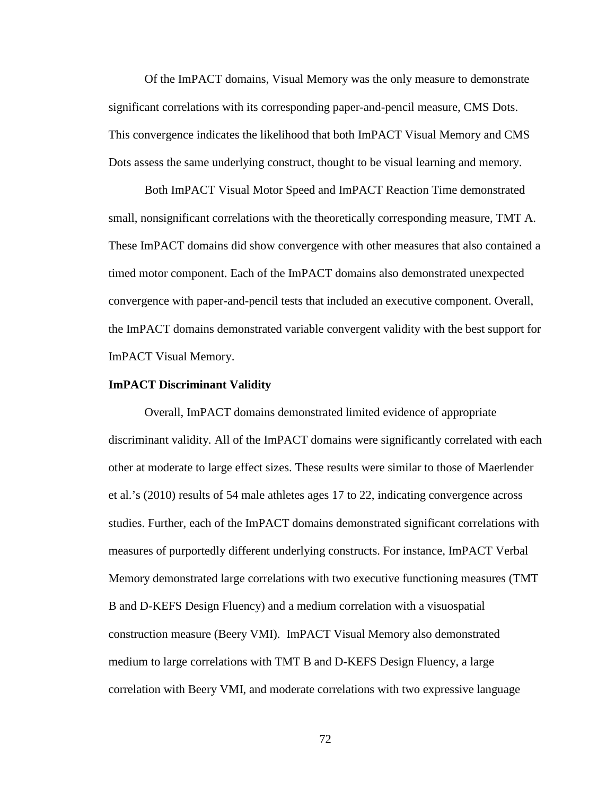Of the ImPACT domains, Visual Memory was the only measure to demonstrate significant correlations with its corresponding paper-and-pencil measure, CMS Dots. This convergence indicates the likelihood that both ImPACT Visual Memory and CMS Dots assess the same underlying construct, thought to be visual learning and memory.

Both ImPACT Visual Motor Speed and ImPACT Reaction Time demonstrated small, nonsignificant correlations with the theoretically corresponding measure, TMT A. These ImPACT domains did show convergence with other measures that also contained a timed motor component. Each of the ImPACT domains also demonstrated unexpected convergence with paper-and-pencil tests that included an executive component. Overall, the ImPACT domains demonstrated variable convergent validity with the best support for ImPACT Visual Memory.

#### **ImPACT Discriminant Validity**

Overall, ImPACT domains demonstrated limited evidence of appropriate discriminant validity. All of the ImPACT domains were significantly correlated with each other at moderate to large effect sizes. These results were similar to those of Maerlender et al.'s (2010) results of 54 male athletes ages 17 to 22, indicating convergence across studies. Further, each of the ImPACT domains demonstrated significant correlations with measures of purportedly different underlying constructs. For instance, ImPACT Verbal Memory demonstrated large correlations with two executive functioning measures (TMT B and D-KEFS Design Fluency) and a medium correlation with a visuospatial construction measure (Beery VMI). ImPACT Visual Memory also demonstrated medium to large correlations with TMT B and D-KEFS Design Fluency, a large correlation with Beery VMI, and moderate correlations with two expressive language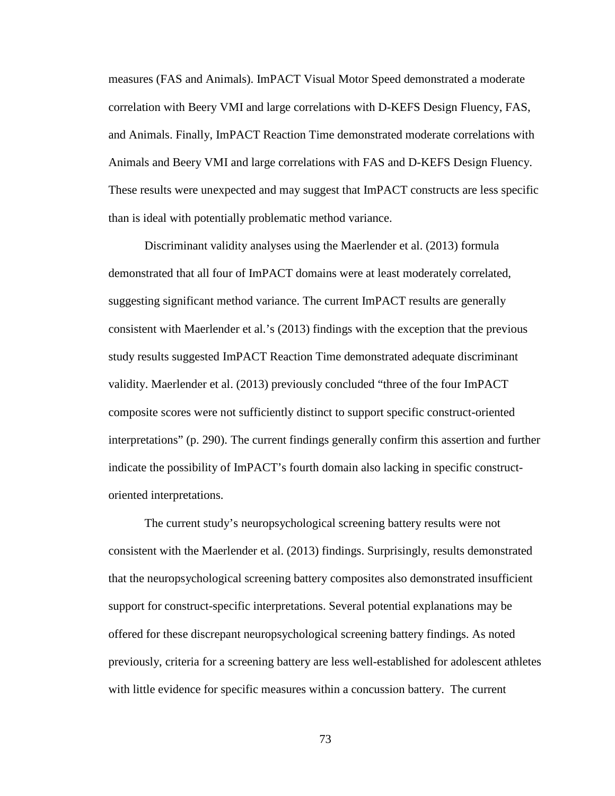measures (FAS and Animals). ImPACT Visual Motor Speed demonstrated a moderate correlation with Beery VMI and large correlations with D-KEFS Design Fluency, FAS, and Animals. Finally, ImPACT Reaction Time demonstrated moderate correlations with Animals and Beery VMI and large correlations with FAS and D-KEFS Design Fluency. These results were unexpected and may suggest that ImPACT constructs are less specific than is ideal with potentially problematic method variance.

Discriminant validity analyses using the Maerlender et al. (2013) formula demonstrated that all four of ImPACT domains were at least moderately correlated, suggesting significant method variance. The current ImPACT results are generally consistent with Maerlender et al.'s (2013) findings with the exception that the previous study results suggested ImPACT Reaction Time demonstrated adequate discriminant validity. Maerlender et al. (2013) previously concluded "three of the four ImPACT composite scores were not sufficiently distinct to support specific construct-oriented interpretations" (p. 290). The current findings generally confirm this assertion and further indicate the possibility of ImPACT's fourth domain also lacking in specific constructoriented interpretations.

The current study's neuropsychological screening battery results were not consistent with the Maerlender et al. (2013) findings. Surprisingly, results demonstrated that the neuropsychological screening battery composites also demonstrated insufficient support for construct-specific interpretations. Several potential explanations may be offered for these discrepant neuropsychological screening battery findings. As noted previously, criteria for a screening battery are less well-established for adolescent athletes with little evidence for specific measures within a concussion battery. The current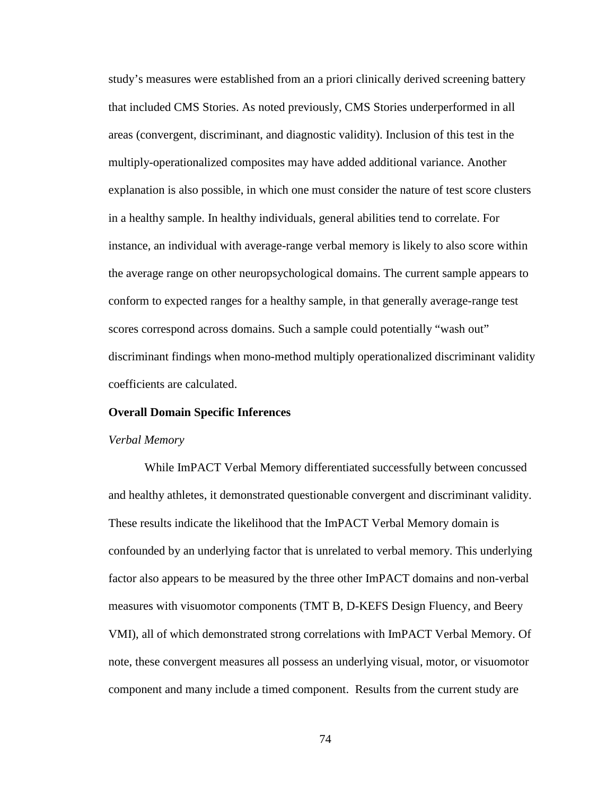study's measures were established from an a priori clinically derived screening battery that included CMS Stories. As noted previously, CMS Stories underperformed in all areas (convergent, discriminant, and diagnostic validity). Inclusion of this test in the multiply-operationalized composites may have added additional variance. Another explanation is also possible, in which one must consider the nature of test score clusters in a healthy sample. In healthy individuals, general abilities tend to correlate. For instance, an individual with average-range verbal memory is likely to also score within the average range on other neuropsychological domains. The current sample appears to conform to expected ranges for a healthy sample, in that generally average-range test scores correspond across domains. Such a sample could potentially "wash out" discriminant findings when mono-method multiply operationalized discriminant validity coefficients are calculated.

#### **Overall Domain Specific Inferences**

#### *Verbal Memory*

While ImPACT Verbal Memory differentiated successfully between concussed and healthy athletes, it demonstrated questionable convergent and discriminant validity. These results indicate the likelihood that the ImPACT Verbal Memory domain is confounded by an underlying factor that is unrelated to verbal memory. This underlying factor also appears to be measured by the three other ImPACT domains and non-verbal measures with visuomotor components (TMT B, D-KEFS Design Fluency, and Beery VMI), all of which demonstrated strong correlations with ImPACT Verbal Memory. Of note, these convergent measures all possess an underlying visual, motor, or visuomotor component and many include a timed component. Results from the current study are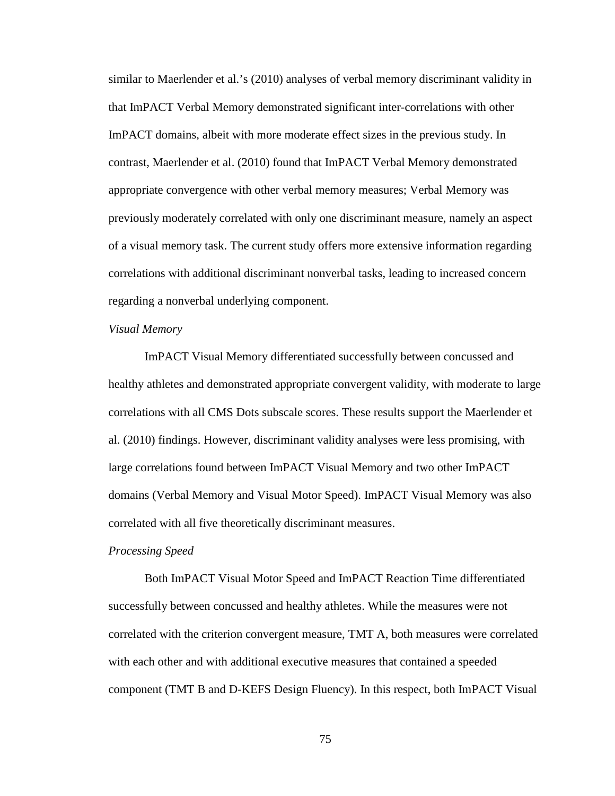similar to Maerlender et al.'s (2010) analyses of verbal memory discriminant validity in that ImPACT Verbal Memory demonstrated significant inter-correlations with other ImPACT domains, albeit with more moderate effect sizes in the previous study. In contrast, Maerlender et al. (2010) found that ImPACT Verbal Memory demonstrated appropriate convergence with other verbal memory measures; Verbal Memory was previously moderately correlated with only one discriminant measure, namely an aspect of a visual memory task. The current study offers more extensive information regarding correlations with additional discriminant nonverbal tasks, leading to increased concern regarding a nonverbal underlying component.

## *Visual Memory*

ImPACT Visual Memory differentiated successfully between concussed and healthy athletes and demonstrated appropriate convergent validity, with moderate to large correlations with all CMS Dots subscale scores. These results support the Maerlender et al. (2010) findings. However, discriminant validity analyses were less promising, with large correlations found between ImPACT Visual Memory and two other ImPACT domains (Verbal Memory and Visual Motor Speed). ImPACT Visual Memory was also correlated with all five theoretically discriminant measures.

#### *Processing Speed*

Both ImPACT Visual Motor Speed and ImPACT Reaction Time differentiated successfully between concussed and healthy athletes. While the measures were not correlated with the criterion convergent measure, TMT A, both measures were correlated with each other and with additional executive measures that contained a speeded component (TMT B and D-KEFS Design Fluency). In this respect, both ImPACT Visual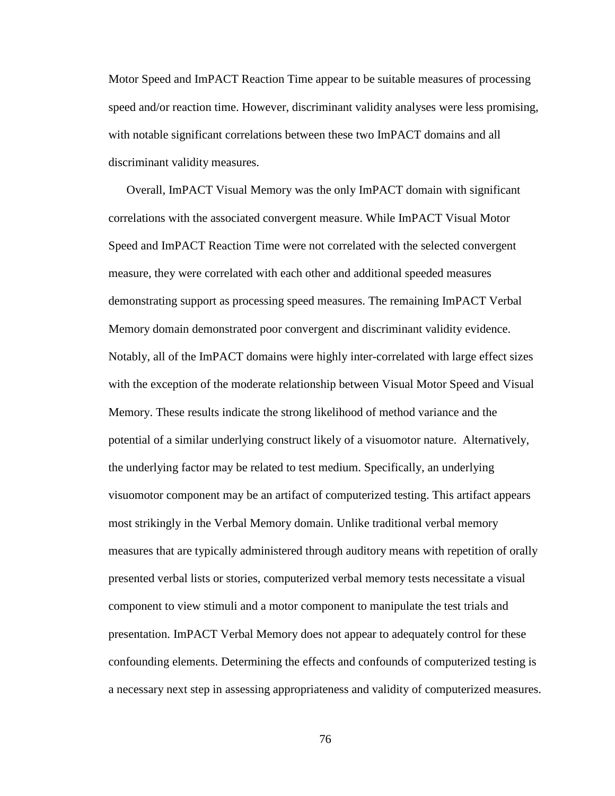Motor Speed and ImPACT Reaction Time appear to be suitable measures of processing speed and/or reaction time. However, discriminant validity analyses were less promising, with notable significant correlations between these two ImPACT domains and all discriminant validity measures.

Overall, ImPACT Visual Memory was the only ImPACT domain with significant correlations with the associated convergent measure. While ImPACT Visual Motor Speed and ImPACT Reaction Time were not correlated with the selected convergent measure, they were correlated with each other and additional speeded measures demonstrating support as processing speed measures. The remaining ImPACT Verbal Memory domain demonstrated poor convergent and discriminant validity evidence. Notably, all of the ImPACT domains were highly inter-correlated with large effect sizes with the exception of the moderate relationship between Visual Motor Speed and Visual Memory. These results indicate the strong likelihood of method variance and the potential of a similar underlying construct likely of a visuomotor nature. Alternatively, the underlying factor may be related to test medium. Specifically, an underlying visuomotor component may be an artifact of computerized testing. This artifact appears most strikingly in the Verbal Memory domain. Unlike traditional verbal memory measures that are typically administered through auditory means with repetition of orally presented verbal lists or stories, computerized verbal memory tests necessitate a visual component to view stimuli and a motor component to manipulate the test trials and presentation. ImPACT Verbal Memory does not appear to adequately control for these confounding elements. Determining the effects and confounds of computerized testing is a necessary next step in assessing appropriateness and validity of computerized measures.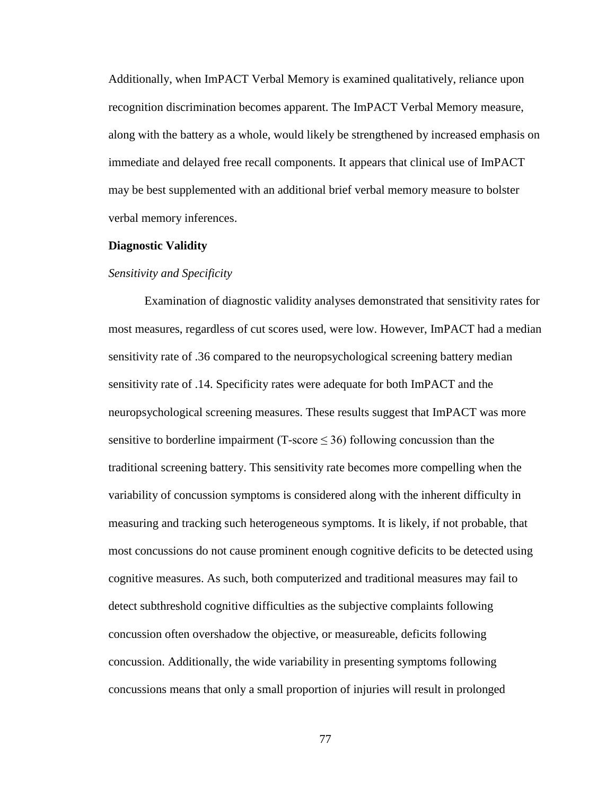Additionally, when ImPACT Verbal Memory is examined qualitatively, reliance upon recognition discrimination becomes apparent. The ImPACT Verbal Memory measure, along with the battery as a whole, would likely be strengthened by increased emphasis on immediate and delayed free recall components. It appears that clinical use of ImPACT may be best supplemented with an additional brief verbal memory measure to bolster verbal memory inferences.

#### **Diagnostic Validity**

#### *Sensitivity and Specificity*

Examination of diagnostic validity analyses demonstrated that sensitivity rates for most measures, regardless of cut scores used, were low. However, ImPACT had a median sensitivity rate of .36 compared to the neuropsychological screening battery median sensitivity rate of .14. Specificity rates were adequate for both ImPACT and the neuropsychological screening measures. These results suggest that ImPACT was more sensitive to borderline impairment (T-score  $\leq$  36) following concussion than the traditional screening battery. This sensitivity rate becomes more compelling when the variability of concussion symptoms is considered along with the inherent difficulty in measuring and tracking such heterogeneous symptoms. It is likely, if not probable, that most concussions do not cause prominent enough cognitive deficits to be detected using cognitive measures. As such, both computerized and traditional measures may fail to detect subthreshold cognitive difficulties as the subjective complaints following concussion often overshadow the objective, or measureable, deficits following concussion. Additionally, the wide variability in presenting symptoms following concussions means that only a small proportion of injuries will result in prolonged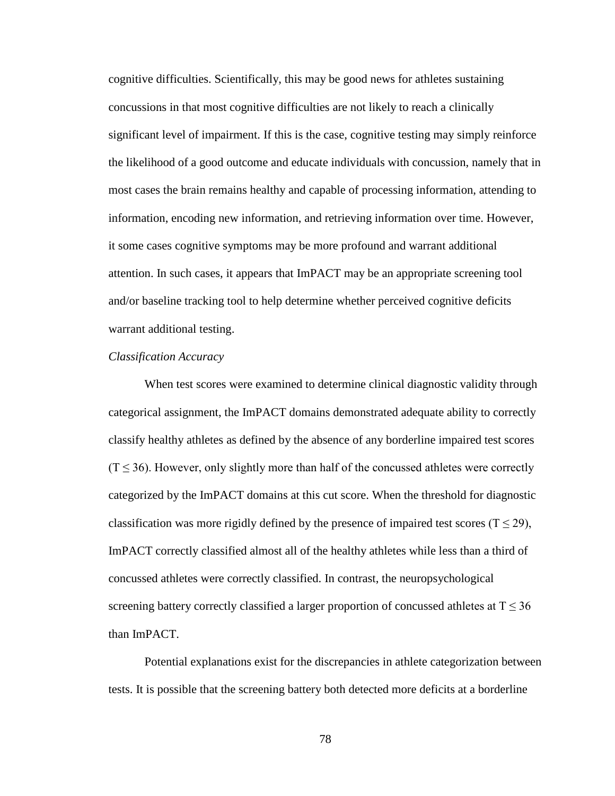cognitive difficulties. Scientifically, this may be good news for athletes sustaining concussions in that most cognitive difficulties are not likely to reach a clinically significant level of impairment. If this is the case, cognitive testing may simply reinforce the likelihood of a good outcome and educate individuals with concussion, namely that in most cases the brain remains healthy and capable of processing information, attending to information, encoding new information, and retrieving information over time. However, it some cases cognitive symptoms may be more profound and warrant additional attention. In such cases, it appears that ImPACT may be an appropriate screening tool and/or baseline tracking tool to help determine whether perceived cognitive deficits warrant additional testing.

#### *Classification Accuracy*

When test scores were examined to determine clinical diagnostic validity through categorical assignment, the ImPACT domains demonstrated adequate ability to correctly classify healthy athletes as defined by the absence of any borderline impaired test scores  $(T \leq 36)$ . However, only slightly more than half of the concussed athletes were correctly categorized by the ImPACT domains at this cut score. When the threshold for diagnostic classification was more rigidly defined by the presence of impaired test scores ( $T \le 29$ ), ImPACT correctly classified almost all of the healthy athletes while less than a third of concussed athletes were correctly classified. In contrast, the neuropsychological screening battery correctly classified a larger proportion of concussed athletes at  $T \leq 36$ than ImPACT.

Potential explanations exist for the discrepancies in athlete categorization between tests. It is possible that the screening battery both detected more deficits at a borderline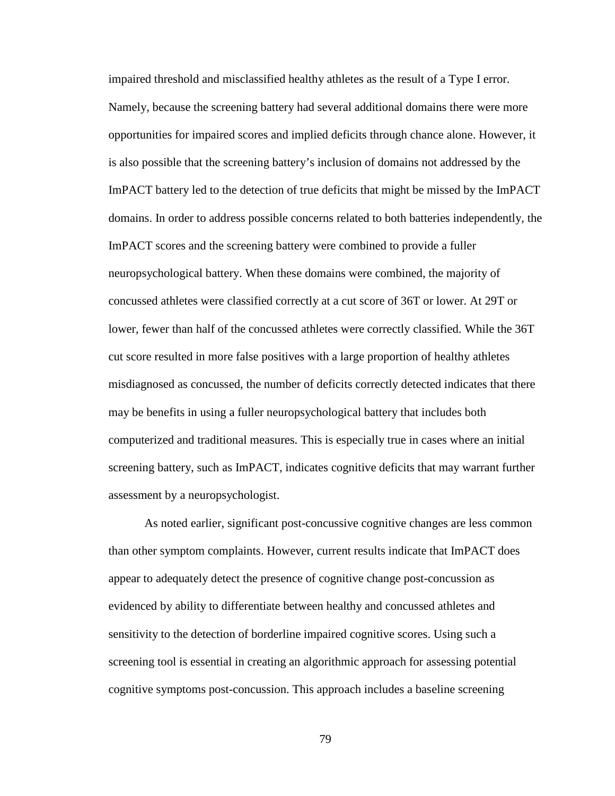impaired threshold and misclassified healthy athletes as the result of a Type I error. Namely, because the screening battery had several additional domains there were more opportunities for impaired scores and implied deficits through chance alone. However, it is also possible that the screening battery's inclusion of domains not addressed by the ImPACT battery led to the detection of true deficits that might be missed by the ImPACT domains. In order to address possible concerns related to both batteries independently, the ImPACT scores and the screening battery were combined to provide a fuller neuropsychological battery. When these domains were combined, the majority of concussed athletes were classified correctly at a cut score of 36T or lower. At 29T or lower, fewer than half of the concussed athletes were correctly classified. While the 36T cut score resulted in more false positives with a large proportion of healthy athletes misdiagnosed as concussed, the number of deficits correctly detected indicates that there may be benefits in using a fuller neuropsychological battery that includes both computerized and traditional measures. This is especially true in cases where an initial screening battery, such as ImPACT, indicates cognitive deficits that may warrant further assessment by a neuropsychologist.

As noted earlier, significant post-concussive cognitive changes are less common than other symptom complaints. However, current results indicate that ImPACT does appear to adequately detect the presence of cognitive change post-concussion as evidenced by ability to differentiate between healthy and concussed athletes and sensitivity to the detection of borderline impaired cognitive scores. Using such a screening tool is essential in creating an algorithmic approach for assessing potential cognitive symptoms post-concussion. This approach includes a baseline screening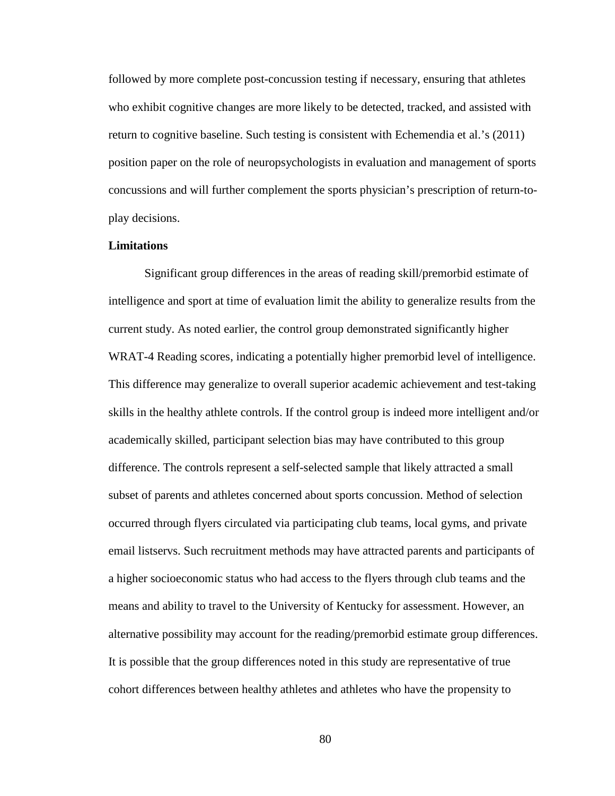followed by more complete post-concussion testing if necessary, ensuring that athletes who exhibit cognitive changes are more likely to be detected, tracked, and assisted with return to cognitive baseline. Such testing is consistent with Echemendia et al.'s (2011) position paper on the role of neuropsychologists in evaluation and management of sports concussions and will further complement the sports physician's prescription of return-toplay decisions.

## **Limitations**

Significant group differences in the areas of reading skill/premorbid estimate of intelligence and sport at time of evaluation limit the ability to generalize results from the current study. As noted earlier, the control group demonstrated significantly higher WRAT-4 Reading scores, indicating a potentially higher premorbid level of intelligence. This difference may generalize to overall superior academic achievement and test-taking skills in the healthy athlete controls. If the control group is indeed more intelligent and/or academically skilled, participant selection bias may have contributed to this group difference. The controls represent a self-selected sample that likely attracted a small subset of parents and athletes concerned about sports concussion. Method of selection occurred through flyers circulated via participating club teams, local gyms, and private email listservs. Such recruitment methods may have attracted parents and participants of a higher socioeconomic status who had access to the flyers through club teams and the means and ability to travel to the University of Kentucky for assessment. However, an alternative possibility may account for the reading/premorbid estimate group differences. It is possible that the group differences noted in this study are representative of true cohort differences between healthy athletes and athletes who have the propensity to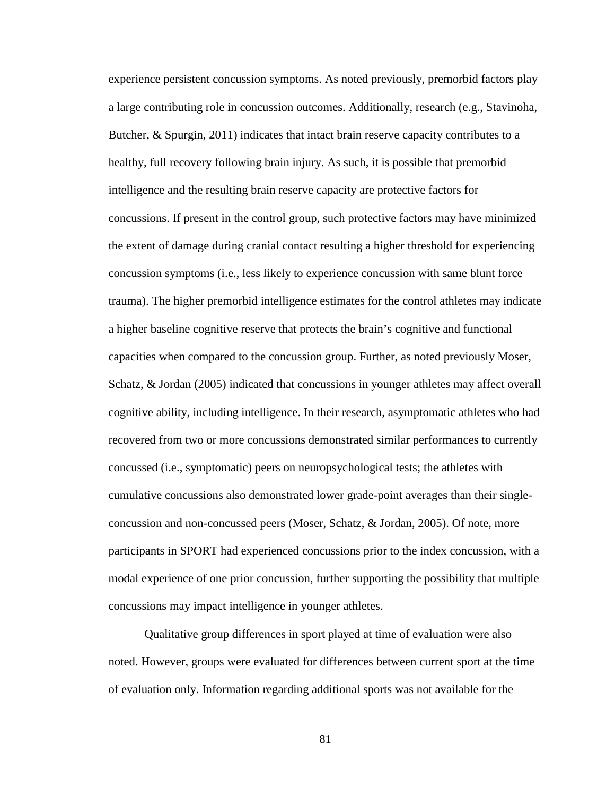experience persistent concussion symptoms. As noted previously, premorbid factors play a large contributing role in concussion outcomes. Additionally, research (e.g., Stavinoha, Butcher, & Spurgin, 2011) indicates that intact brain reserve capacity contributes to a healthy, full recovery following brain injury. As such, it is possible that premorbid intelligence and the resulting brain reserve capacity are protective factors for concussions. If present in the control group, such protective factors may have minimized the extent of damage during cranial contact resulting a higher threshold for experiencing concussion symptoms (i.e., less likely to experience concussion with same blunt force trauma). The higher premorbid intelligence estimates for the control athletes may indicate a higher baseline cognitive reserve that protects the brain's cognitive and functional capacities when compared to the concussion group. Further, as noted previously Moser, Schatz, & Jordan (2005) indicated that concussions in younger athletes may affect overall cognitive ability, including intelligence. In their research, asymptomatic athletes who had recovered from two or more concussions demonstrated similar performances to currently concussed (i.e., symptomatic) peers on neuropsychological tests; the athletes with cumulative concussions also demonstrated lower grade-point averages than their singleconcussion and non-concussed peers (Moser, Schatz, & Jordan, 2005). Of note, more participants in SPORT had experienced concussions prior to the index concussion, with a modal experience of one prior concussion, further supporting the possibility that multiple concussions may impact intelligence in younger athletes.

Qualitative group differences in sport played at time of evaluation were also noted. However, groups were evaluated for differences between current sport at the time of evaluation only. Information regarding additional sports was not available for the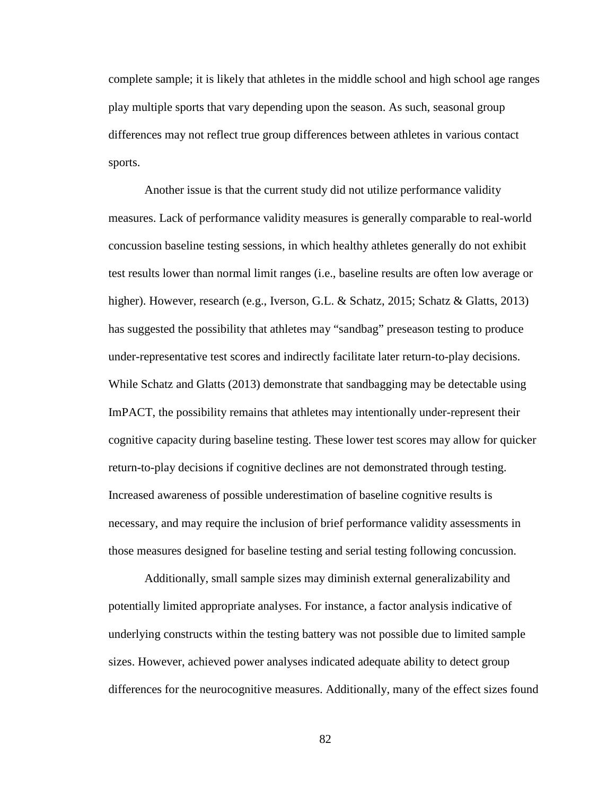complete sample; it is likely that athletes in the middle school and high school age ranges play multiple sports that vary depending upon the season. As such, seasonal group differences may not reflect true group differences between athletes in various contact sports.

Another issue is that the current study did not utilize performance validity measures. Lack of performance validity measures is generally comparable to real-world concussion baseline testing sessions, in which healthy athletes generally do not exhibit test results lower than normal limit ranges (i.e., baseline results are often low average or higher). However, research (e.g., Iverson, G.L. & Schatz, 2015; Schatz & Glatts, 2013) has suggested the possibility that athletes may "sandbag" preseason testing to produce under-representative test scores and indirectly facilitate later return-to-play decisions. While Schatz and Glatts (2013) demonstrate that sandbagging may be detectable using ImPACT, the possibility remains that athletes may intentionally under-represent their cognitive capacity during baseline testing. These lower test scores may allow for quicker return-to-play decisions if cognitive declines are not demonstrated through testing. Increased awareness of possible underestimation of baseline cognitive results is necessary, and may require the inclusion of brief performance validity assessments in those measures designed for baseline testing and serial testing following concussion.

Additionally, small sample sizes may diminish external generalizability and potentially limited appropriate analyses. For instance, a factor analysis indicative of underlying constructs within the testing battery was not possible due to limited sample sizes. However, achieved power analyses indicated adequate ability to detect group differences for the neurocognitive measures. Additionally, many of the effect sizes found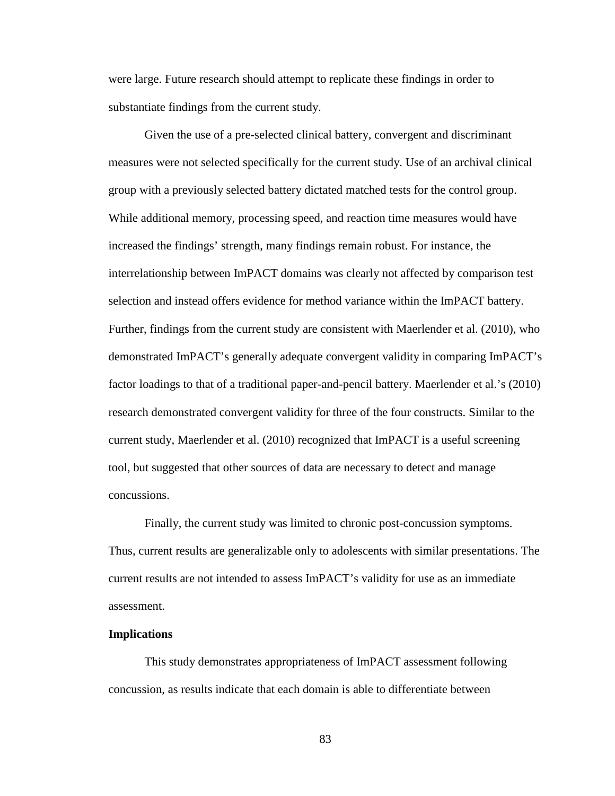were large. Future research should attempt to replicate these findings in order to substantiate findings from the current study.

Given the use of a pre-selected clinical battery, convergent and discriminant measures were not selected specifically for the current study. Use of an archival clinical group with a previously selected battery dictated matched tests for the control group. While additional memory, processing speed, and reaction time measures would have increased the findings' strength, many findings remain robust. For instance, the interrelationship between ImPACT domains was clearly not affected by comparison test selection and instead offers evidence for method variance within the ImPACT battery. Further, findings from the current study are consistent with Maerlender et al. (2010), who demonstrated ImPACT's generally adequate convergent validity in comparing ImPACT's factor loadings to that of a traditional paper-and-pencil battery. Maerlender et al.'s (2010) research demonstrated convergent validity for three of the four constructs. Similar to the current study, Maerlender et al. (2010) recognized that ImPACT is a useful screening tool, but suggested that other sources of data are necessary to detect and manage concussions.

Finally, the current study was limited to chronic post-concussion symptoms. Thus, current results are generalizable only to adolescents with similar presentations. The current results are not intended to assess ImPACT's validity for use as an immediate assessment.

#### **Implications**

This study demonstrates appropriateness of ImPACT assessment following concussion, as results indicate that each domain is able to differentiate between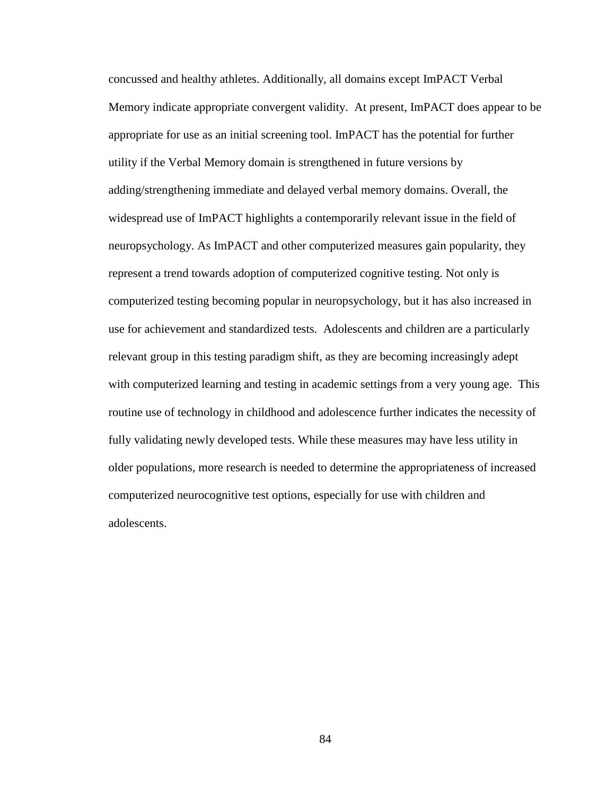concussed and healthy athletes. Additionally, all domains except ImPACT Verbal Memory indicate appropriate convergent validity. At present, ImPACT does appear to be appropriate for use as an initial screening tool. ImPACT has the potential for further utility if the Verbal Memory domain is strengthened in future versions by adding/strengthening immediate and delayed verbal memory domains. Overall, the widespread use of ImPACT highlights a contemporarily relevant issue in the field of neuropsychology. As ImPACT and other computerized measures gain popularity, they represent a trend towards adoption of computerized cognitive testing. Not only is computerized testing becoming popular in neuropsychology, but it has also increased in use for achievement and standardized tests. Adolescents and children are a particularly relevant group in this testing paradigm shift, as they are becoming increasingly adept with computerized learning and testing in academic settings from a very young age. This routine use of technology in childhood and adolescence further indicates the necessity of fully validating newly developed tests. While these measures may have less utility in older populations, more research is needed to determine the appropriateness of increased computerized neurocognitive test options, especially for use with children and adolescents.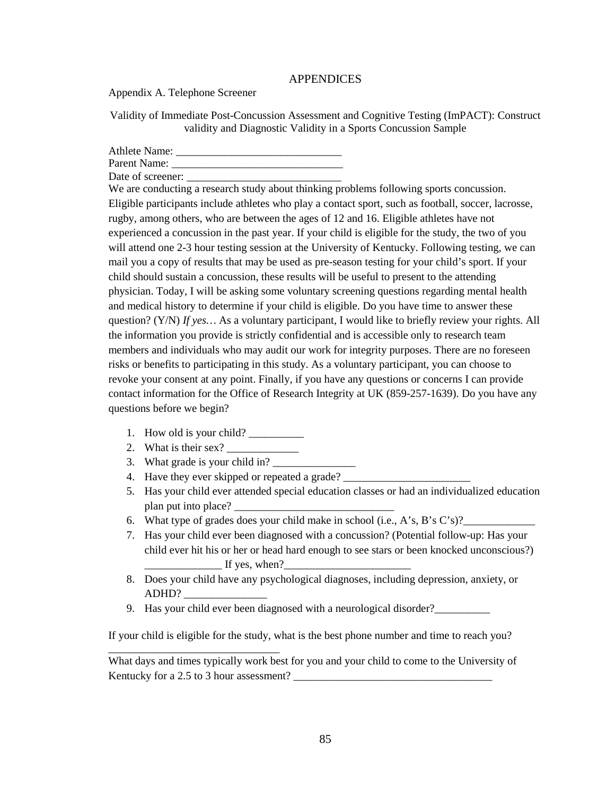## APPENDICES

Appendix A. Telephone Screener

Validity of Immediate Post-Concussion Assessment and Cognitive Testing (ImPACT): Construct validity and Diagnostic Validity in a Sports Concussion Sample

Athlete Name: \_\_\_\_\_\_\_\_\_\_\_\_\_\_\_\_\_\_\_\_\_\_\_\_\_\_\_\_\_\_

Parent Name: \_\_\_\_\_\_\_\_\_\_\_\_\_\_\_\_\_\_\_\_\_\_\_\_\_\_\_\_\_\_\_

Date of screener:

We are conducting a research study about thinking problems following sports concussion. Eligible participants include athletes who play a contact sport, such as football, soccer, lacrosse, rugby, among others, who are between the ages of 12 and 16. Eligible athletes have not experienced a concussion in the past year. If your child is eligible for the study, the two of you will attend one 2-3 hour testing session at the University of Kentucky. Following testing, we can mail you a copy of results that may be used as pre-season testing for your child's sport. If your child should sustain a concussion, these results will be useful to present to the attending physician. Today, I will be asking some voluntary screening questions regarding mental health and medical history to determine if your child is eligible. Do you have time to answer these question? (Y/N) *If yes…* As a voluntary participant, I would like to briefly review your rights. All the information you provide is strictly confidential and is accessible only to research team members and individuals who may audit our work for integrity purposes. There are no foreseen risks or benefits to participating in this study. As a voluntary participant, you can choose to revoke your consent at any point. Finally, if you have any questions or concerns I can provide contact information for the Office of Research Integrity at UK (859-257-1639). Do you have any questions before we begin?

- 1. How old is your child? \_\_\_\_\_\_\_\_\_\_
- 2. What is their sex?
- 3. What grade is your child in?

\_\_\_\_\_\_\_\_\_\_\_\_\_\_\_\_\_\_\_\_\_\_\_\_\_\_\_\_\_\_\_

- 4. Have they ever skipped or repeated a grade?
- 5. Has your child ever attended special education classes or had an individualized education plan put into place?
- 6. What type of grades does your child make in school (i.e., A's, B's C's)?
- 7. Has your child ever been diagnosed with a concussion? (Potential follow-up: Has your child ever hit his or her or head hard enough to see stars or been knocked unconscious?)  $\_$  If yes, when? $\_$
- 8. Does your child have any psychological diagnoses, including depression, anxiety, or ADHD? \_\_\_\_\_\_\_\_\_\_\_\_\_\_\_
- 9. Has your child ever been diagnosed with a neurological disorder?\_\_\_\_\_\_\_\_\_\_

If your child is eligible for the study, what is the best phone number and time to reach you?

What days and times typically work best for you and your child to come to the University of Kentucky for a 2.5 to 3 hour assessment?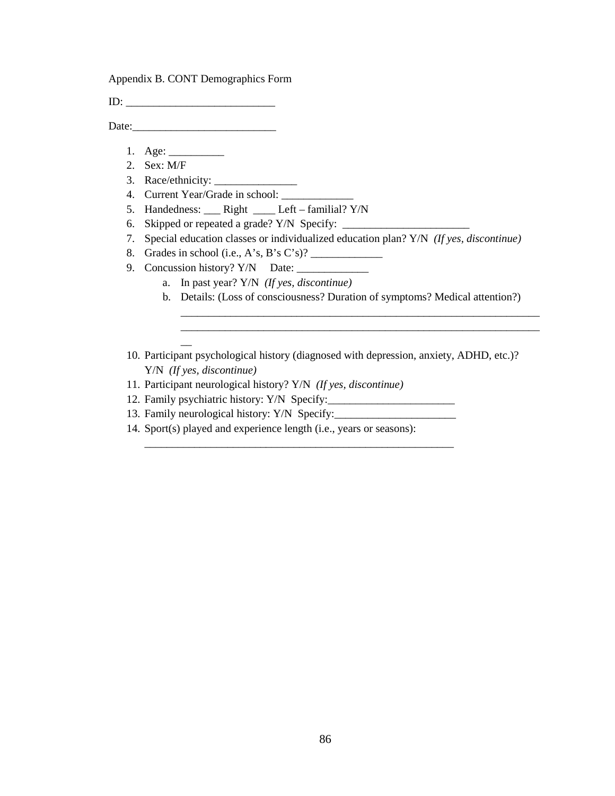Appendix B. CONT Demographics Form

ID: \_\_\_\_\_\_\_\_\_\_\_\_\_\_\_\_\_\_\_\_\_\_\_\_\_\_\_

Date:

- 1. Age: \_\_\_\_\_\_\_\_\_\_
- 2. Sex: M/F
- 3. Race/ethnicity: \_\_\_\_\_\_\_\_\_\_\_\_\_\_\_

 $\overline{\phantom{a}}$ 

- 4. Current Year/Grade in school:
- 5. Handedness: \_\_\_ Right \_\_\_\_ Left familial? Y/N
- 6. Skipped or repeated a grade?  $Y/N$  Specify:  $\_\_$
- 7. Special education classes or individualized education plan? Y/N *(If yes, discontinue)*
- 8. Grades in school (i.e., A's, B's C's)?
- 9. Concussion history? Y/N Date: \_\_\_\_\_\_\_\_\_\_\_\_\_
	- a. In past year? Y/N *(If yes, discontinue)*
	- b. Details: (Loss of consciousness? Duration of symptoms? Medical attention?)

\_\_\_\_\_\_\_\_\_\_\_\_\_\_\_\_\_\_\_\_\_\_\_\_\_\_\_\_\_\_\_\_\_\_\_\_\_\_\_\_\_\_\_\_\_\_\_\_\_\_\_\_\_\_\_\_\_\_\_\_\_\_\_\_\_ \_\_\_\_\_\_\_\_\_\_\_\_\_\_\_\_\_\_\_\_\_\_\_\_\_\_\_\_\_\_\_\_\_\_\_\_\_\_\_\_\_\_\_\_\_\_\_\_\_\_\_\_\_\_\_\_\_\_\_\_\_\_\_\_\_

- 10. Participant psychological history (diagnosed with depression, anxiety, ADHD, etc.)? Y/N *(If yes, discontinue)*
- 11. Participant neurological history? Y/N *(If yes, discontinue)*
- 12. Family psychiatric history: Y/N Specify:
- 13. Family neurological history: Y/N Specify:\_\_\_\_\_\_\_\_\_\_\_\_\_\_\_\_\_\_\_\_\_\_
- 14. Sport(s) played and experience length (i.e., years or seasons):

\_\_\_\_\_\_\_\_\_\_\_\_\_\_\_\_\_\_\_\_\_\_\_\_\_\_\_\_\_\_\_\_\_\_\_\_\_\_\_\_\_\_\_\_\_\_\_\_\_\_\_\_\_\_\_\_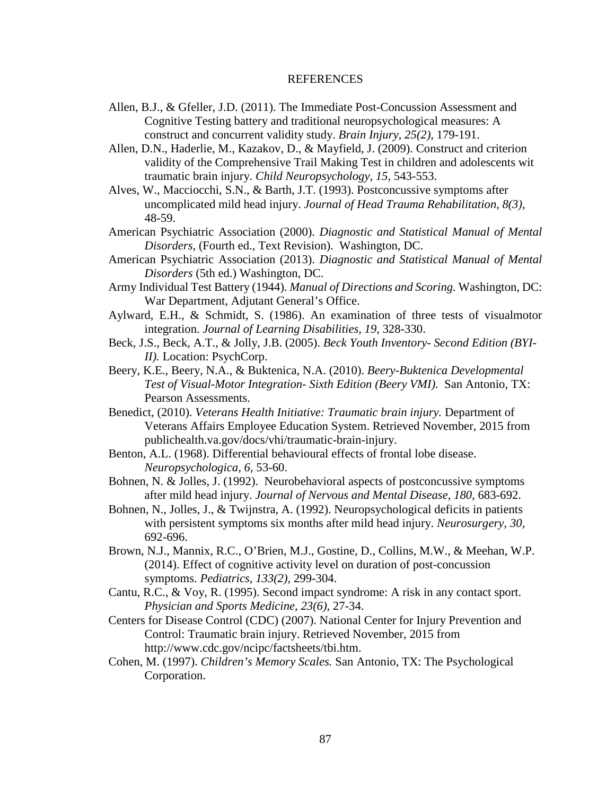## REFERENCES

- Allen, B.J., & Gfeller, J.D. (2011). The Immediate Post-Concussion Assessment and Cognitive Testing battery and traditional neuropsychological measures: A construct and concurrent validity study. *Brain Injury, 25(2),* 179-191.
- Allen, D.N., Haderlie, M., Kazakov, D., & Mayfield, J. (2009). Construct and criterion validity of the Comprehensive Trail Making Test in children and adolescents wit traumatic brain injury. *Child Neuropsychology, 15,* 543-553.
- Alves, W., Macciocchi, S.N., & Barth, J.T. (1993). Postconcussive symptoms after uncomplicated mild head injury. *Journal of Head Trauma Rehabilitation, 8(3),*  48-59.
- American Psychiatric Association (2000). *Diagnostic and Statistical Manual of Mental Disorders,* (Fourth ed., Text Revision). Washington, DC.
- American Psychiatric Association (2013). *Diagnostic and Statistical Manual of Mental Disorders* (5th ed.) Washington, DC.
- Army Individual Test Battery (1944). *Manual of Directions and Scoring.* Washington, DC: War Department, Adjutant General's Office.
- Aylward, E.H., & Schmidt, S. (1986). An examination of three tests of visualmotor integration. *Journal of Learning Disabilities, 19,* 328-330.
- Beck, J.S., Beck, A.T., & Jolly, J.B. (2005). *Beck Youth Inventory- Second Edition (BYI-II).* Location: PsychCorp.
- Beery, K.E., Beery, N.A., & Buktenica, N.A. (2010). *Beery-Buktenica Developmental Test of Visual-Motor Integration- Sixth Edition (Beery VMI).* San Antonio, TX: Pearson Assessments.
- Benedict, (2010). *Veterans Health Initiative: Traumatic brain injury.* Department of Veterans Affairs Employee Education System. Retrieved November, 2015 from publichealth.va.gov/docs/vhi/traumatic-brain-injury.
- Benton, A.L. (1968). Differential behavioural effects of frontal lobe disease. *Neuropsychologica, 6,* 53-60.
- Bohnen, N. & Jolles, J. (1992). Neurobehavioral aspects of postconcussive symptoms after mild head injury. *Journal of Nervous and Mental Disease, 180,* 683-692.
- Bohnen, N., Jolles, J., & Twijnstra, A. (1992). Neuropsychological deficits in patients with persistent symptoms six months after mild head injury. *Neurosurgery, 30,*  692-696.
- Brown, N.J., Mannix, R.C., O'Brien, M.J., Gostine, D., Collins, M.W., & Meehan, W.P. (2014). Effect of cognitive activity level on duration of post-concussion symptoms. *Pediatrics, 133(2),* 299-304.
- Cantu, R.C., & Voy, R. (1995). Second impact syndrome: A risk in any contact sport. *Physician and Sports Medicine, 23(6),* 27-34.
- Centers for Disease Control (CDC) (2007). National Center for Injury Prevention and Control: Traumatic brain injury. Retrieved November, 2015 from http://www.cdc.gov/ncipc/factsheets/tbi.htm.
- Cohen, M. (1997). *Children's Memory Scales.* San Antonio, TX: The Psychological Corporation.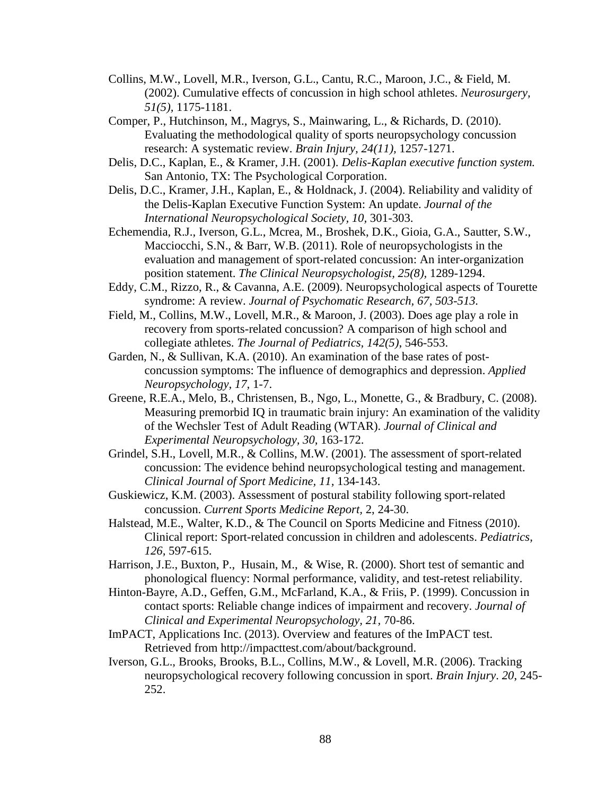- Collins, M.W., Lovell, M.R., Iverson, G.L., Cantu, R.C., Maroon, J.C., & Field, M. (2002). Cumulative effects of concussion in high school athletes. *Neurosurgery, 51(5),* 1175-1181.
- Comper, P., Hutchinson, M., Magrys, S., Mainwaring, L., & Richards, D. (2010). Evaluating the methodological quality of sports neuropsychology concussion research: A systematic review. *Brain Injury, 24(11),* 1257-1271.
- Delis, D.C., Kaplan, E., & Kramer, J.H. (2001). *Delis-Kaplan executive function system.*  San Antonio, TX: The Psychological Corporation.
- Delis, D.C., Kramer, J.H., Kaplan, E., & Holdnack, J. (2004). Reliability and validity of the Delis-Kaplan Executive Function System: An update. *Journal of the International Neuropsychological Society, 10,* 301-303.
- Echemendia, R.J., Iverson, G.L., Mcrea, M., Broshek, D.K., Gioia, G.A., Sautter, S.W., Macciocchi, S.N., & Barr, W.B. (2011). Role of neuropsychologists in the evaluation and management of sport-related concussion: An inter-organization position statement. *The Clinical Neuropsychologist, 25(8),* 1289-1294.
- Eddy, C.M., Rizzo, R., & Cavanna, A.E. (2009). Neuropsychological aspects of Tourette syndrome: A review. *Journal of Psychomatic Research, 67, 503-513.*
- Field, M., Collins, M.W., Lovell, M.R., & Maroon, J. (2003). Does age play a role in recovery from sports-related concussion? A comparison of high school and collegiate athletes. *The Journal of Pediatrics, 142(5)*, 546-553.
- Garden, N., & Sullivan, K.A. (2010). An examination of the base rates of postconcussion symptoms: The influence of demographics and depression. *Applied Neuropsychology, 17,* 1-7.
- Greene, R.E.A., Melo, B., Christensen, B., Ngo, L., Monette, G., & Bradbury, C. (2008). Measuring premorbid IQ in traumatic brain injury: An examination of the validity of the Wechsler Test of Adult Reading (WTAR). *Journal of Clinical and Experimental Neuropsychology, 30,* 163-172.
- Grindel, S.H., Lovell, M.R., & Collins, M.W. (2001). The assessment of sport-related concussion: The evidence behind neuropsychological testing and management. *Clinical Journal of Sport Medicine, 11,* 134-143.
- Guskiewicz, K.M. (2003). Assessment of postural stability following sport-related concussion. *Current Sports Medicine Report,* 2, 24-30.
- Halstead, M.E., Walter, K.D., & The Council on Sports Medicine and Fitness (2010). Clinical report: Sport-related concussion in children and adolescents. *Pediatrics, 126,* 597-615.
- Harrison, J.E., Buxton, P., Husain, M., & Wise, R. (2000). Short test of semantic and phonological fluency: Normal performance, validity, and test-retest reliability.
- Hinton-Bayre, A.D., Geffen, G.M., McFarland, K.A., & Friis, P. (1999). Concussion in contact sports: Reliable change indices of impairment and recovery. *Journal of Clinical and Experimental Neuropsychology, 21,* 70-86.
- ImPACT, Applications Inc. (2013). Overview and features of the ImPACT test. Retrieved from http://impacttest.com/about/background.
- Iverson, G.L., Brooks, Brooks, B.L., Collins, M.W., & Lovell, M.R. (2006). Tracking neuropsychological recovery following concussion in sport. *Brain Injury*. *20*, 245- 252.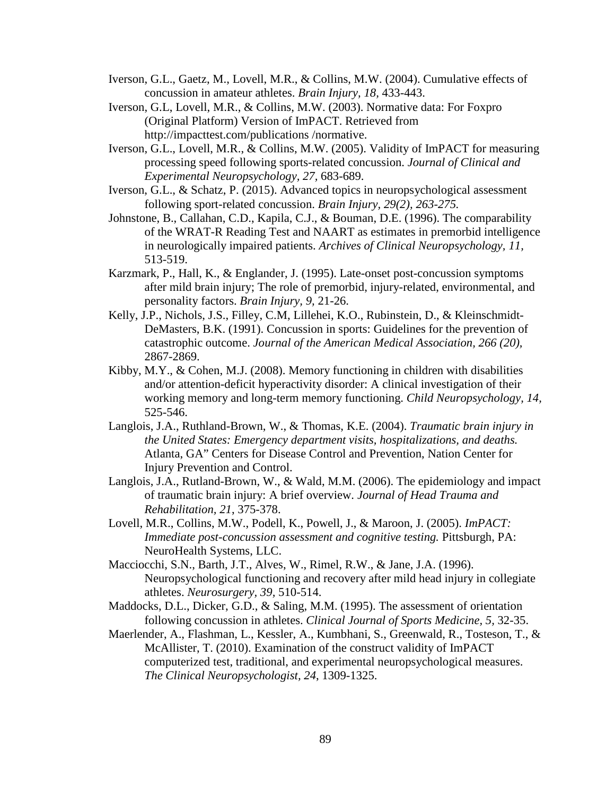- Iverson, G.L., Gaetz, M., Lovell, M.R., & Collins, M.W. (2004). Cumulative effects of concussion in amateur athletes. *Brain Injury, 18,* 433-443.
- Iverson, G.L, Lovell, M.R., & Collins, M.W. (2003). Normative data: For Foxpro (Original Platform) Version of ImPACT. Retrieved from http://impacttest.com/publications /normative.
- Iverson, G.L., Lovell, M.R., & Collins, M.W. (2005). Validity of ImPACT for measuring processing speed following sports-related concussion. *Journal of Clinical and Experimental Neuropsychology, 27,* 683-689.
- Iverson, G.L., & Schatz, P. (2015). Advanced topics in neuropsychological assessment following sport-related concussion. *Brain Injury, 29(2), 263-275.*
- Johnstone, B., Callahan, C.D., Kapila, C.J., & Bouman, D.E. (1996). The comparability of the WRAT-R Reading Test and NAART as estimates in premorbid intelligence in neurologically impaired patients. *Archives of Clinical Neuropsychology, 11,*  513-519.
- Karzmark, P., Hall, K., & Englander, J. (1995). Late-onset post-concussion symptoms after mild brain injury; The role of premorbid, injury-related, environmental, and personality factors. *Brain Injury, 9,* 21-26.
- Kelly, J.P., Nichols, J.S., Filley, C.M, Lillehei, K.O., Rubinstein, D., & Kleinschmidt-DeMasters, B.K. (1991). Concussion in sports: Guidelines for the prevention of catastrophic outcome. *Journal of the American Medical Association, 266 (20),* 2867-2869.
- Kibby, M.Y., & Cohen, M.J. (2008). Memory functioning in children with disabilities and/or attention-deficit hyperactivity disorder: A clinical investigation of their working memory and long-term memory functioning. *Child Neuropsychology, 14,*  525-546.
- Langlois, J.A., Ruthland-Brown, W., & Thomas, K.E. (2004). *Traumatic brain injury in the United States: Emergency department visits, hospitalizations, and deaths.*  Atlanta, GA" Centers for Disease Control and Prevention, Nation Center for Injury Prevention and Control.
- Langlois, J.A., Rutland-Brown, W., & Wald, M.M. (2006). The epidemiology and impact of traumatic brain injury: A brief overview. *Journal of Head Trauma and Rehabilitation, 21*, 375-378.
- Lovell, M.R., Collins, M.W., Podell, K., Powell, J., & Maroon, J. (2005). *ImPACT: Immediate post-concussion assessment and cognitive testing. Pittsburgh, PA:* NeuroHealth Systems, LLC.
- Macciocchi, S.N., Barth, J.T., Alves, W., Rimel, R.W., & Jane, J.A. (1996). Neuropsychological functioning and recovery after mild head injury in collegiate athletes. *Neurosurgery, 39,* 510-514.
- Maddocks, D.L., Dicker, G.D., & Saling, M.M. (1995). The assessment of orientation following concussion in athletes. *Clinical Journal of Sports Medicine, 5,* 32-35.
- Maerlender, A., Flashman, L., Kessler, A., Kumbhani, S., Greenwald, R., Tosteson, T., & McAllister, T. (2010). Examination of the construct validity of ImPACT computerized test, traditional, and experimental neuropsychological measures. *The Clinical Neuropsychologist, 24*, 1309-1325.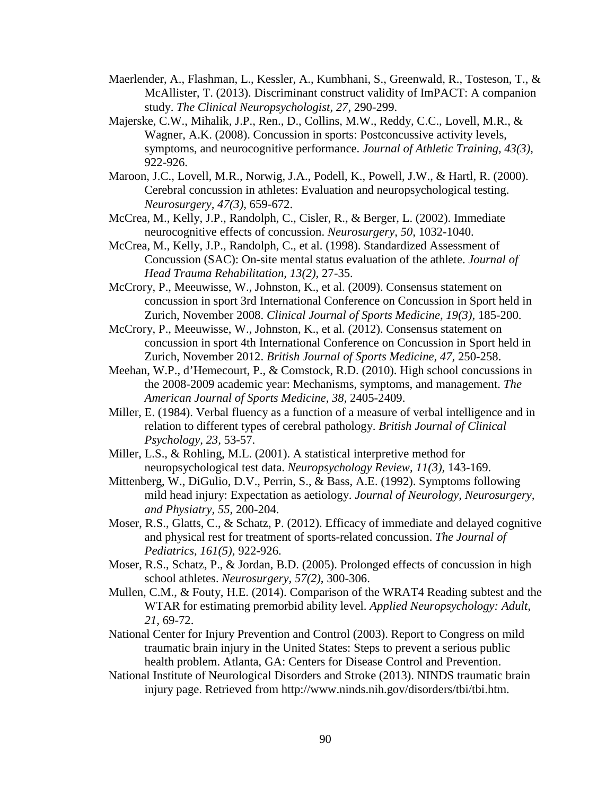- Maerlender, A., Flashman, L., Kessler, A., Kumbhani, S., Greenwald, R., Tosteson, T., & McAllister, T. (2013). Discriminant construct validity of ImPACT: A companion study. *The Clinical Neuropsychologist, 27*, 290-299.
- Majerske, C.W., Mihalik, J.P., Ren., D., Collins, M.W., Reddy, C.C., Lovell, M.R., & Wagner, A.K. (2008). Concussion in sports: Postconcussive activity levels, symptoms, and neurocognitive performance. *Journal of Athletic Training, 43(3),* 922-926.
- Maroon, J.C., Lovell, M.R., Norwig, J.A., Podell, K., Powell, J.W., & Hartl, R. (2000). Cerebral concussion in athletes: Evaluation and neuropsychological testing. *Neurosurgery, 47(3),* 659-672.
- McCrea, M., Kelly, J.P., Randolph, C., Cisler, R., & Berger, L. (2002). Immediate neurocognitive effects of concussion. *Neurosurgery, 50,* 1032-1040.
- McCrea, M., Kelly, J.P., Randolph, C., et al. (1998). Standardized Assessment of Concussion (SAC): On-site mental status evaluation of the athlete. *Journal of Head Trauma Rehabilitation, 13(2),* 27-35.
- McCrory, P., Meeuwisse, W., Johnston, K., et al. (2009). Consensus statement on concussion in sport 3rd International Conference on Concussion in Sport held in Zurich, November 2008. *Clinical Journal of Sports Medicine, 19(3),* 185-200.
- McCrory, P., Meeuwisse, W., Johnston, K., et al. (2012). Consensus statement on concussion in sport 4th International Conference on Concussion in Sport held in Zurich, November 2012. *British Journal of Sports Medicine, 47,* 250-258.
- Meehan, W.P., d'Hemecourt, P., & Comstock, R.D. (2010). High school concussions in the 2008-2009 academic year: Mechanisms, symptoms, and management. *The American Journal of Sports Medicine, 38,* 2405-2409.
- Miller, E. (1984). Verbal fluency as a function of a measure of verbal intelligence and in relation to different types of cerebral pathology. *British Journal of Clinical Psychology, 23,* 53-57.
- Miller, L.S., & Rohling, M.L. (2001). A statistical interpretive method for neuropsychological test data. *Neuropsychology Review, 11(3),* 143-169.
- Mittenberg, W., DiGulio, D.V., Perrin, S., & Bass, A.E. (1992). Symptoms following mild head injury: Expectation as aetiology. *Journal of Neurology, Neurosurgery, and Physiatry, 55*, 200-204.
- Moser, R.S., Glatts, C., & Schatz, P. (2012). Efficacy of immediate and delayed cognitive and physical rest for treatment of sports-related concussion. *The Journal of Pediatrics, 161(5),* 922-926.
- Moser, R.S., Schatz, P., & Jordan, B.D. (2005). Prolonged effects of concussion in high school athletes. *Neurosurgery, 57(2),* 300-306.
- Mullen, C.M., & Fouty, H.E. (2014). Comparison of the WRAT4 Reading subtest and the WTAR for estimating premorbid ability level. *Applied Neuropsychology: Adult, 21,* 69-72.
- National Center for Injury Prevention and Control (2003). Report to Congress on mild traumatic brain injury in the United States: Steps to prevent a serious public health problem. Atlanta, GA: Centers for Disease Control and Prevention.
- National Institute of Neurological Disorders and Stroke (2013). NINDS traumatic brain injury page. Retrieved from http://www.ninds.nih.gov/disorders/tbi/tbi.htm.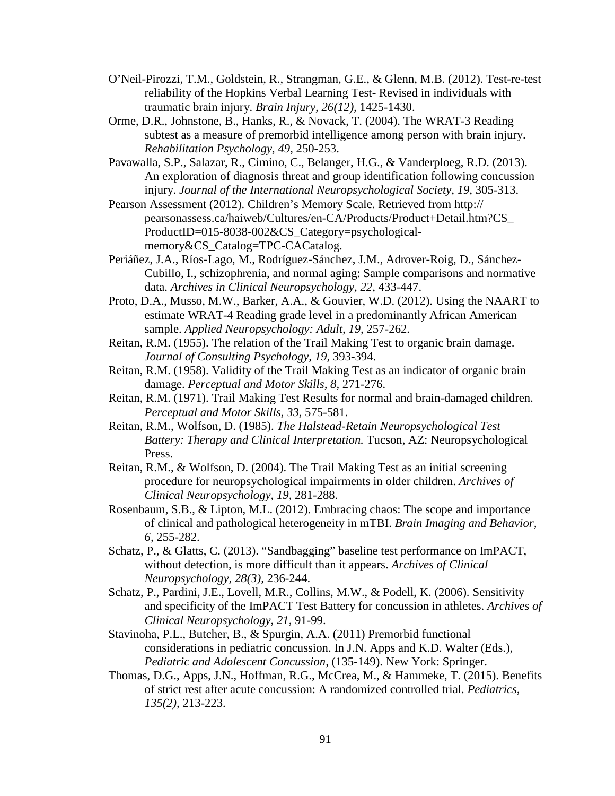- O'Neil-Pirozzi, T.M., Goldstein, R., Strangman, G.E., & Glenn, M.B. (2012). Test-re-test reliability of the Hopkins Verbal Learning Test- Revised in individuals with traumatic brain injury. *Brain Injury, 26(12),* 1425-1430.
- Orme, D.R., Johnstone, B., Hanks, R., & Novack, T. (2004). The WRAT-3 Reading subtest as a measure of premorbid intelligence among person with brain injury. *Rehabilitation Psychology, 49,* 250-253.
- Pavawalla, S.P., Salazar, R., Cimino, C., Belanger, H.G., & Vanderploeg, R.D. (2013). An exploration of diagnosis threat and group identification following concussion injury. *Journal of the International Neuropsychological Society, 19, 305-313.*
- Pearson Assessment (2012). Children's Memory Scale. Retrieved from http:// pearsonassess.ca/haiweb/Cultures/en-CA/Products/Product+Detail.htm?CS\_ ProductID=015-8038-002&CS\_Category=psychologicalmemory & CS Catalog=TPC-CACatalog.
- Periáñez, J.A., Ríos-Lago, M., Rodríguez-Sánchez, J.M., Adrover-Roig, D., Sánchez-Cubillo, I., schizophrenia, and normal aging: Sample comparisons and normative data. *Archives in Clinical Neuropsychology, 22,* 433-447.
- Proto, D.A., Musso, M.W., Barker, A.A., & Gouvier, W.D. (2012). Using the NAART to estimate WRAT-4 Reading grade level in a predominantly African American sample. *Applied Neuropsychology: Adult, 19,* 257-262.
- Reitan, R.M. (1955). The relation of the Trail Making Test to organic brain damage. *Journal of Consulting Psychology, 19,* 393-394.
- Reitan, R.M. (1958). Validity of the Trail Making Test as an indicator of organic brain damage. *Perceptual and Motor Skills, 8,* 271-276.
- Reitan, R.M. (1971). Trail Making Test Results for normal and brain-damaged children. *Perceptual and Motor Skills, 33,* 575-581.
- Reitan, R.M., Wolfson, D. (1985). *The Halstead-Retain Neuropsychological Test Battery: Therapy and Clinical Interpretation.* Tucson, AZ: Neuropsychological Press.
- Reitan, R.M., & Wolfson, D. (2004). The Trail Making Test as an initial screening procedure for neuropsychological impairments in older children. *Archives of Clinical Neuropsychology, 19,* 281-288.
- Rosenbaum, S.B., & Lipton, M.L. (2012). Embracing chaos: The scope and importance of clinical and pathological heterogeneity in mTBI. *Brain Imaging and Behavior, 6,* 255-282.
- Schatz, P., & Glatts, C. (2013). "Sandbagging" baseline test performance on ImPACT, without detection, is more difficult than it appears. *Archives of Clinical Neuropsychology, 28(3),* 236-244.
- Schatz, P., Pardini, J.E., Lovell, M.R., Collins, M.W., & Podell, K. (2006). Sensitivity and specificity of the ImPACT Test Battery for concussion in athletes. *Archives of Clinical Neuropsychology, 21,* 91-99.
- Stavinoha, P.L., Butcher, B., & Spurgin, A.A. (2011) Premorbid functional considerations in pediatric concussion. In J.N. Apps and K.D. Walter (Eds.), *Pediatric and Adolescent Concussion,* (135-149). New York: Springer.
- Thomas, D.G., Apps, J.N., Hoffman, R.G., McCrea, M., & Hammeke, T. (2015). Benefits of strict rest after acute concussion: A randomized controlled trial. *Pediatrics, 135(2),* 213-223.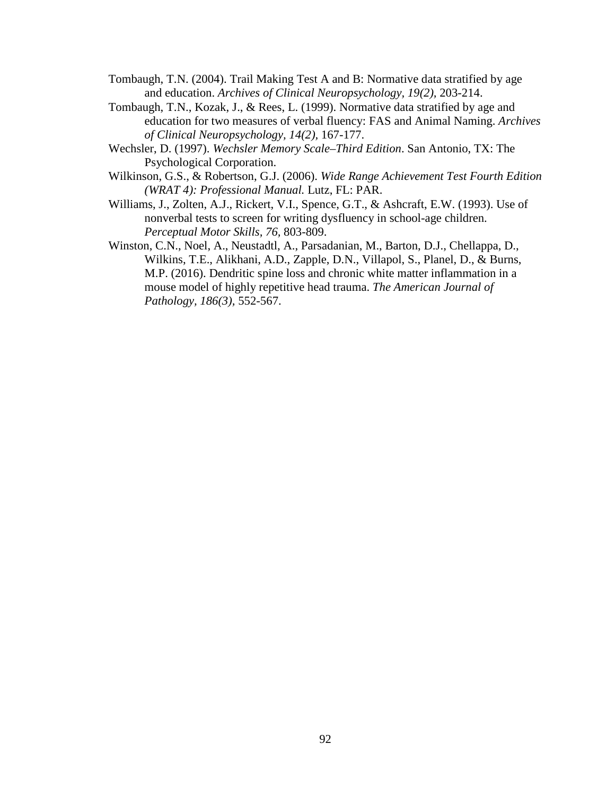- Tombaugh, T.N. (2004). Trail Making Test A and B: Normative data stratified by age and education. *Archives of Clinical Neuropsychology, 19(2),* 203-214.
- Tombaugh, T.N., Kozak, J., & Rees, L. (1999). Normative data stratified by age and education for two measures of verbal fluency: FAS and Animal Naming. *Archives of Clinical Neuropsychology, 14(2),* 167-177.
- Wechsler, D. (1997). *Wechsler Memory Scale–Third Edition*. San Antonio, TX: The Psychological Corporation.
- Wilkinson, G.S., & Robertson, G.J. (2006). *Wide Range Achievement Test Fourth Edition (WRAT 4): Professional Manual.* Lutz, FL: PAR.
- Williams, J., Zolten, A.J., Rickert, V.I., Spence, G.T., & Ashcraft, E.W. (1993). Use of nonverbal tests to screen for writing dysfluency in school-age children. *Perceptual Motor Skills, 76,* 803-809.
- Winston, C.N., Noel, A., Neustadtl, A., Parsadanian, M., Barton, D.J., Chellappa, D., Wilkins, T.E., Alikhani, A.D., Zapple, D.N., Villapol, S., Planel, D., & Burns, M.P. (2016). Dendritic spine loss and chronic white matter inflammation in a mouse model of highly repetitive head trauma. *The American Journal of Pathology, 186(3),* 552-567.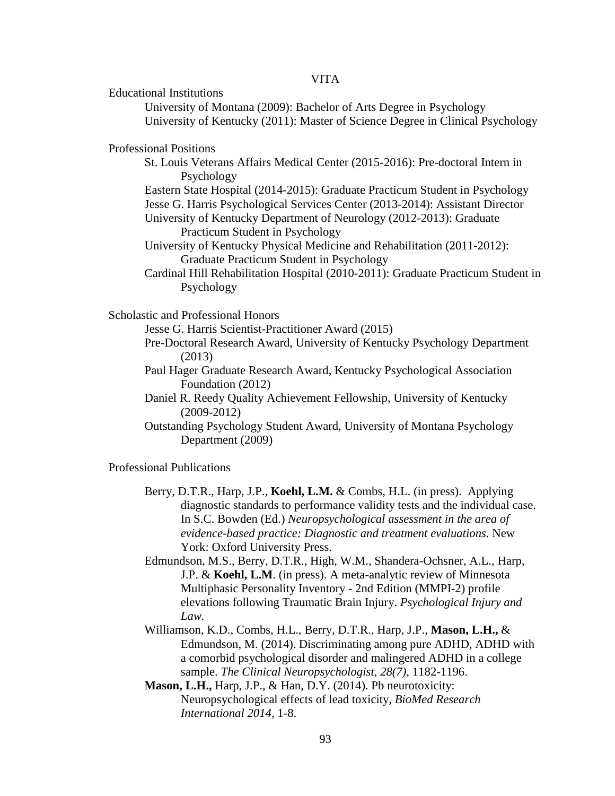Educational Institutions

University of Montana (2009): Bachelor of Arts Degree in Psychology University of Kentucky (2011): Master of Science Degree in Clinical Psychology

Professional Positions

- St. Louis Veterans Affairs Medical Center (2015-2016): Pre-doctoral Intern in Psychology
- Eastern State Hospital (2014-2015): Graduate Practicum Student in Psychology
- Jesse G. Harris Psychological Services Center (2013-2014): Assistant Director University of Kentucky Department of Neurology (2012-2013): Graduate
- Practicum Student in Psychology
- University of Kentucky Physical Medicine and Rehabilitation (2011-2012): Graduate Practicum Student in Psychology
- Cardinal Hill Rehabilitation Hospital (2010-2011): Graduate Practicum Student in Psychology

Scholastic and Professional Honors

- Jesse G. Harris Scientist-Practitioner Award (2015)
- Pre-Doctoral Research Award, University of Kentucky Psychology Department (2013)
- Paul Hager Graduate Research Award, Kentucky Psychological Association Foundation (2012)
- Daniel R. Reedy Quality Achievement Fellowship, University of Kentucky (2009-2012)
- Outstanding Psychology Student Award, University of Montana Psychology Department (2009)

Professional Publications

- Berry, D.T.R., Harp, J.P., **Koehl, L.M.** & Combs, H.L. (in press). Applying diagnostic standards to performance validity tests and the individual case. In S.C. Bowden (Ed.) *Neuropsychological assessment in the area of evidence-based practice: Diagnostic and treatment evaluations.* New York: Oxford University Press.
- Edmundson, M.S., Berry, D.T.R., High, W.M., Shandera-Ochsner, A.L., Harp, J.P. & **Koehl, L.M**. (in press). A meta-analytic review of Minnesota Multiphasic Personality Inventory - 2nd Edition (MMPI-2) profile elevations following Traumatic Brain Injury. *Psychological Injury and Law.*
- Williamson, K.D., Combs, H.L., Berry, D.T.R., Harp, J.P., **Mason, L.H.,** & Edmundson, M. (2014). Discriminating among pure ADHD, ADHD with a comorbid psychological disorder and malingered ADHD in a college sample. *The Clinical Neuropsychologist*, *28(7)*, 1182-1196.
- **Mason, L.H.,** Harp, J.P., & Han, D.Y. (2014). Pb neurotoxicity: Neuropsychological effects of lead toxicity, *BioMed Research International 2014,* 1-8.